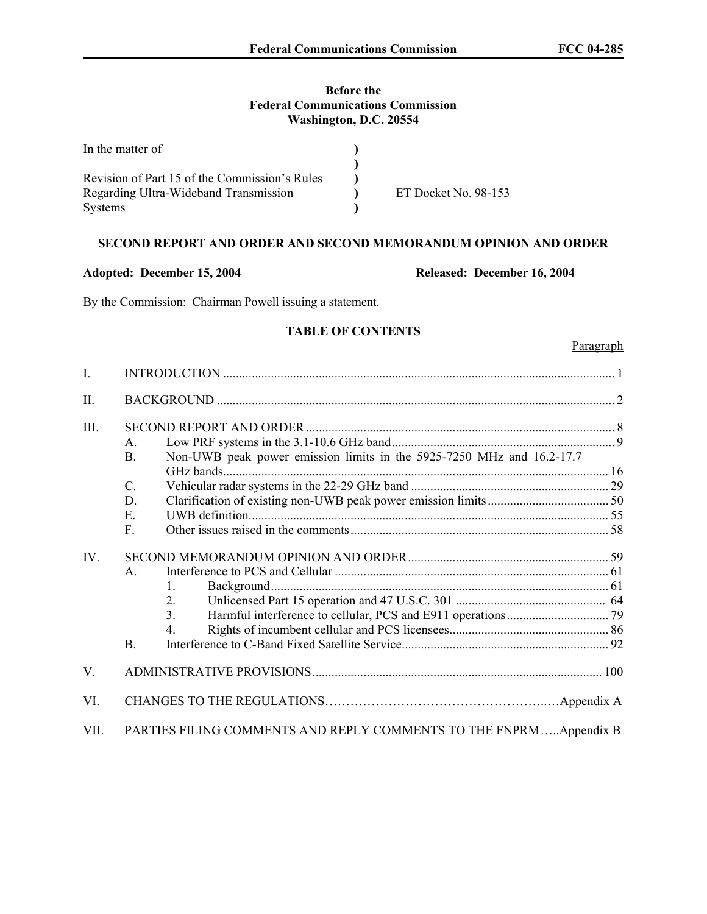# **Before the Federal Communications Commission Washington, D.C. 20554**

| In the matter of                              |                      |
|-----------------------------------------------|----------------------|
|                                               |                      |
| Revision of Part 15 of the Commission's Rules |                      |
| Regarding Ultra-Wideband Transmission         | ET Docket No. 98-153 |
| <b>Systems</b>                                |                      |

# **SECOND REPORT AND ORDER AND SECOND MEMORANDUM OPINION AND ORDER**

**Adopted: December 15, 2004 Released: December 16, 2004** 

By the Commission: Chairman Powell issuing a statement.

# **TABLE OF CONTENTS**

#### **Paragraph**

| $\mathbf{I}$ . |                                                                                                                                         |  |
|----------------|-----------------------------------------------------------------------------------------------------------------------------------------|--|
| II.            |                                                                                                                                         |  |
| III.           | $\mathsf{A}$<br>Non-UWB peak power emission limits in the 5925-7250 MHz and 16.2-17.7<br><b>B.</b><br>$\mathcal{C}$ .<br>D.<br>Ε.<br>F. |  |
| IV.            | $\mathsf{A}$<br>$1_{-}$<br>$2_{-}$<br>3 <sub>1</sub><br>4<br>B <sub>1</sub>                                                             |  |
| V.             |                                                                                                                                         |  |
| VI.            |                                                                                                                                         |  |
| VII.           | PARTIES FILING COMMENTS AND REPLY COMMENTS TO THE FNPRMAppendix B                                                                       |  |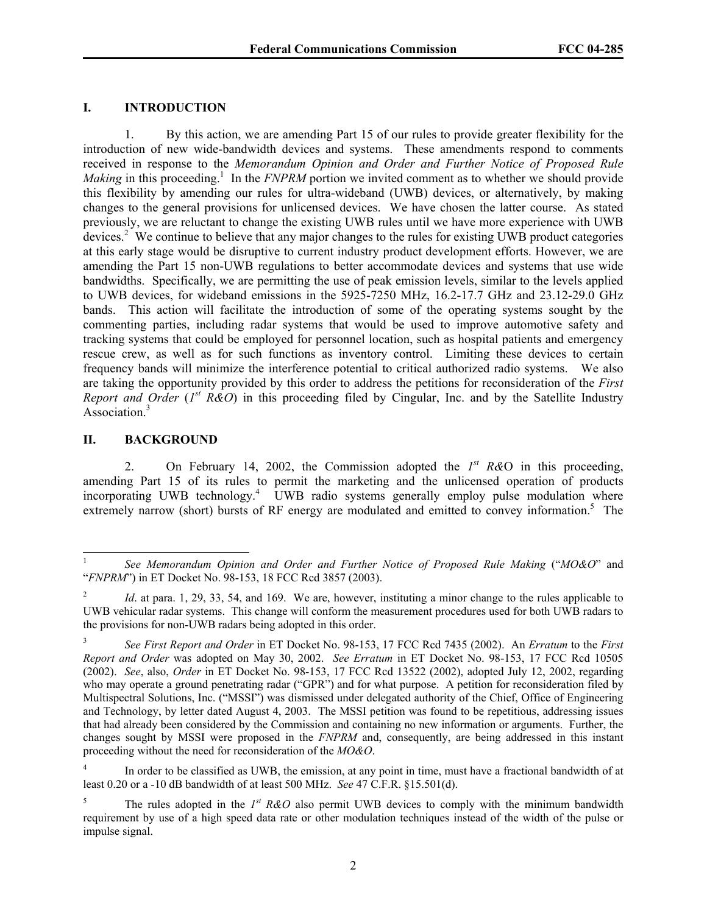# **I. INTRODUCTION**

1. By this action, we are amending Part 15 of our rules to provide greater flexibility for the introduction of new wide-bandwidth devices and systems. These amendments respond to comments received in response to the *Memorandum Opinion and Order and Further Notice of Proposed Rule*  Making in this proceeding.<sup>1</sup> In the *FNPRM* portion we invited comment as to whether we should provide this flexibility by amending our rules for ultra-wideband (UWB) devices, or alternatively, by making changes to the general provisions for unlicensed devices. We have chosen the latter course. As stated previously, we are reluctant to change the existing UWB rules until we have more experience with UWB devices.<sup>2</sup> We continue to believe that any major changes to the rules for existing UWB product categories at this early stage would be disruptive to current industry product development efforts. However, we are amending the Part 15 non-UWB regulations to better accommodate devices and systems that use wide bandwidths. Specifically, we are permitting the use of peak emission levels, similar to the levels applied to UWB devices, for wideband emissions in the 5925-7250 MHz, 16.2-17.7 GHz and 23.12-29.0 GHz bands. This action will facilitate the introduction of some of the operating systems sought by the commenting parties, including radar systems that would be used to improve automotive safety and tracking systems that could be employed for personnel location, such as hospital patients and emergency rescue crew, as well as for such functions as inventory control. Limiting these devices to certain frequency bands will minimize the interference potential to critical authorized radio systems. We also are taking the opportunity provided by this order to address the petitions for reconsideration of the *First Report and Order* (*I*<sup>st</sup> R&O) in this proceeding filed by Cingular, Inc. and by the Satellite Industry Association.<sup>3</sup>

#### **II. BACKGROUND**

 $\overline{a}$ 

2. On February 14, 2002, the Commission adopted the *1st R&*O in this proceeding, amending Part 15 of its rules to permit the marketing and the unlicensed operation of products incorporating UWB technology.<sup>4</sup> UWB radio systems generally employ pulse modulation where extremely narrow (short) bursts of RF energy are modulated and emitted to convey information.<sup>5</sup> The

<sup>1</sup> *See Memorandum Opinion and Order and Further Notice of Proposed Rule Making* ("*MO&O*" and "*FNPRM*") in ET Docket No. 98-153, 18 FCC Rcd 3857 (2003).

<sup>2</sup> *Id.* at para. 1, 29, 33, 54, and 169. We are, however, instituting a minor change to the rules applicable to UWB vehicular radar systems. This change will conform the measurement procedures used for both UWB radars to the provisions for non-UWB radars being adopted in this order.

<sup>3</sup> *See First Report and Order* in ET Docket No. 98-153, 17 FCC Rcd 7435 (2002). An *Erratum* to the *First Report and Order* was adopted on May 30, 2002. *See Erratum* in ET Docket No. 98-153, 17 FCC Rcd 10505 (2002). *See*, also, *Order* in ET Docket No. 98-153, 17 FCC Rcd 13522 (2002), adopted July 12, 2002, regarding who may operate a ground penetrating radar ("GPR") and for what purpose. A petition for reconsideration filed by Multispectral Solutions, Inc. ("MSSI") was dismissed under delegated authority of the Chief, Office of Engineering and Technology, by letter dated August 4, 2003. The MSSI petition was found to be repetitious, addressing issues that had already been considered by the Commission and containing no new information or arguments. Further, the changes sought by MSSI were proposed in the *FNPRM* and, consequently, are being addressed in this instant proceeding without the need for reconsideration of the *MO&O*.

<sup>4</sup> In order to be classified as UWB, the emission, at any point in time, must have a fractional bandwidth of at least 0.20 or a -10 dB bandwidth of at least 500 MHz. *See* 47 C.F.R. §15.501(d).

<sup>5</sup> The rules adopted in the  $I^{st}$  R&O also permit UWB devices to comply with the minimum bandwidth requirement by use of a high speed data rate or other modulation techniques instead of the width of the pulse or impulse signal.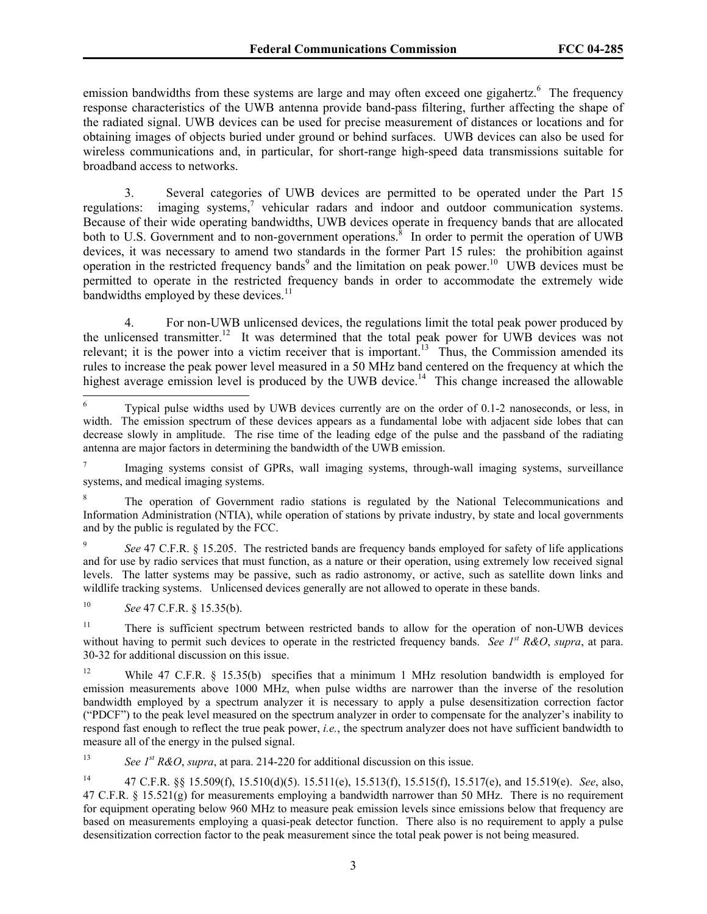emission bandwidths from these systems are large and may often exceed one gigahertz.<sup>6</sup> The frequency response characteristics of the UWB antenna provide band-pass filtering, further affecting the shape of the radiated signal. UWB devices can be used for precise measurement of distances or locations and for obtaining images of objects buried under ground or behind surfaces. UWB devices can also be used for wireless communications and, in particular, for short-range high-speed data transmissions suitable for broadband access to networks.

3. Several categories of UWB devices are permitted to be operated under the Part 15 regulations: imaging systems, $\frac{7}{1}$  vehicular radars and indoor and outdoor communication systems. Because of their wide operating bandwidths, UWB devices operate in frequency bands that are allocated both to U.S. Government and to non-government operations. $\delta$  In order to permit the operation of UWB devices, it was necessary to amend two standards in the former Part 15 rules: the prohibition against operation in the restricted frequency bands<sup>9</sup> and the limitation on peak power.<sup>10</sup> UWB devices must be permitted to operate in the restricted frequency bands in order to accommodate the extremely wide bandwidths employed by these devices.<sup>11</sup>

4. For non-UWB unlicensed devices, the regulations limit the total peak power produced by the unlicensed transmitter.<sup>12</sup> It was determined that the total peak power for UWB devices was not relevant; it is the power into a victim receiver that is important.<sup>13</sup> Thus, the Commission amended its rules to increase the peak power level measured in a 50 MHz band centered on the frequency at which the highest average emission level is produced by the UWB device.<sup>14</sup> This change increased the allowable

10 *See* 47 C.F.R. § 15.35(b).

 $\overline{a}$ 

13 *See 1st R&O*, *supra*, at para. 214-220 for additional discussion on this issue.

<sup>6</sup> Typical pulse widths used by UWB devices currently are on the order of 0.1-2 nanoseconds, or less, in width. The emission spectrum of these devices appears as a fundamental lobe with adjacent side lobes that can decrease slowly in amplitude. The rise time of the leading edge of the pulse and the passband of the radiating antenna are major factors in determining the bandwidth of the UWB emission.

<sup>7</sup> Imaging systems consist of GPRs, wall imaging systems, through-wall imaging systems, surveillance systems, and medical imaging systems.

<sup>8</sup> The operation of Government radio stations is regulated by the National Telecommunications and Information Administration (NTIA), while operation of stations by private industry, by state and local governments and by the public is regulated by the FCC.

<sup>9</sup> *See* 47 C.F.R. § 15.205. The restricted bands are frequency bands employed for safety of life applications and for use by radio services that must function, as a nature or their operation, using extremely low received signal levels. The latter systems may be passive, such as radio astronomy, or active, such as satellite down links and wildlife tracking systems. Unlicensed devices generally are not allowed to operate in these bands.

<sup>&</sup>lt;sup>11</sup> There is sufficient spectrum between restricted bands to allow for the operation of non-UWB devices without having to permit such devices to operate in the restricted frequency bands. *See 1st R&O*, *supra*, at para. 30-32 for additional discussion on this issue.

<sup>&</sup>lt;sup>12</sup> While 47 C.F.R. § 15.35(b) specifies that a minimum 1 MHz resolution bandwidth is employed for emission measurements above 1000 MHz, when pulse widths are narrower than the inverse of the resolution bandwidth employed by a spectrum analyzer it is necessary to apply a pulse desensitization correction factor ("PDCF") to the peak level measured on the spectrum analyzer in order to compensate for the analyzer's inability to respond fast enough to reflect the true peak power, *i.e.*, the spectrum analyzer does not have sufficient bandwidth to measure all of the energy in the pulsed signal.

<sup>14 47</sup> C.F.R. §§ 15.509(f), 15.510(d)(5). 15.511(e), 15.513(f), 15.515(f), 15.517(e), and 15.519(e). *See*, also, 47 C.F.R. § 15.521(g) for measurements employing a bandwidth narrower than 50 MHz. There is no requirement for equipment operating below 960 MHz to measure peak emission levels since emissions below that frequency are based on measurements employing a quasi-peak detector function. There also is no requirement to apply a pulse desensitization correction factor to the peak measurement since the total peak power is not being measured.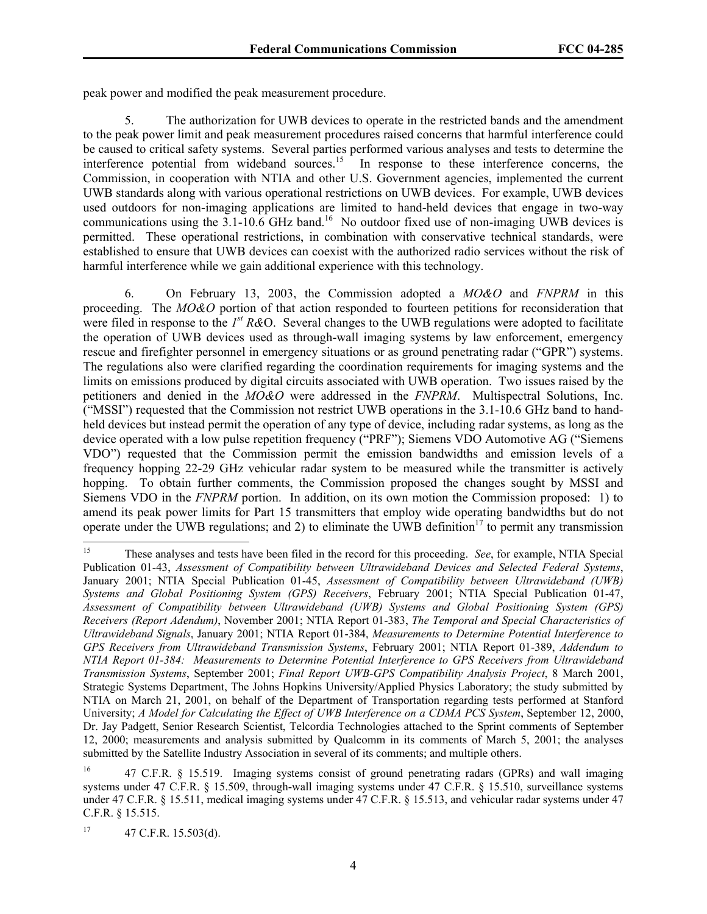peak power and modified the peak measurement procedure.

5. The authorization for UWB devices to operate in the restricted bands and the amendment to the peak power limit and peak measurement procedures raised concerns that harmful interference could be caused to critical safety systems. Several parties performed various analyses and tests to determine the interference potential from wideband sources.<sup>15</sup> In response to these interference concerns, the Commission, in cooperation with NTIA and other U.S. Government agencies, implemented the current UWB standards along with various operational restrictions on UWB devices. For example, UWB devices used outdoors for non-imaging applications are limited to hand-held devices that engage in two-way communications using the  $3.1$ -10.6 GHz band.<sup>16</sup> No outdoor fixed use of non-imaging UWB devices is permitted. These operational restrictions, in combination with conservative technical standards, were established to ensure that UWB devices can coexist with the authorized radio services without the risk of harmful interference while we gain additional experience with this technology.

6. On February 13, 2003, the Commission adopted a *MO&O* and *FNPRM* in this proceeding. The *MO&O* portion of that action responded to fourteen petitions for reconsideration that were filed in response to the *1st R&*O. Several changes to the UWB regulations were adopted to facilitate the operation of UWB devices used as through-wall imaging systems by law enforcement, emergency rescue and firefighter personnel in emergency situations or as ground penetrating radar ("GPR") systems. The regulations also were clarified regarding the coordination requirements for imaging systems and the limits on emissions produced by digital circuits associated with UWB operation. Two issues raised by the petitioners and denied in the *MO&O* were addressed in the *FNPRM*. Multispectral Solutions, Inc. ("MSSI") requested that the Commission not restrict UWB operations in the 3.1-10.6 GHz band to handheld devices but instead permit the operation of any type of device, including radar systems, as long as the device operated with a low pulse repetition frequency ("PRF"); Siemens VDO Automotive AG ("Siemens VDO") requested that the Commission permit the emission bandwidths and emission levels of a frequency hopping 22-29 GHz vehicular radar system to be measured while the transmitter is actively hopping. To obtain further comments, the Commission proposed the changes sought by MSSI and Siemens VDO in the *FNPRM* portion. In addition, on its own motion the Commission proposed: 1) to amend its peak power limits for Part 15 transmitters that employ wide operating bandwidths but do not operate under the UWB regulations; and 2) to eliminate the UWB definition<sup>17</sup> to permit any transmission

<sup>15</sup> 15 These analyses and tests have been filed in the record for this proceeding. *See*, for example, NTIA Special Publication 01-43, *Assessment of Compatibility between Ultrawideband Devices and Selected Federal Systems*, January 2001; NTIA Special Publication 01-45, *Assessment of Compatibility between Ultrawideband (UWB) Systems and Global Positioning System (GPS) Receivers*, February 2001; NTIA Special Publication 01-47, *Assessment of Compatibility between Ultrawideband (UWB) Systems and Global Positioning System (GPS) Receivers (Report Adendum)*, November 2001; NTIA Report 01-383, *The Temporal and Special Characteristics of Ultrawideband Signals*, January 2001; NTIA Report 01-384, *Measurements to Determine Potential Interference to GPS Receivers from Ultrawideband Transmission Systems*, February 2001; NTIA Report 01-389, *Addendum to NTIA Report 01-384: Measurements to Determine Potential Interference to GPS Receivers from Ultrawideband Transmission Systems*, September 2001; *Final Report UWB-GPS Compatibility Analysis Project*, 8 March 2001, Strategic Systems Department, The Johns Hopkins University/Applied Physics Laboratory; the study submitted by NTIA on March 21, 2001, on behalf of the Department of Transportation regarding tests performed at Stanford University; *A Model for Calculating the Effect of UWB Interference on a CDMA PCS System*, September 12, 2000, Dr. Jay Padgett, Senior Research Scientist, Telcordia Technologies attached to the Sprint comments of September 12, 2000; measurements and analysis submitted by Qualcomm in its comments of March 5, 2001; the analyses submitted by the Satellite Industry Association in several of its comments; and multiple others.

<sup>&</sup>lt;sup>16</sup> 47 C.F.R. § 15.519. Imaging systems consist of ground penetrating radars (GPRs) and wall imaging systems under 47 C.F.R. § 15.509, through-wall imaging systems under 47 C.F.R. § 15.510, surveillance systems under 47 C.F.R. § 15.511, medical imaging systems under 47 C.F.R. § 15.513, and vehicular radar systems under 47 C.F.R. § 15.515.

 $17$  47 C.F.R. 15.503(d).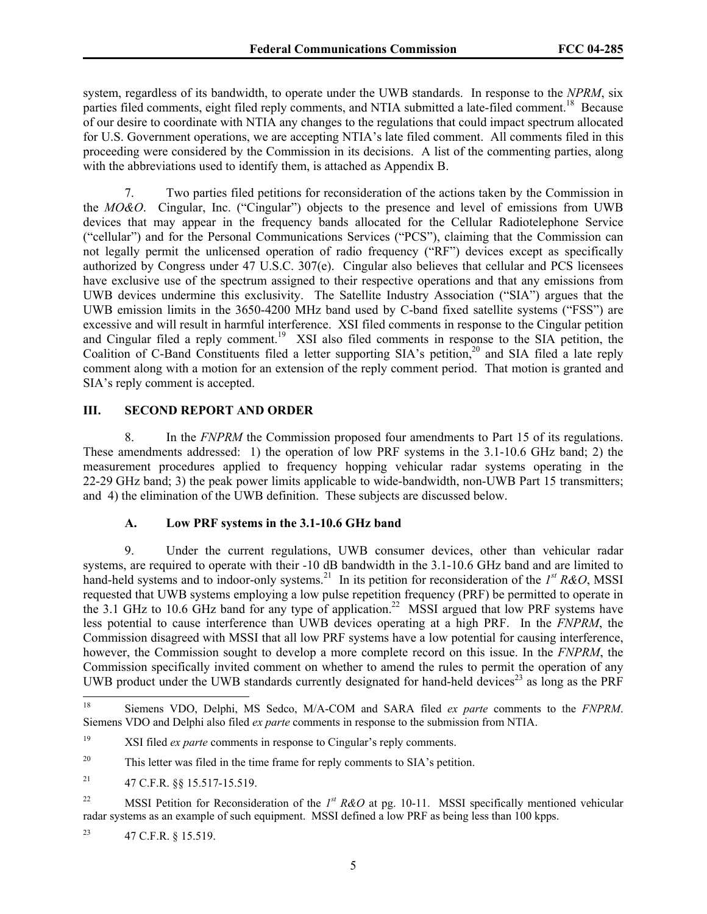system, regardless of its bandwidth, to operate under the UWB standards. In response to the *NPRM*, six parties filed comments, eight filed reply comments, and NTIA submitted a late-filed comment.<sup>18</sup> Because of our desire to coordinate with NTIA any changes to the regulations that could impact spectrum allocated for U.S. Government operations, we are accepting NTIA's late filed comment. All comments filed in this proceeding were considered by the Commission in its decisions. A list of the commenting parties, along with the abbreviations used to identify them, is attached as Appendix B.

7. Two parties filed petitions for reconsideration of the actions taken by the Commission in the *MO&O*. Cingular, Inc. ("Cingular") objects to the presence and level of emissions from UWB devices that may appear in the frequency bands allocated for the Cellular Radiotelephone Service ("cellular") and for the Personal Communications Services ("PCS"), claiming that the Commission can not legally permit the unlicensed operation of radio frequency ("RF") devices except as specifically authorized by Congress under 47 U.S.C. 307(e). Cingular also believes that cellular and PCS licensees have exclusive use of the spectrum assigned to their respective operations and that any emissions from UWB devices undermine this exclusivity. The Satellite Industry Association ("SIA") argues that the UWB emission limits in the 3650-4200 MHz band used by C-band fixed satellite systems ("FSS") are excessive and will result in harmful interference. XSI filed comments in response to the Cingular petition and Cingular filed a reply comment.<sup>19</sup> XSI also filed comments in response to the SIA petition, the Coalition of C-Band Constituents filed a letter supporting SIA's petition,<sup>20</sup> and SIA filed a late reply comment along with a motion for an extension of the reply comment period. That motion is granted and SIA's reply comment is accepted.

# **III. SECOND REPORT AND ORDER**

8. In the *FNPRM* the Commission proposed four amendments to Part 15 of its regulations. These amendments addressed: 1) the operation of low PRF systems in the 3.1-10.6 GHz band; 2) the measurement procedures applied to frequency hopping vehicular radar systems operating in the 22-29 GHz band; 3) the peak power limits applicable to wide-bandwidth, non-UWB Part 15 transmitters; and 4) the elimination of the UWB definition. These subjects are discussed below.

#### **A. Low PRF systems in the 3.1-10.6 GHz band**

9. Under the current regulations, UWB consumer devices, other than vehicular radar systems, are required to operate with their -10 dB bandwidth in the 3.1-10.6 GHz band and are limited to hand-held systems and to indoor-only systems.<sup>21</sup> In its petition for reconsideration of the *I<sup>st</sup> R&O*, MSSI requested that UWB systems employing a low pulse repetition frequency (PRF) be permitted to operate in the 3.1 GHz to 10.6 GHz band for any type of application.<sup>22</sup> MSSI argued that low PRF systems have less potential to cause interference than UWB devices operating at a high PRF. In the *FNPRM*, the Commission disagreed with MSSI that all low PRF systems have a low potential for causing interference, however, the Commission sought to develop a more complete record on this issue. In the *FNPRM*, the Commission specifically invited comment on whether to amend the rules to permit the operation of any UWB product under the UWB standards currently designated for hand-held devices<sup>23</sup> as long as the PRF

 $18\,$ 18 Siemens VDO, Delphi, MS Sedco, M/A-COM and SARA filed *ex parte* comments to the *FNPRM*. Siemens VDO and Delphi also filed *ex parte* comments in response to the submission from NTIA.

<sup>&</sup>lt;sup>19</sup> XSI filed *ex parte* comments in response to Cingular's reply comments.

<sup>&</sup>lt;sup>20</sup> This letter was filed in the time frame for reply comments to SIA's petition.

<sup>21 47</sup> C.F.R. §§ 15.517-15.519.

<sup>&</sup>lt;sup>22</sup> MSSI Petition for Reconsideration of the *1<sup>st</sup> R&O* at pg. 10-11. MSSI specifically mentioned vehicular radar systems as an example of such equipment. MSSI defined a low PRF as being less than 100 kpps.

<sup>23 47</sup> C.F.R. § 15.519.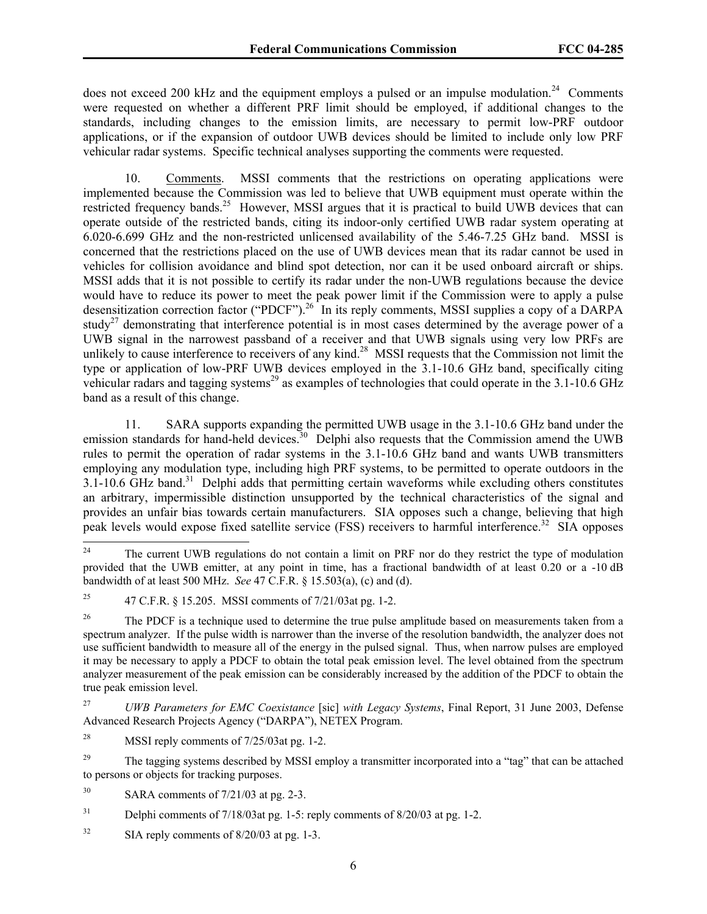does not exceed 200 kHz and the equipment employs a pulsed or an impulse modulation.<sup>24</sup> Comments were requested on whether a different PRF limit should be employed, if additional changes to the standards, including changes to the emission limits, are necessary to permit low-PRF outdoor applications, or if the expansion of outdoor UWB devices should be limited to include only low PRF vehicular radar systems. Specific technical analyses supporting the comments were requested.

10. Comments. MSSI comments that the restrictions on operating applications were implemented because the Commission was led to believe that UWB equipment must operate within the restricted frequency bands.<sup>25</sup> However, MSSI argues that it is practical to build UWB devices that can operate outside of the restricted bands, citing its indoor-only certified UWB radar system operating at 6.020-6.699 GHz and the non-restricted unlicensed availability of the 5.46-7.25 GHz band. MSSI is concerned that the restrictions placed on the use of UWB devices mean that its radar cannot be used in vehicles for collision avoidance and blind spot detection, nor can it be used onboard aircraft or ships. MSSI adds that it is not possible to certify its radar under the non-UWB regulations because the device would have to reduce its power to meet the peak power limit if the Commission were to apply a pulse desensitization correction factor ("PDCF").<sup>26</sup> In its reply comments, MSSI supplies a copy of a DARPA study<sup>27</sup> demonstrating that interference potential is in most cases determined by the average power of a UWB signal in the narrowest passband of a receiver and that UWB signals using very low PRFs are unlikely to cause interference to receivers of any kind.<sup>28</sup> MSSI requests that the Commission not limit the type or application of low-PRF UWB devices employed in the 3.1-10.6 GHz band, specifically citing vehicular radars and tagging systems<sup>29</sup> as examples of technologies that could operate in the 3.1-10.6 GHz band as a result of this change.

11. SARA supports expanding the permitted UWB usage in the 3.1-10.6 GHz band under the emission standards for hand-held devices.<sup>30</sup> Delphi also requests that the Commission amend the UWB rules to permit the operation of radar systems in the 3.1-10.6 GHz band and wants UWB transmitters employing any modulation type, including high PRF systems, to be permitted to operate outdoors in the 3.1-10.6 GHz band.<sup>31</sup> Delphi adds that permitting certain waveforms while excluding others constitutes an arbitrary, impermissible distinction unsupported by the technical characteristics of the signal and provides an unfair bias towards certain manufacturers. SIA opposes such a change, believing that high peak levels would expose fixed satellite service (FSS) receivers to harmful interference.<sup>32</sup> SIA opposes

<sup>24</sup> 24 The current UWB regulations do not contain a limit on PRF nor do they restrict the type of modulation provided that the UWB emitter, at any point in time, has a fractional bandwidth of at least 0.20 or a -10 dB bandwidth of at least 500 MHz. *See* 47 C.F.R. § 15.503(a), (c) and (d).

<sup>&</sup>lt;sup>25</sup> 47 C.F.R. § 15.205. MSSI comments of  $7/21/03$  at pg. 1-2.

<sup>&</sup>lt;sup>26</sup> The PDCF is a technique used to determine the true pulse amplitude based on measurements taken from a spectrum analyzer. If the pulse width is narrower than the inverse of the resolution bandwidth, the analyzer does not use sufficient bandwidth to measure all of the energy in the pulsed signal. Thus, when narrow pulses are employed it may be necessary to apply a PDCF to obtain the total peak emission level. The level obtained from the spectrum analyzer measurement of the peak emission can be considerably increased by the addition of the PDCF to obtain the true peak emission level.

<sup>27</sup> *UWB Parameters for EMC Coexistance* [sic] *with Legacy Systems*, Final Report, 31 June 2003, Defense Advanced Research Projects Agency ("DARPA"), NETEX Program.

<sup>&</sup>lt;sup>28</sup> MSSI reply comments of  $7/25/03$  at pg. 1-2.

<sup>&</sup>lt;sup>29</sup> The tagging systems described by MSSI employ a transmitter incorporated into a "tag" that can be attached to persons or objects for tracking purposes.

 $30$  SARA comments of  $7/21/03$  at pg. 2-3.

<sup>&</sup>lt;sup>31</sup> Delphi comments of  $7/18/03$  at pg. 1-5: reply comments of  $8/20/03$  at pg. 1-2.

 $32$  SIA reply comments of  $8/20/03$  at pg. 1-3.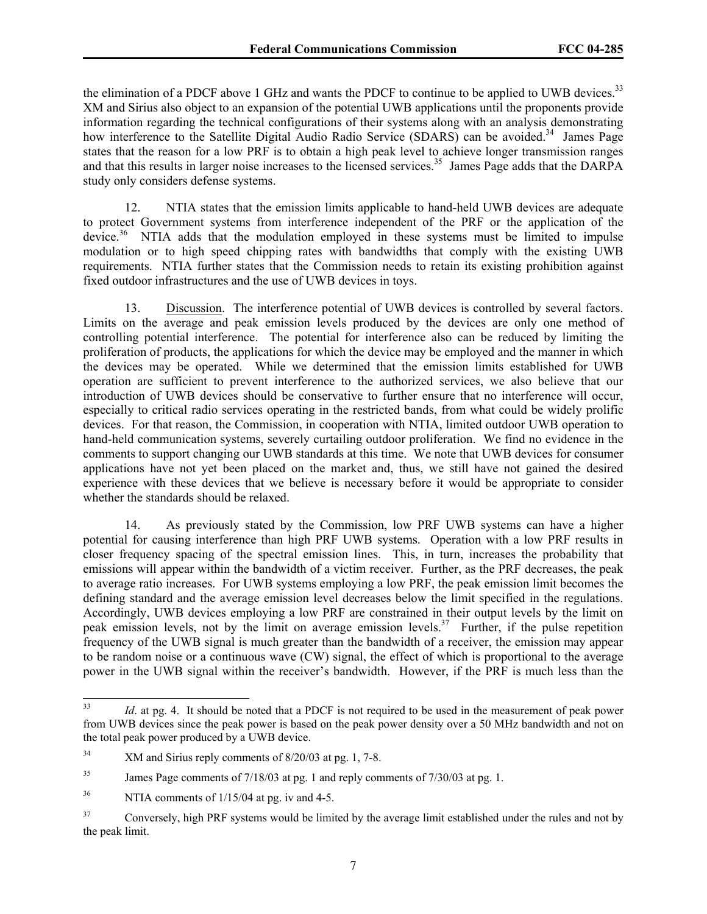the elimination of a PDCF above 1 GHz and wants the PDCF to continue to be applied to UWB devices.<sup>33</sup> XM and Sirius also object to an expansion of the potential UWB applications until the proponents provide information regarding the technical configurations of their systems along with an analysis demonstrating how interference to the Satellite Digital Audio Radio Service (SDARS) can be avoided.<sup>34</sup> James Page states that the reason for a low PRF is to obtain a high peak level to achieve longer transmission ranges and that this results in larger noise increases to the licensed services.<sup>35</sup> James Page adds that the DARPA study only considers defense systems.

12. NTIA states that the emission limits applicable to hand-held UWB devices are adequate to protect Government systems from interference independent of the PRF or the application of the device.<sup>36</sup> NTIA adds that the modulation employed in these systems must be limited to impulse modulation or to high speed chipping rates with bandwidths that comply with the existing UWB requirements. NTIA further states that the Commission needs to retain its existing prohibition against fixed outdoor infrastructures and the use of UWB devices in toys.

13. Discussion. The interference potential of UWB devices is controlled by several factors. Limits on the average and peak emission levels produced by the devices are only one method of controlling potential interference. The potential for interference also can be reduced by limiting the proliferation of products, the applications for which the device may be employed and the manner in which the devices may be operated. While we determined that the emission limits established for UWB operation are sufficient to prevent interference to the authorized services, we also believe that our introduction of UWB devices should be conservative to further ensure that no interference will occur, especially to critical radio services operating in the restricted bands, from what could be widely prolific devices. For that reason, the Commission, in cooperation with NTIA, limited outdoor UWB operation to hand-held communication systems, severely curtailing outdoor proliferation. We find no evidence in the comments to support changing our UWB standards at this time. We note that UWB devices for consumer applications have not yet been placed on the market and, thus, we still have not gained the desired experience with these devices that we believe is necessary before it would be appropriate to consider whether the standards should be relaxed.

14. As previously stated by the Commission, low PRF UWB systems can have a higher potential for causing interference than high PRF UWB systems. Operation with a low PRF results in closer frequency spacing of the spectral emission lines. This, in turn, increases the probability that emissions will appear within the bandwidth of a victim receiver. Further, as the PRF decreases, the peak to average ratio increases. For UWB systems employing a low PRF, the peak emission limit becomes the defining standard and the average emission level decreases below the limit specified in the regulations. Accordingly, UWB devices employing a low PRF are constrained in their output levels by the limit on peak emission levels, not by the limit on average emission levels.<sup>37</sup> Further, if the pulse repetition frequency of the UWB signal is much greater than the bandwidth of a receiver, the emission may appear to be random noise or a continuous wave (CW) signal, the effect of which is proportional to the average power in the UWB signal within the receiver's bandwidth. However, if the PRF is much less than the

 $33$ Id. at pg. 4. It should be noted that a PDCF is not required to be used in the measurement of peak power from UWB devices since the peak power is based on the peak power density over a 50 MHz bandwidth and not on the total peak power produced by a UWB device.

<sup>&</sup>lt;sup>34</sup> XM and Sirius reply comments of 8/20/03 at pg. 1, 7-8.

<sup>&</sup>lt;sup>35</sup> James Page comments of 7/18/03 at pg. 1 and reply comments of 7/30/03 at pg. 1.

 $36$  NTIA comments of  $1/15/04$  at pg. iv and 4-5.

<sup>&</sup>lt;sup>37</sup> Conversely, high PRF systems would be limited by the average limit established under the rules and not by the peak limit.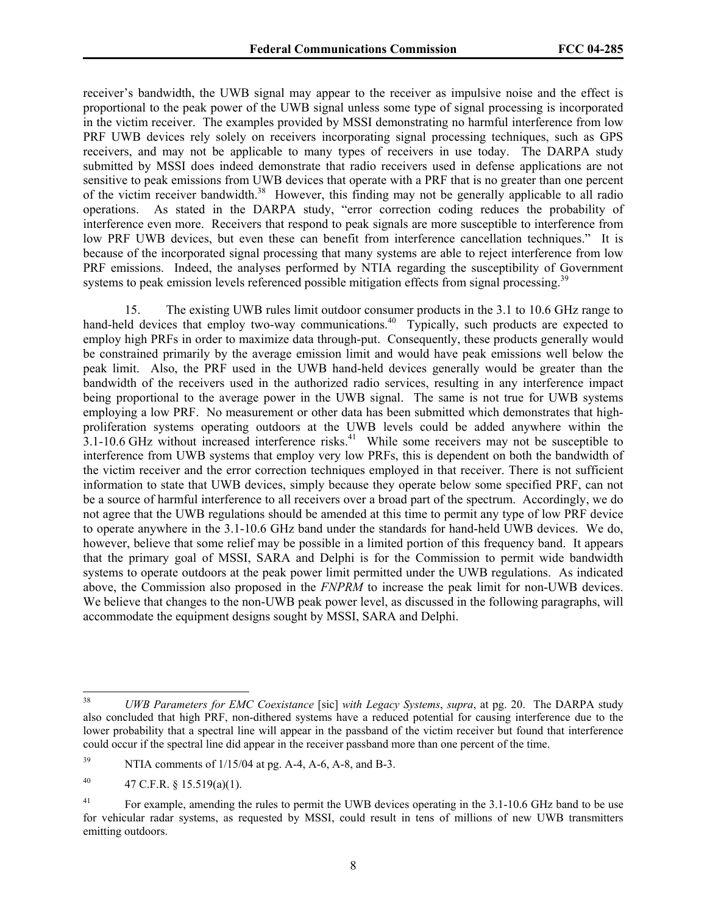receiver's bandwidth, the UWB signal may appear to the receiver as impulsive noise and the effect is proportional to the peak power of the UWB signal unless some type of signal processing is incorporated in the victim receiver. The examples provided by MSSI demonstrating no harmful interference from low PRF UWB devices rely solely on receivers incorporating signal processing techniques, such as GPS receivers, and may not be applicable to many types of receivers in use today. The DARPA study submitted by MSSI does indeed demonstrate that radio receivers used in defense applications are not sensitive to peak emissions from UWB devices that operate with a PRF that is no greater than one percent of the victim receiver bandwidth.<sup>38</sup> However, this finding may not be generally applicable to all radio operations. As stated in the DARPA study, "error correction coding reduces the probability of interference even more. Receivers that respond to peak signals are more susceptible to interference from low PRF UWB devices, but even these can benefit from interference cancellation techniques." It is because of the incorporated signal processing that many systems are able to reject interference from low PRF emissions. Indeed, the analyses performed by NTIA regarding the susceptibility of Government systems to peak emission levels referenced possible mitigation effects from signal processing.<sup>39</sup>

15. The existing UWB rules limit outdoor consumer products in the 3.1 to 10.6 GHz range to hand-held devices that employ two-way communications.<sup>40</sup> Typically, such products are expected to employ high PRFs in order to maximize data through-put. Consequently, these products generally would be constrained primarily by the average emission limit and would have peak emissions well below the peak limit. Also, the PRF used in the UWB hand-held devices generally would be greater than the bandwidth of the receivers used in the authorized radio services, resulting in any interference impact being proportional to the average power in the UWB signal. The same is not true for UWB systems employing a low PRF. No measurement or other data has been submitted which demonstrates that highproliferation systems operating outdoors at the UWB levels could be added anywhere within the  $3.1-10.6$  GHz without increased interference risks.<sup>41</sup> While some receivers may not be susceptible to interference from UWB systems that employ very low PRFs, this is dependent on both the bandwidth of the victim receiver and the error correction techniques employed in that receiver. There is not sufficient information to state that UWB devices, simply because they operate below some specified PRF, can not be a source of harmful interference to all receivers over a broad part of the spectrum. Accordingly, we do not agree that the UWB regulations should be amended at this time to permit any type of low PRF device to operate anywhere in the 3.1-10.6 GHz band under the standards for hand-held UWB devices. We do, however, believe that some relief may be possible in a limited portion of this frequency band. It appears that the primary goal of MSSI, SARA and Delphi is for the Commission to permit wide bandwidth systems to operate outdoors at the peak power limit permitted under the UWB regulations. As indicated above, the Commission also proposed in the *FNPRM* to increase the peak limit for non-UWB devices. We believe that changes to the non-UWB peak power level, as discussed in the following paragraphs, will accommodate the equipment designs sought by MSSI, SARA and Delphi.

<sup>38</sup> 38 *UWB Parameters for EMC Coexistance* [sic] *with Legacy Systems*, *supra*, at pg. 20. The DARPA study also concluded that high PRF, non-dithered systems have a reduced potential for causing interference due to the lower probability that a spectral line will appear in the passband of the victim receiver but found that interference could occur if the spectral line did appear in the receiver passband more than one percent of the time.

 $39$  NTIA comments of  $1/15/04$  at pg. A-4, A-6, A-8, and B-3.

<sup>40 47</sup> C.F.R. §  $15.519(a)(1)$ .

<sup>&</sup>lt;sup>41</sup> For example, amending the rules to permit the UWB devices operating in the 3.1-10.6 GHz band to be use for vehicular radar systems, as requested by MSSI, could result in tens of millions of new UWB transmitters emitting outdoors.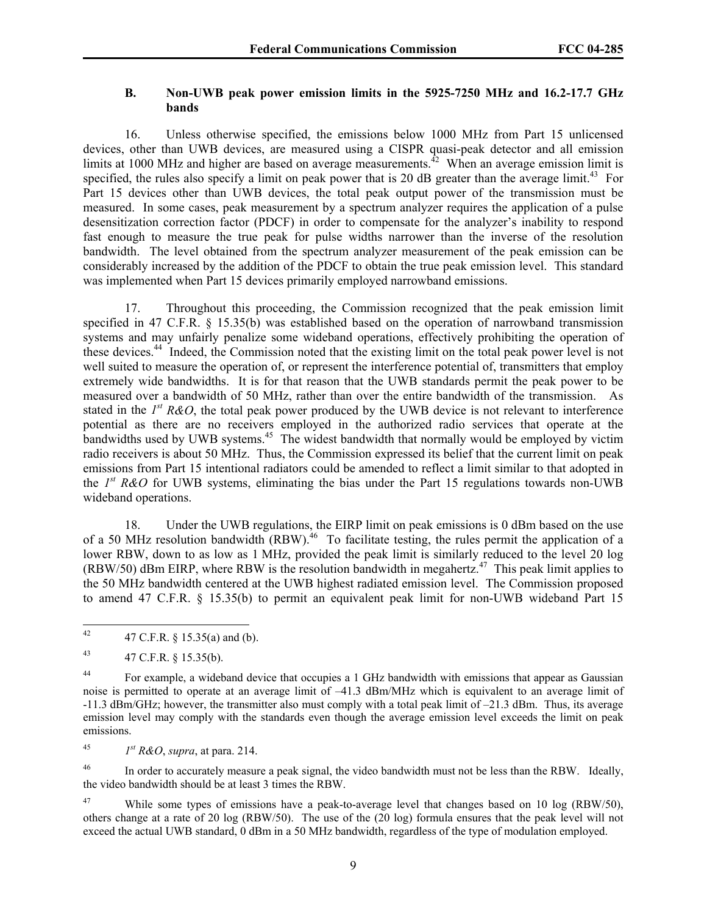# **B. Non-UWB peak power emission limits in the 5925-7250 MHz and 16.2-17.7 GHz bands**

16. Unless otherwise specified, the emissions below 1000 MHz from Part 15 unlicensed devices, other than UWB devices, are measured using a CISPR quasi-peak detector and all emission limits at 1000 MHz and higher are based on average measurements.<sup> $42$ </sup> When an average emission limit is specified, the rules also specify a limit on peak power that is 20 dB greater than the average limit.<sup>43</sup> For Part 15 devices other than UWB devices, the total peak output power of the transmission must be measured. In some cases, peak measurement by a spectrum analyzer requires the application of a pulse desensitization correction factor (PDCF) in order to compensate for the analyzer's inability to respond fast enough to measure the true peak for pulse widths narrower than the inverse of the resolution bandwidth. The level obtained from the spectrum analyzer measurement of the peak emission can be considerably increased by the addition of the PDCF to obtain the true peak emission level. This standard was implemented when Part 15 devices primarily employed narrowband emissions.

17. Throughout this proceeding, the Commission recognized that the peak emission limit specified in 47 C.F.R. § 15.35(b) was established based on the operation of narrowband transmission systems and may unfairly penalize some wideband operations, effectively prohibiting the operation of these devices.44 Indeed, the Commission noted that the existing limit on the total peak power level is not well suited to measure the operation of, or represent the interference potential of, transmitters that employ extremely wide bandwidths. It is for that reason that the UWB standards permit the peak power to be measured over a bandwidth of 50 MHz, rather than over the entire bandwidth of the transmission. As stated in the  $I^{st} R\&O$ , the total peak power produced by the UWB device is not relevant to interference potential as there are no receivers employed in the authorized radio services that operate at the bandwidths used by UWB systems.<sup>45</sup> The widest bandwidth that normally would be employed by victim radio receivers is about 50 MHz. Thus, the Commission expressed its belief that the current limit on peak emissions from Part 15 intentional radiators could be amended to reflect a limit similar to that adopted in the *1st R&O* for UWB systems, eliminating the bias under the Part 15 regulations towards non-UWB wideband operations.

18. Under the UWB regulations, the EIRP limit on peak emissions is 0 dBm based on the use of a 50 MHz resolution bandwidth (RBW).<sup>46</sup> To facilitate testing, the rules permit the application of a lower RBW, down to as low as 1 MHz, provided the peak limit is similarly reduced to the level 20 log (RBW/50) dBm EIRP, where RBW is the resolution bandwidth in megahertz.<sup>47</sup> This peak limit applies to the 50 MHz bandwidth centered at the UWB highest radiated emission level. The Commission proposed to amend 47 C.F.R. § 15.35(b) to permit an equivalent peak limit for non-UWB wideband Part 15

<sup>45</sup> *I*<sup>st</sup> R&O, *supra*, at para. 214.

<sup>46</sup> In order to accurately measure a peak signal, the video bandwidth must not be less than the RBW. Ideally, the video bandwidth should be at least 3 times the RBW.

<sup>47</sup> While some types of emissions have a peak-to-average level that changes based on 10 log (RBW/50), others change at a rate of 20 log (RBW/50). The use of the (20 log) formula ensures that the peak level will not exceed the actual UWB standard, 0 dBm in a 50 MHz bandwidth, regardless of the type of modulation employed.

<sup>42</sup> 42 47 C.F.R. § 15.35(a) and (b).

<sup>43 47</sup> C.F.R. § 15.35(b).

<sup>&</sup>lt;sup>44</sup> For example, a wideband device that occupies a 1 GHz bandwidth with emissions that appear as Gaussian noise is permitted to operate at an average limit of –41.3 dBm/MHz which is equivalent to an average limit of -11.3 dBm/GHz; however, the transmitter also must comply with a total peak limit of –21.3 dBm. Thus, its average emission level may comply with the standards even though the average emission level exceeds the limit on peak emissions.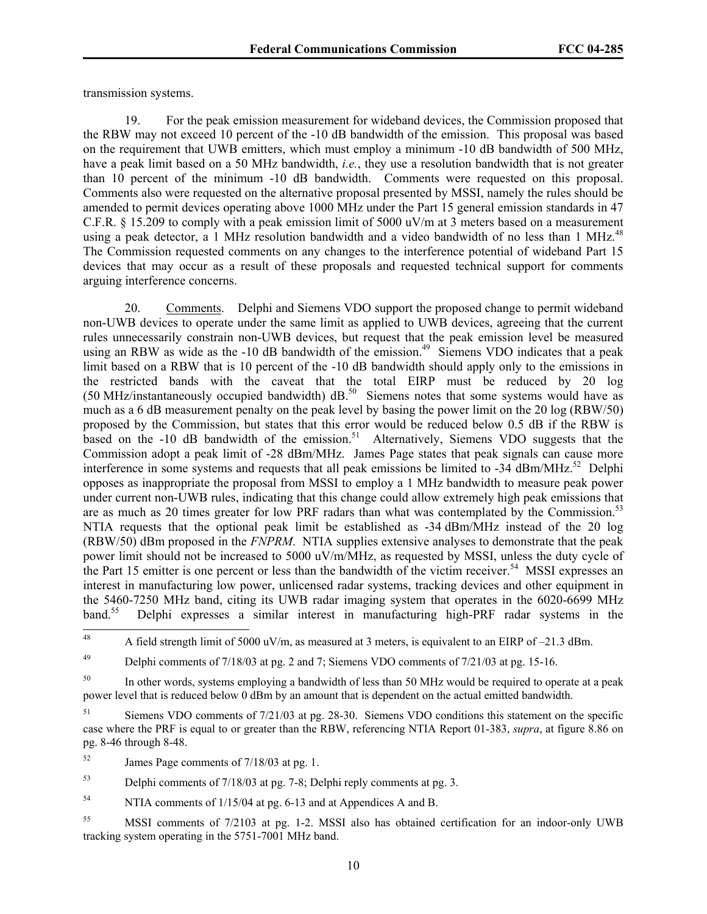transmission systems.

19. For the peak emission measurement for wideband devices, the Commission proposed that the RBW may not exceed 10 percent of the -10 dB bandwidth of the emission. This proposal was based on the requirement that UWB emitters, which must employ a minimum -10 dB bandwidth of 500 MHz, have a peak limit based on a 50 MHz bandwidth, *i.e.*, they use a resolution bandwidth that is not greater than 10 percent of the minimum -10 dB bandwidth. Comments were requested on this proposal. Comments also were requested on the alternative proposal presented by MSSI, namely the rules should be amended to permit devices operating above 1000 MHz under the Part 15 general emission standards in 47 C.F.R. § 15.209 to comply with a peak emission limit of 5000  $\mu$ V/m at 3 meters based on a measurement using a peak detector, a 1 MHz resolution bandwidth and a video bandwidth of no less than 1 MHz.<sup>48</sup> The Commission requested comments on any changes to the interference potential of wideband Part 15 devices that may occur as a result of these proposals and requested technical support for comments arguing interference concerns.

20. Comments. Delphi and Siemens VDO support the proposed change to permit wideband non-UWB devices to operate under the same limit as applied to UWB devices, agreeing that the current rules unnecessarily constrain non-UWB devices, but request that the peak emission level be measured using an RBW as wide as the -10 dB bandwidth of the emission.<sup>49</sup> Siemens VDO indicates that a peak limit based on a RBW that is 10 percent of the -10 dB bandwidth should apply only to the emissions in the restricted bands with the caveat that the total EIRP must be reduced by 20 log (50 MHz/instantaneously occupied bandwidth) dB.<sup>50</sup> Siemens notes that some systems would have as much as a 6 dB measurement penalty on the peak level by basing the power limit on the 20 log (RBW/50) proposed by the Commission, but states that this error would be reduced below 0.5 dB if the RBW is based on the  $-10$  dB bandwidth of the emission.<sup>51</sup> Alternatively, Siemens VDO suggests that the Commission adopt a peak limit of -28 dBm/MHz. James Page states that peak signals can cause more interference in some systems and requests that all peak emissions be limited to -34 dBm/MHz.<sup>52</sup> Delphi opposes as inappropriate the proposal from MSSI to employ a 1 MHz bandwidth to measure peak power under current non-UWB rules, indicating that this change could allow extremely high peak emissions that are as much as 20 times greater for low PRF radars than what was contemplated by the Commission.<sup>53</sup> NTIA requests that the optional peak limit be established as -34 dBm/MHz instead of the 20 log (RBW/50) dBm proposed in the *FNPRM*. NTIA supplies extensive analyses to demonstrate that the peak power limit should not be increased to 5000 uV/m/MHz, as requested by MSSI, unless the duty cycle of the Part 15 emitter is one percent or less than the bandwidth of the victim receiver.<sup>54</sup> MSSI expresses an interest in manufacturing low power, unlicensed radar systems, tracking devices and other equipment in the 5460-7250 MHz band, citing its UWB radar imaging system that operates in the 6020-6699 MHz band.<sup>55</sup> Delphi expresses a similar interest in manufacturing high-PRF radar systems in the

<sup>49</sup> Delphi comments of  $7/18/03$  at pg. 2 and 7; Siemens VDO comments of  $7/21/03$  at pg. 15-16.

<sup>50</sup> In other words, systems employing a bandwidth of less than 50 MHz would be required to operate at a peak power level that is reduced below 0 dBm by an amount that is dependent on the actual emitted bandwidth.

51 Siemens VDO comments of 7/21/03 at pg. 28-30. Siemens VDO conditions this statement on the specific case where the PRF is equal to or greater than the RBW, referencing NTIA Report 01-383, *supra*, at figure 8.86 on pg. 8-46 through 8-48.

<sup>52</sup> James Page comments of 7/18/03 at pg. 1.

53 Delphi comments of 7/18/03 at pg. 7-8; Delphi reply comments at pg. 3.

<sup>54</sup> NTIA comments of 1/15/04 at pg. 6-13 and at Appendices A and B.

55 MSSI comments of 7/2103 at pg. 1-2. MSSI also has obtained certification for an indoor-only UWB tracking system operating in the 5751-7001 MHz band.

<sup>48</sup> 48 A field strength limit of 5000 uV/m, as measured at 3 meters, is equivalent to an EIRP of –21.3 dBm.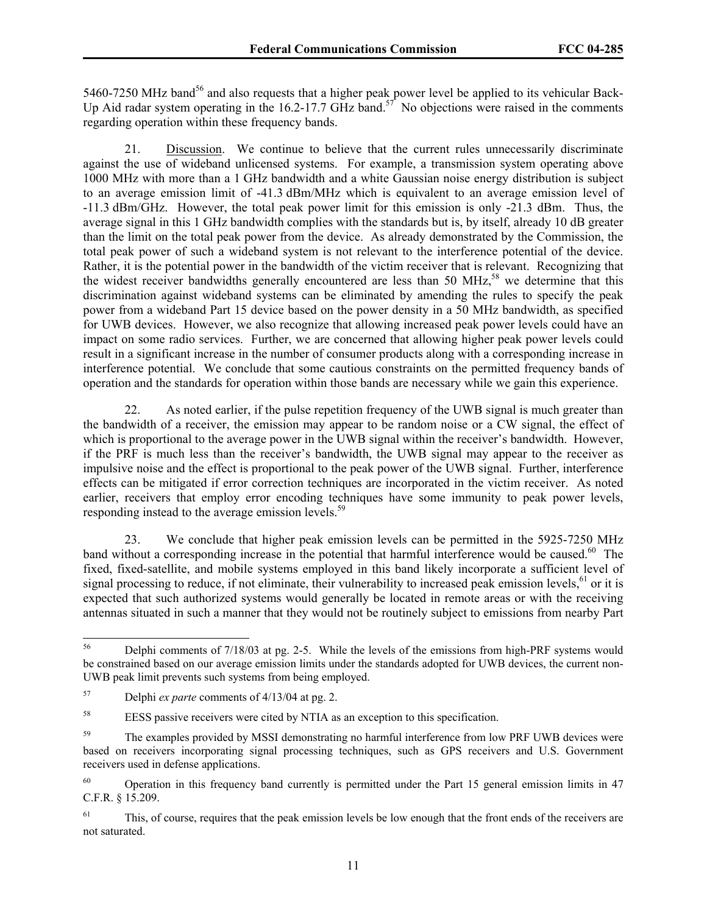5460-7250 MHz band<sup>56</sup> and also requests that a higher peak power level be applied to its vehicular Back-Up Aid radar system operating in the 16.2-17.7 GHz band.<sup>57</sup> No objections were raised in the comments regarding operation within these frequency bands.

21. Discussion. We continue to believe that the current rules unnecessarily discriminate against the use of wideband unlicensed systems. For example, a transmission system operating above 1000 MHz with more than a 1 GHz bandwidth and a white Gaussian noise energy distribution is subject to an average emission limit of -41.3 dBm/MHz which is equivalent to an average emission level of -11.3 dBm/GHz. However, the total peak power limit for this emission is only -21.3 dBm. Thus, the average signal in this 1 GHz bandwidth complies with the standards but is, by itself, already 10 dB greater than the limit on the total peak power from the device. As already demonstrated by the Commission, the total peak power of such a wideband system is not relevant to the interference potential of the device. Rather, it is the potential power in the bandwidth of the victim receiver that is relevant. Recognizing that the widest receiver bandwidths generally encountered are less than 50 MHz,<sup>58</sup> we determine that this discrimination against wideband systems can be eliminated by amending the rules to specify the peak power from a wideband Part 15 device based on the power density in a 50 MHz bandwidth, as specified for UWB devices. However, we also recognize that allowing increased peak power levels could have an impact on some radio services. Further, we are concerned that allowing higher peak power levels could result in a significant increase in the number of consumer products along with a corresponding increase in interference potential. We conclude that some cautious constraints on the permitted frequency bands of operation and the standards for operation within those bands are necessary while we gain this experience.

22. As noted earlier, if the pulse repetition frequency of the UWB signal is much greater than the bandwidth of a receiver, the emission may appear to be random noise or a CW signal, the effect of which is proportional to the average power in the UWB signal within the receiver's bandwidth. However, if the PRF is much less than the receiver's bandwidth, the UWB signal may appear to the receiver as impulsive noise and the effect is proportional to the peak power of the UWB signal. Further, interference effects can be mitigated if error correction techniques are incorporated in the victim receiver. As noted earlier, receivers that employ error encoding techniques have some immunity to peak power levels, responding instead to the average emission levels.<sup>59</sup>

23. We conclude that higher peak emission levels can be permitted in the 5925-7250 MHz band without a corresponding increase in the potential that harmful interference would be caused.<sup>60</sup> The fixed, fixed-satellite, and mobile systems employed in this band likely incorporate a sufficient level of signal processing to reduce, if not eliminate, their vulnerability to increased peak emission levels, $^{61}$  or it is expected that such authorized systems would generally be located in remote areas or with the receiving antennas situated in such a manner that they would not be routinely subject to emissions from nearby Part

<sup>56</sup> 56 Delphi comments of 7/18/03 at pg. 2-5. While the levels of the emissions from high-PRF systems would be constrained based on our average emission limits under the standards adopted for UWB devices, the current non-UWB peak limit prevents such systems from being employed.

<sup>57</sup> Delphi *ex parte* comments of 4/13/04 at pg. 2.

<sup>58</sup> EESS passive receivers were cited by NTIA as an exception to this specification.

<sup>&</sup>lt;sup>59</sup> The examples provided by MSSI demonstrating no harmful interference from low PRF UWB devices were based on receivers incorporating signal processing techniques, such as GPS receivers and U.S. Government receivers used in defense applications.

<sup>&</sup>lt;sup>60</sup> Operation in this frequency band currently is permitted under the Part 15 general emission limits in 47 C.F.R. § 15.209.

<sup>&</sup>lt;sup>61</sup> This, of course, requires that the peak emission levels be low enough that the front ends of the receivers are not saturated.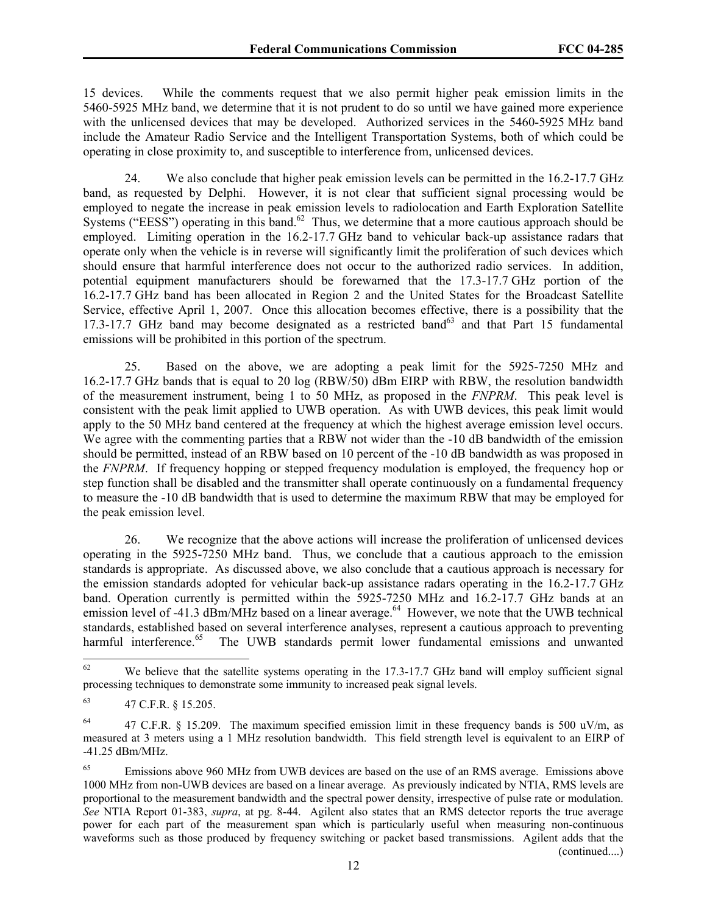15 devices. While the comments request that we also permit higher peak emission limits in the 5460-5925 MHz band, we determine that it is not prudent to do so until we have gained more experience with the unlicensed devices that may be developed. Authorized services in the 5460-5925 MHz band include the Amateur Radio Service and the Intelligent Transportation Systems, both of which could be operating in close proximity to, and susceptible to interference from, unlicensed devices.

24. We also conclude that higher peak emission levels can be permitted in the 16.2-17.7 GHz band, as requested by Delphi. However, it is not clear that sufficient signal processing would be employed to negate the increase in peak emission levels to radiolocation and Earth Exploration Satellite Systems ("EESS") operating in this band.<sup>62</sup> Thus, we determine that a more cautious approach should be employed. Limiting operation in the 16.2-17.7 GHz band to vehicular back-up assistance radars that operate only when the vehicle is in reverse will significantly limit the proliferation of such devices which should ensure that harmful interference does not occur to the authorized radio services. In addition, potential equipment manufacturers should be forewarned that the 17.3-17.7 GHz portion of the 16.2-17.7 GHz band has been allocated in Region 2 and the United States for the Broadcast Satellite Service, effective April 1, 2007. Once this allocation becomes effective, there is a possibility that the 17.3-17.7 GHz band may become designated as a restricted band<sup>63</sup> and that Part 15 fundamental emissions will be prohibited in this portion of the spectrum.

25. Based on the above, we are adopting a peak limit for the 5925-7250 MHz and 16.2-17.7 GHz bands that is equal to 20 log (RBW/50) dBm EIRP with RBW, the resolution bandwidth of the measurement instrument, being 1 to 50 MHz, as proposed in the *FNPRM*. This peak level is consistent with the peak limit applied to UWB operation. As with UWB devices, this peak limit would apply to the 50 MHz band centered at the frequency at which the highest average emission level occurs. We agree with the commenting parties that a RBW not wider than the -10 dB bandwidth of the emission should be permitted, instead of an RBW based on 10 percent of the -10 dB bandwidth as was proposed in the *FNPRM*. If frequency hopping or stepped frequency modulation is employed, the frequency hop or step function shall be disabled and the transmitter shall operate continuously on a fundamental frequency to measure the -10 dB bandwidth that is used to determine the maximum RBW that may be employed for the peak emission level.

26. We recognize that the above actions will increase the proliferation of unlicensed devices operating in the 5925-7250 MHz band. Thus, we conclude that a cautious approach to the emission standards is appropriate. As discussed above, we also conclude that a cautious approach is necessary for the emission standards adopted for vehicular back-up assistance radars operating in the 16.2-17.7 GHz band. Operation currently is permitted within the 5925-7250 MHz and 16.2-17.7 GHz bands at an emission level of -41.3 dBm/MHz based on a linear average.<sup>64</sup> However, we note that the UWB technical standards, established based on several interference analyses, represent a cautious approach to preventing harmful interference.<sup>65</sup> The UWB standards permit lower fundamental emissions and unwanted

<sup>62</sup> We believe that the satellite systems operating in the 17.3-17.7 GHz band will employ sufficient signal processing techniques to demonstrate some immunity to increased peak signal levels.

<sup>63 47</sup> C.F.R. § 15.205.

<sup>&</sup>lt;sup>64</sup> 47 C.F.R. § 15.209. The maximum specified emission limit in these frequency bands is 500 uV/m, as measured at 3 meters using a 1 MHz resolution bandwidth. This field strength level is equivalent to an EIRP of -41.25 dBm/MHz.

<sup>&</sup>lt;sup>65</sup> Emissions above 960 MHz from UWB devices are based on the use of an RMS average. Emissions above 1000 MHz from non-UWB devices are based on a linear average. As previously indicated by NTIA, RMS levels are proportional to the measurement bandwidth and the spectral power density, irrespective of pulse rate or modulation. *See* NTIA Report 01-383, *supra*, at pg. 8-44. Agilent also states that an RMS detector reports the true average power for each part of the measurement span which is particularly useful when measuring non-continuous waveforms such as those produced by frequency switching or packet based transmissions. Agilent adds that the (continued....)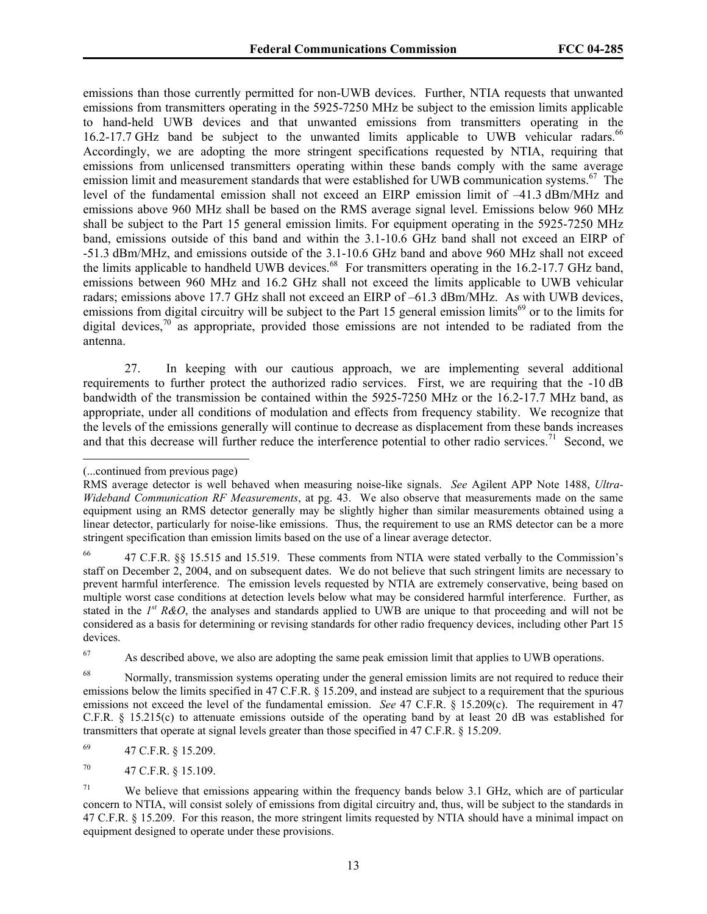emissions than those currently permitted for non-UWB devices. Further, NTIA requests that unwanted emissions from transmitters operating in the 5925-7250 MHz be subject to the emission limits applicable to hand-held UWB devices and that unwanted emissions from transmitters operating in the 16.2-17.7 GHz band be subject to the unwanted limits applicable to UWB vehicular radars.<sup>66</sup> Accordingly, we are adopting the more stringent specifications requested by NTIA, requiring that emissions from unlicensed transmitters operating within these bands comply with the same average emission limit and measurement standards that were established for UWB communication systems.<sup>67</sup> The level of the fundamental emission shall not exceed an EIRP emission limit of –41.3 dBm/MHz and emissions above 960 MHz shall be based on the RMS average signal level. Emissions below 960 MHz shall be subject to the Part 15 general emission limits. For equipment operating in the 5925-7250 MHz band, emissions outside of this band and within the 3.1-10.6 GHz band shall not exceed an EIRP of -51.3 dBm/MHz, and emissions outside of the 3.1-10.6 GHz band and above 960 MHz shall not exceed the limits applicable to handheld UWB devices.<sup>68</sup> For transmitters operating in the 16.2-17.7 GHz band, emissions between 960 MHz and 16.2 GHz shall not exceed the limits applicable to UWB vehicular radars; emissions above 17.7 GHz shall not exceed an EIRP of –61.3 dBm/MHz. As with UWB devices, emissions from digital circuitry will be subject to the Part 15 general emission limits<sup>69</sup> or to the limits for digital devices,<sup>70</sup> as appropriate, provided those emissions are not intended to be radiated from the antenna.

27. In keeping with our cautious approach, we are implementing several additional requirements to further protect the authorized radio services. First, we are requiring that the -10 dB bandwidth of the transmission be contained within the 5925-7250 MHz or the 16.2-17.7 MHz band, as appropriate, under all conditions of modulation and effects from frequency stability. We recognize that the levels of the emissions generally will continue to decrease as displacement from these bands increases and that this decrease will further reduce the interference potential to other radio services.<sup>71</sup> Second, we

 $\overline{a}$ 

<sup>67</sup> As described above, we also are adopting the same peak emission limit that applies to UWB operations.

<sup>(...</sup>continued from previous page)

RMS average detector is well behaved when measuring noise-like signals. *See* Agilent APP Note 1488, *Ultra-Wideband Communication RF Measurements*, at pg. 43. We also observe that measurements made on the same equipment using an RMS detector generally may be slightly higher than similar measurements obtained using a linear detector, particularly for noise-like emissions. Thus, the requirement to use an RMS detector can be a more stringent specification than emission limits based on the use of a linear average detector.

<sup>66 47</sup> C.F.R. §§ 15.515 and 15.519. These comments from NTIA were stated verbally to the Commission's staff on December 2, 2004, and on subsequent dates. We do not believe that such stringent limits are necessary to prevent harmful interference. The emission levels requested by NTIA are extremely conservative, being based on multiple worst case conditions at detection levels below what may be considered harmful interference. Further, as stated in the *1st R&O*, the analyses and standards applied to UWB are unique to that proceeding and will not be considered as a basis for determining or revising standards for other radio frequency devices, including other Part 15 devices.

<sup>&</sup>lt;sup>68</sup> Normally, transmission systems operating under the general emission limits are not required to reduce their emissions below the limits specified in 47 C.F.R. § 15.209, and instead are subject to a requirement that the spurious emissions not exceed the level of the fundamental emission. *See* 47 C.F.R. § 15.209(c). The requirement in 47 C.F.R. § 15.215(c) to attenuate emissions outside of the operating band by at least 20 dB was established for transmitters that operate at signal levels greater than those specified in 47 C.F.R. § 15.209.

<sup>69 47</sup> C.F.R. § 15.209.

<sup>70 47</sup> C.F.R. § 15.109.

<sup>&</sup>lt;sup>71</sup> We believe that emissions appearing within the frequency bands below 3.1 GHz, which are of particular concern to NTIA, will consist solely of emissions from digital circuitry and, thus, will be subject to the standards in 47 C.F.R. § 15.209. For this reason, the more stringent limits requested by NTIA should have a minimal impact on equipment designed to operate under these provisions.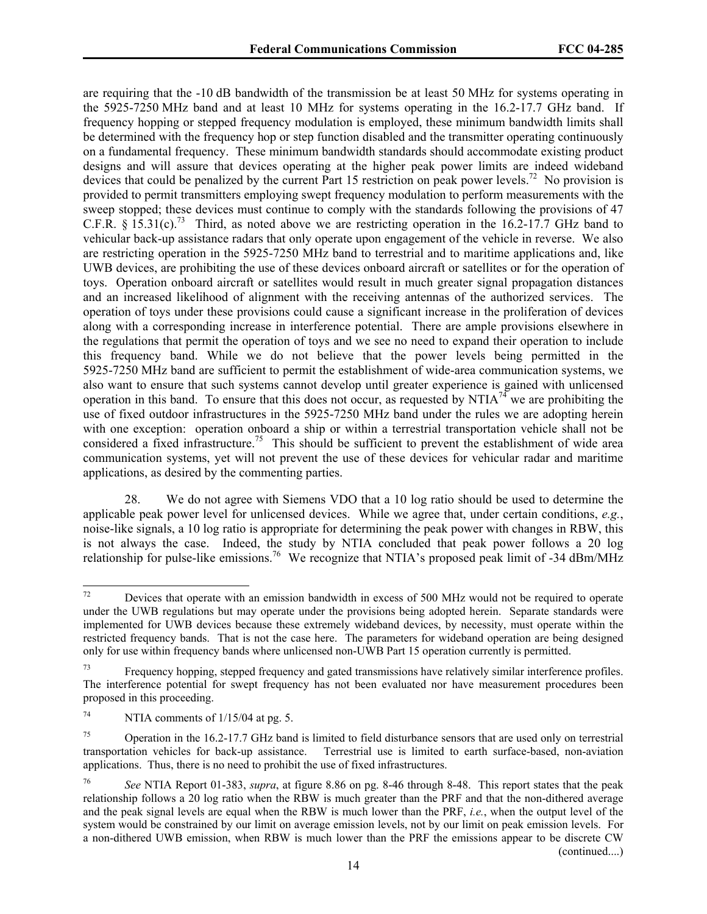are requiring that the -10 dB bandwidth of the transmission be at least 50 MHz for systems operating in the 5925-7250 MHz band and at least 10 MHz for systems operating in the 16.2-17.7 GHz band. If frequency hopping or stepped frequency modulation is employed, these minimum bandwidth limits shall be determined with the frequency hop or step function disabled and the transmitter operating continuously on a fundamental frequency. These minimum bandwidth standards should accommodate existing product designs and will assure that devices operating at the higher peak power limits are indeed wideband devices that could be penalized by the current Part 15 restriction on peak power levels.<sup>72</sup> No provision is provided to permit transmitters employing swept frequency modulation to perform measurements with the sweep stopped; these devices must continue to comply with the standards following the provisions of 47 C.F.R.  $\S$  15.31(c).<sup>73</sup> Third, as noted above we are restricting operation in the 16.2-17.7 GHz band to vehicular back-up assistance radars that only operate upon engagement of the vehicle in reverse. We also are restricting operation in the 5925-7250 MHz band to terrestrial and to maritime applications and, like UWB devices, are prohibiting the use of these devices onboard aircraft or satellites or for the operation of toys. Operation onboard aircraft or satellites would result in much greater signal propagation distances and an increased likelihood of alignment with the receiving antennas of the authorized services. The operation of toys under these provisions could cause a significant increase in the proliferation of devices along with a corresponding increase in interference potential. There are ample provisions elsewhere in the regulations that permit the operation of toys and we see no need to expand their operation to include this frequency band. While we do not believe that the power levels being permitted in the 5925-7250 MHz band are sufficient to permit the establishment of wide-area communication systems, we also want to ensure that such systems cannot develop until greater experience is gained with unlicensed operation in this band. To ensure that this does not occur, as requested by  $NTIA^{74}$  we are prohibiting the use of fixed outdoor infrastructures in the 5925-7250 MHz band under the rules we are adopting herein with one exception: operation onboard a ship or within a terrestrial transportation vehicle shall not be considered a fixed infrastructure.<sup>75</sup> This should be sufficient to prevent the establishment of wide area communication systems, yet will not prevent the use of these devices for vehicular radar and maritime applications, as desired by the commenting parties.

28. We do not agree with Siemens VDO that a 10 log ratio should be used to determine the applicable peak power level for unlicensed devices. While we agree that, under certain conditions, *e.g.*, noise-like signals, a 10 log ratio is appropriate for determining the peak power with changes in RBW, this is not always the case. Indeed, the study by NTIA concluded that peak power follows a 20 log relationship for pulse-like emissions.<sup>76</sup> We recognize that NTIA's proposed peak limit of -34 dBm/MHz

<sup>72</sup> Devices that operate with an emission bandwidth in excess of 500 MHz would not be required to operate under the UWB regulations but may operate under the provisions being adopted herein. Separate standards were implemented for UWB devices because these extremely wideband devices, by necessity, must operate within the restricted frequency bands. That is not the case here. The parameters for wideband operation are being designed only for use within frequency bands where unlicensed non-UWB Part 15 operation currently is permitted.

<sup>&</sup>lt;sup>73</sup> Frequency hopping, stepped frequency and gated transmissions have relatively similar interference profiles. The interference potential for swept frequency has not been evaluated nor have measurement procedures been proposed in this proceeding.

<sup>&</sup>lt;sup>74</sup> NTIA comments of  $1/15/04$  at pg. 5.

<sup>&</sup>lt;sup>75</sup> Operation in the 16.2-17.7 GHz band is limited to field disturbance sensors that are used only on terrestrial transportation vehicles for back-up assistance. Terrestrial use is limited to earth surface-based, non-aviation applications. Thus, there is no need to prohibit the use of fixed infrastructures.

<sup>76</sup> *See* NTIA Report 01-383, *supra*, at figure 8.86 on pg. 8-46 through 8-48. This report states that the peak relationship follows a 20 log ratio when the RBW is much greater than the PRF and that the non-dithered average and the peak signal levels are equal when the RBW is much lower than the PRF, *i.e.*, when the output level of the system would be constrained by our limit on average emission levels, not by our limit on peak emission levels. For a non-dithered UWB emission, when RBW is much lower than the PRF the emissions appear to be discrete CW (continued....)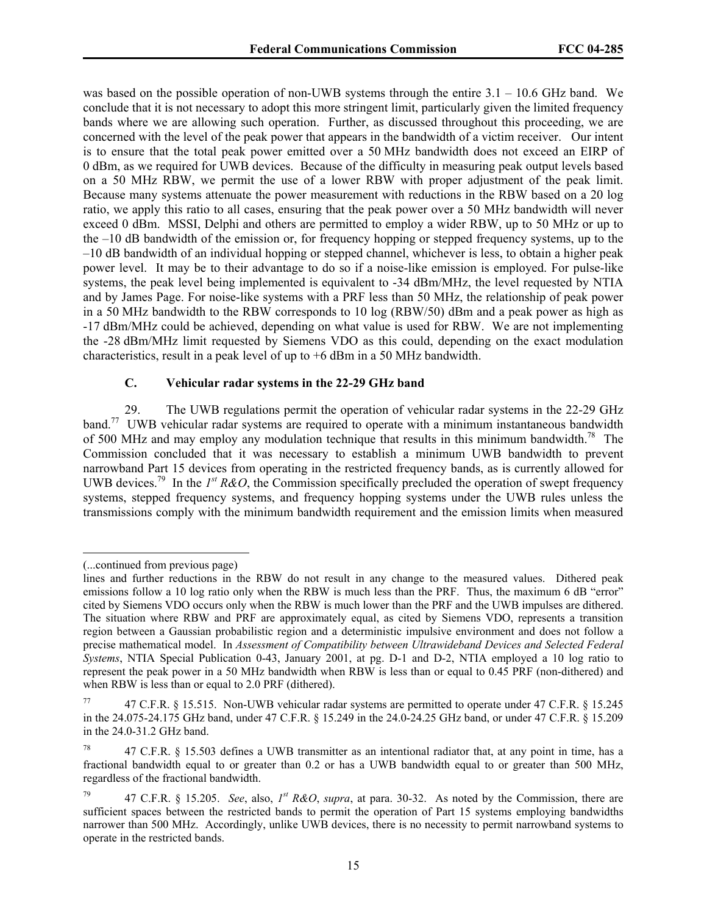was based on the possible operation of non-UWB systems through the entire  $3.1 - 10.6$  GHz band. We conclude that it is not necessary to adopt this more stringent limit, particularly given the limited frequency bands where we are allowing such operation. Further, as discussed throughout this proceeding, we are concerned with the level of the peak power that appears in the bandwidth of a victim receiver. Our intent is to ensure that the total peak power emitted over a 50 MHz bandwidth does not exceed an EIRP of 0 dBm, as we required for UWB devices. Because of the difficulty in measuring peak output levels based on a 50 MHz RBW, we permit the use of a lower RBW with proper adjustment of the peak limit. Because many systems attenuate the power measurement with reductions in the RBW based on a 20 log ratio, we apply this ratio to all cases, ensuring that the peak power over a 50 MHz bandwidth will never exceed 0 dBm. MSSI, Delphi and others are permitted to employ a wider RBW, up to 50 MHz or up to the –10 dB bandwidth of the emission or, for frequency hopping or stepped frequency systems, up to the –10 dB bandwidth of an individual hopping or stepped channel, whichever is less, to obtain a higher peak power level. It may be to their advantage to do so if a noise-like emission is employed. For pulse-like systems, the peak level being implemented is equivalent to -34 dBm/MHz, the level requested by NTIA and by James Page. For noise-like systems with a PRF less than 50 MHz, the relationship of peak power in a 50 MHz bandwidth to the RBW corresponds to 10 log (RBW/50) dBm and a peak power as high as -17 dBm/MHz could be achieved, depending on what value is used for RBW. We are not implementing the -28 dBm/MHz limit requested by Siemens VDO as this could, depending on the exact modulation characteristics, result in a peak level of up to +6 dBm in a 50 MHz bandwidth.

# **C. Vehicular radar systems in the 22-29 GHz band**

29. The UWB regulations permit the operation of vehicular radar systems in the 22-29 GHz band.<sup>77</sup> UWB vehicular radar systems are required to operate with a minimum instantaneous bandwidth of 500 MHz and may employ any modulation technique that results in this minimum bandwidth.<sup>78</sup> The Commission concluded that it was necessary to establish a minimum UWB bandwidth to prevent narrowband Part 15 devices from operating in the restricted frequency bands, as is currently allowed for UWB devices.<sup>79</sup> In the  $I<sup>st</sup> R&O$ , the Commission specifically precluded the operation of swept frequency systems, stepped frequency systems, and frequency hopping systems under the UWB rules unless the transmissions comply with the minimum bandwidth requirement and the emission limits when measured

 $\overline{a}$ 

<sup>(...</sup>continued from previous page)

lines and further reductions in the RBW do not result in any change to the measured values. Dithered peak emissions follow a 10 log ratio only when the RBW is much less than the PRF. Thus, the maximum 6 dB "error" cited by Siemens VDO occurs only when the RBW is much lower than the PRF and the UWB impulses are dithered. The situation where RBW and PRF are approximately equal, as cited by Siemens VDO, represents a transition region between a Gaussian probabilistic region and a deterministic impulsive environment and does not follow a precise mathematical model. In *Assessment of Compatibility between Ultrawideband Devices and Selected Federal Systems*, NTIA Special Publication 0-43, January 2001, at pg. D-1 and D-2, NTIA employed a 10 log ratio to represent the peak power in a 50 MHz bandwidth when RBW is less than or equal to 0.45 PRF (non-dithered) and when RBW is less than or equal to 2.0 PRF (dithered).

<sup>77 47</sup> C.F.R. § 15.515. Non-UWB vehicular radar systems are permitted to operate under 47 C.F.R. § 15.245 in the 24.075-24.175 GHz band, under 47 C.F.R. § 15.249 in the 24.0-24.25 GHz band, or under 47 C.F.R. § 15.209 in the 24.0-31.2 GHz band.

<sup>47</sup> C.F.R. § 15.503 defines a UWB transmitter as an intentional radiator that, at any point in time, has a fractional bandwidth equal to or greater than 0.2 or has a UWB bandwidth equal to or greater than 500 MHz, regardless of the fractional bandwidth.

<sup>79 47</sup> C.F.R. § 15.205. *See*, also, *1st R&O*, *supra*, at para. 30-32. As noted by the Commission, there are sufficient spaces between the restricted bands to permit the operation of Part 15 systems employing bandwidths narrower than 500 MHz. Accordingly, unlike UWB devices, there is no necessity to permit narrowband systems to operate in the restricted bands.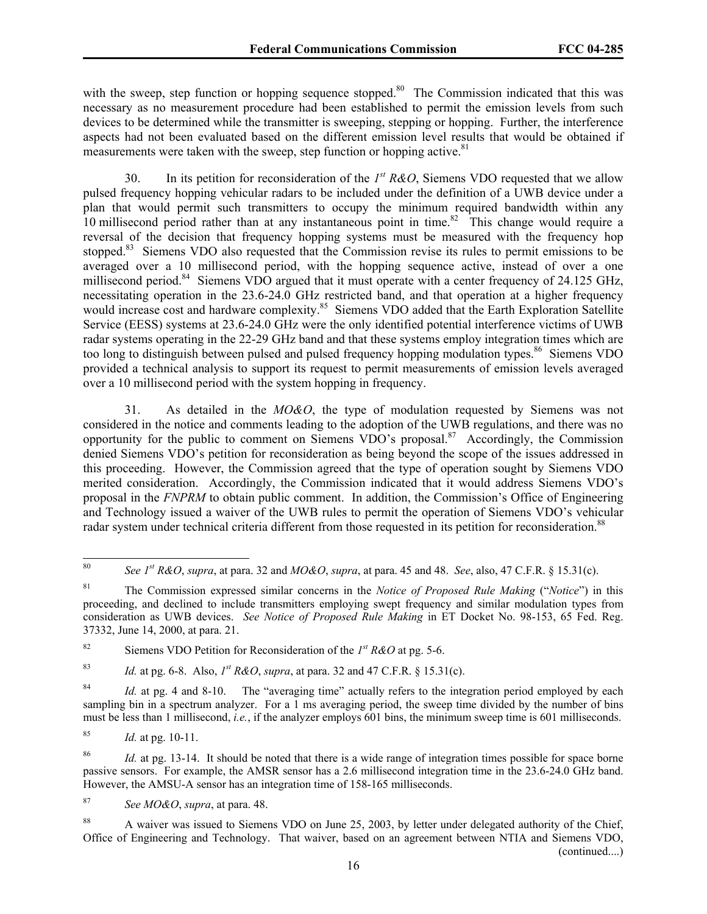with the sweep, step function or hopping sequence stopped.<sup>80</sup> The Commission indicated that this was necessary as no measurement procedure had been established to permit the emission levels from such devices to be determined while the transmitter is sweeping, stepping or hopping. Further, the interference aspects had not been evaluated based on the different emission level results that would be obtained if measurements were taken with the sweep, step function or hopping active.<sup>81</sup>

30. In its petition for reconsideration of the *1st R&O*, Siemens VDO requested that we allow pulsed frequency hopping vehicular radars to be included under the definition of a UWB device under a plan that would permit such transmitters to occupy the minimum required bandwidth within any 10 millisecond period rather than at any instantaneous point in time.<sup>82</sup> This change would require a reversal of the decision that frequency hopping systems must be measured with the frequency hop stopped.<sup>83</sup> Siemens VDO also requested that the Commission revise its rules to permit emissions to be averaged over a 10 millisecond period, with the hopping sequence active, instead of over a one millisecond period.<sup>84</sup> Siemens VDO argued that it must operate with a center frequency of 24.125 GHz, necessitating operation in the 23.6-24.0 GHz restricted band, and that operation at a higher frequency would increase cost and hardware complexity.<sup>85</sup> Siemens VDO added that the Earth Exploration Satellite Service (EESS) systems at 23.6-24.0 GHz were the only identified potential interference victims of UWB radar systems operating in the 22-29 GHz band and that these systems employ integration times which are too long to distinguish between pulsed and pulsed frequency hopping modulation types.<sup>86</sup> Siemens VDO provided a technical analysis to support its request to permit measurements of emission levels averaged over a 10 millisecond period with the system hopping in frequency.

31. As detailed in the *MO&O*, the type of modulation requested by Siemens was not considered in the notice and comments leading to the adoption of the UWB regulations, and there was no opportunity for the public to comment on Siemens VDO's proposal.87 Accordingly, the Commission denied Siemens VDO's petition for reconsideration as being beyond the scope of the issues addressed in this proceeding. However, the Commission agreed that the type of operation sought by Siemens VDO merited consideration. Accordingly, the Commission indicated that it would address Siemens VDO's proposal in the *FNPRM* to obtain public comment. In addition, the Commission's Office of Engineering and Technology issued a waiver of the UWB rules to permit the operation of Siemens VDO's vehicular radar system under technical criteria different from those requested in its petition for reconsideration.<sup>88</sup>

83 *Id.* at pg. 6-8. Also, *1st R&O*, *supra*, at para. 32 and 47 C.F.R. § 15.31(c).

<sup>84</sup> *Id.* at pg. 4 and 8-10. The "averaging time" actually refers to the integration period employed by each sampling bin in a spectrum analyzer. For a 1 ms averaging period, the sweep time divided by the number of bins must be less than 1 millisecond, *i.e.*, if the analyzer employs 601 bins, the minimum sweep time is 601 milliseconds.

85 *Id.* at pg. 10-11.

<sup>86</sup> *Id.* at pg. 13-14. It should be noted that there is a wide range of integration times possible for space borne passive sensors. For example, the AMSR sensor has a 2.6 millisecond integration time in the 23.6-24.0 GHz band. However, the AMSU-A sensor has an integration time of 158-165 milliseconds.

87 *See MO&O*, *supra*, at para. 48.

<sup>88</sup> A waiver was issued to Siemens VDO on June 25, 2003, by letter under delegated authority of the Chief, Office of Engineering and Technology. That waiver, based on an agreement between NTIA and Siemens VDO, (continued....)

 $80\,$ See  $I^{st}$  R&O, *supra*, at para. 32 and  $MO\&O$ , *supra*, at para. 45 and 48. *See*, also, 47 C.F.R. § 15.31(c).

<sup>81</sup> The Commission expressed similar concerns in the *Notice of Proposed Rule Making* ("*Notice*") in this proceeding, and declined to include transmitters employing swept frequency and similar modulation types from consideration as UWB devices. *See Notice of Proposed Rule Making* in ET Docket No. 98-153, 65 Fed. Reg. 37332, June 14, 2000, at para. 21.

<sup>&</sup>lt;sup>82</sup> Siemens VDO Petition for Reconsideration of the  $I<sup>st</sup> R&O$  at pg. 5-6.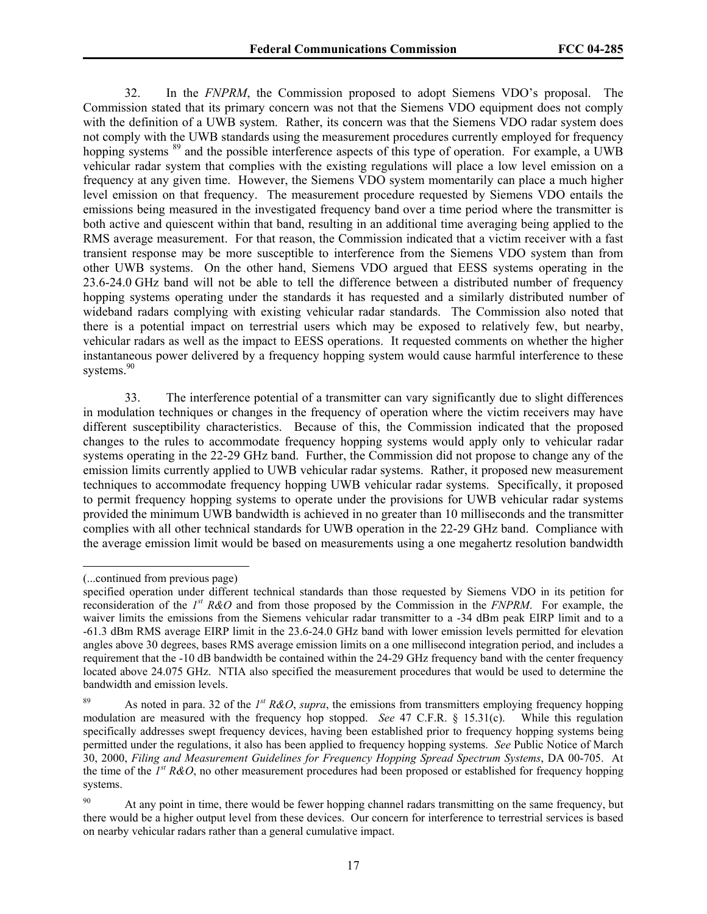32. In the *FNPRM*, the Commission proposed to adopt Siemens VDO's proposal. The Commission stated that its primary concern was not that the Siemens VDO equipment does not comply with the definition of a UWB system. Rather, its concern was that the Siemens VDO radar system does not comply with the UWB standards using the measurement procedures currently employed for frequency hopping systems <sup>89</sup> and the possible interference aspects of this type of operation. For example, a UWB vehicular radar system that complies with the existing regulations will place a low level emission on a frequency at any given time. However, the Siemens VDO system momentarily can place a much higher level emission on that frequency. The measurement procedure requested by Siemens VDO entails the emissions being measured in the investigated frequency band over a time period where the transmitter is both active and quiescent within that band, resulting in an additional time averaging being applied to the RMS average measurement. For that reason, the Commission indicated that a victim receiver with a fast transient response may be more susceptible to interference from the Siemens VDO system than from other UWB systems. On the other hand, Siemens VDO argued that EESS systems operating in the 23.6-24.0 GHz band will not be able to tell the difference between a distributed number of frequency hopping systems operating under the standards it has requested and a similarly distributed number of wideband radars complying with existing vehicular radar standards. The Commission also noted that there is a potential impact on terrestrial users which may be exposed to relatively few, but nearby, vehicular radars as well as the impact to EESS operations. It requested comments on whether the higher instantaneous power delivered by a frequency hopping system would cause harmful interference to these systems.<sup>90</sup>

33. The interference potential of a transmitter can vary significantly due to slight differences in modulation techniques or changes in the frequency of operation where the victim receivers may have different susceptibility characteristics. Because of this, the Commission indicated that the proposed changes to the rules to accommodate frequency hopping systems would apply only to vehicular radar systems operating in the 22-29 GHz band. Further, the Commission did not propose to change any of the emission limits currently applied to UWB vehicular radar systems. Rather, it proposed new measurement techniques to accommodate frequency hopping UWB vehicular radar systems. Specifically, it proposed to permit frequency hopping systems to operate under the provisions for UWB vehicular radar systems provided the minimum UWB bandwidth is achieved in no greater than 10 milliseconds and the transmitter complies with all other technical standards for UWB operation in the 22-29 GHz band. Compliance with the average emission limit would be based on measurements using a one megahertz resolution bandwidth

 $\overline{a}$ 

<sup>(...</sup>continued from previous page)

specified operation under different technical standards than those requested by Siemens VDO in its petition for reconsideration of the *1st R&O* and from those proposed by the Commission in the *FNPRM*. For example, the waiver limits the emissions from the Siemens vehicular radar transmitter to a -34 dBm peak EIRP limit and to a -61.3 dBm RMS average EIRP limit in the 23.6-24.0 GHz band with lower emission levels permitted for elevation angles above 30 degrees, bases RMS average emission limits on a one millisecond integration period, and includes a requirement that the -10 dB bandwidth be contained within the 24-29 GHz frequency band with the center frequency located above 24.075 GHz. NTIA also specified the measurement procedures that would be used to determine the bandwidth and emission levels.

<sup>89</sup> As noted in para. 32 of the *1st R&O*, *supra*, the emissions from transmitters employing frequency hopping modulation are measured with the frequency hop stopped. *See* 47 C.F.R. § 15.31(c). While this regulation specifically addresses swept frequency devices, having been established prior to frequency hopping systems being permitted under the regulations, it also has been applied to frequency hopping systems. *See* Public Notice of March 30, 2000, *Filing and Measurement Guidelines for Frequency Hopping Spread Spectrum Systems*, DA 00-705. At the time of the *1st R&O*, no other measurement procedures had been proposed or established for frequency hopping systems.

<sup>&</sup>lt;sup>90</sup> At any point in time, there would be fewer hopping channel radars transmitting on the same frequency, but there would be a higher output level from these devices. Our concern for interference to terrestrial services is based on nearby vehicular radars rather than a general cumulative impact.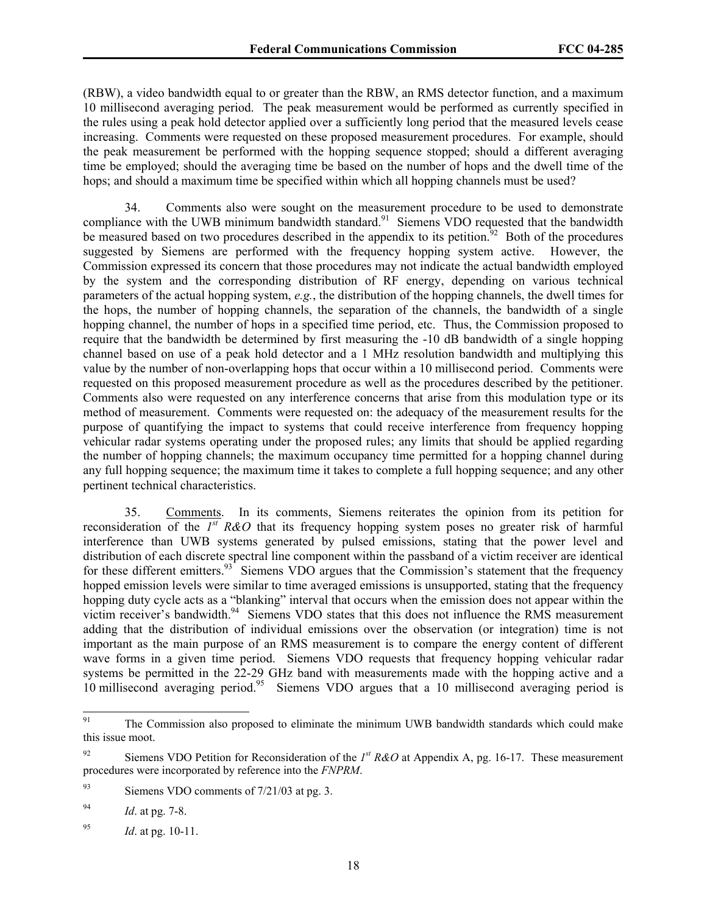(RBW), a video bandwidth equal to or greater than the RBW, an RMS detector function, and a maximum 10 millisecond averaging period. The peak measurement would be performed as currently specified in the rules using a peak hold detector applied over a sufficiently long period that the measured levels cease increasing. Comments were requested on these proposed measurement procedures. For example, should the peak measurement be performed with the hopping sequence stopped; should a different averaging time be employed; should the averaging time be based on the number of hops and the dwell time of the hops; and should a maximum time be specified within which all hopping channels must be used?

34. Comments also were sought on the measurement procedure to be used to demonstrate compliance with the UWB minimum bandwidth standard.<sup>91</sup> Siemens VDO requested that the bandwidth be measured based on two procedures described in the appendix to its petition.<sup>92</sup> Both of the procedures suggested by Siemens are performed with the frequency hopping system active. However, the Commission expressed its concern that those procedures may not indicate the actual bandwidth employed by the system and the corresponding distribution of RF energy, depending on various technical parameters of the actual hopping system, *e.g.*, the distribution of the hopping channels, the dwell times for the hops, the number of hopping channels, the separation of the channels, the bandwidth of a single hopping channel, the number of hops in a specified time period, etc. Thus, the Commission proposed to require that the bandwidth be determined by first measuring the -10 dB bandwidth of a single hopping channel based on use of a peak hold detector and a 1 MHz resolution bandwidth and multiplying this value by the number of non-overlapping hops that occur within a 10 millisecond period. Comments were requested on this proposed measurement procedure as well as the procedures described by the petitioner. Comments also were requested on any interference concerns that arise from this modulation type or its method of measurement. Comments were requested on: the adequacy of the measurement results for the purpose of quantifying the impact to systems that could receive interference from frequency hopping vehicular radar systems operating under the proposed rules; any limits that should be applied regarding the number of hopping channels; the maximum occupancy time permitted for a hopping channel during any full hopping sequence; the maximum time it takes to complete a full hopping sequence; and any other pertinent technical characteristics.

35. Comments. In its comments, Siemens reiterates the opinion from its petition for reconsideration of the *1st R&O* that its frequency hopping system poses no greater risk of harmful interference than UWB systems generated by pulsed emissions, stating that the power level and distribution of each discrete spectral line component within the passband of a victim receiver are identical for these different emitters. $93^{\circ}$  Siemens VDO argues that the Commission's statement that the frequency hopped emission levels were similar to time averaged emissions is unsupported, stating that the frequency hopping duty cycle acts as a "blanking" interval that occurs when the emission does not appear within the victim receiver's bandwidth.<sup>94</sup> Siemens VDO states that this does not influence the RMS measurement adding that the distribution of individual emissions over the observation (or integration) time is not important as the main purpose of an RMS measurement is to compare the energy content of different wave forms in a given time period. Siemens VDO requests that frequency hopping vehicular radar systems be permitted in the 22-29 GHz band with measurements made with the hopping active and a 10 millisecond averaging period.95 Siemens VDO argues that a 10 millisecond averaging period is

<sup>91</sup> The Commission also proposed to eliminate the minimum UWB bandwidth standards which could make this issue moot.

<sup>92</sup> Siemens VDO Petition for Reconsideration of the *1st R&O* at Appendix A, pg. 16-17. These measurement procedures were incorporated by reference into the *FNPRM*.

 $93$  Siemens VDO comments of  $7/21/03$  at pg. 3.

<sup>94</sup> *Id*. at pg. 7-8.

<sup>95</sup> *Id*. at pg. 10-11.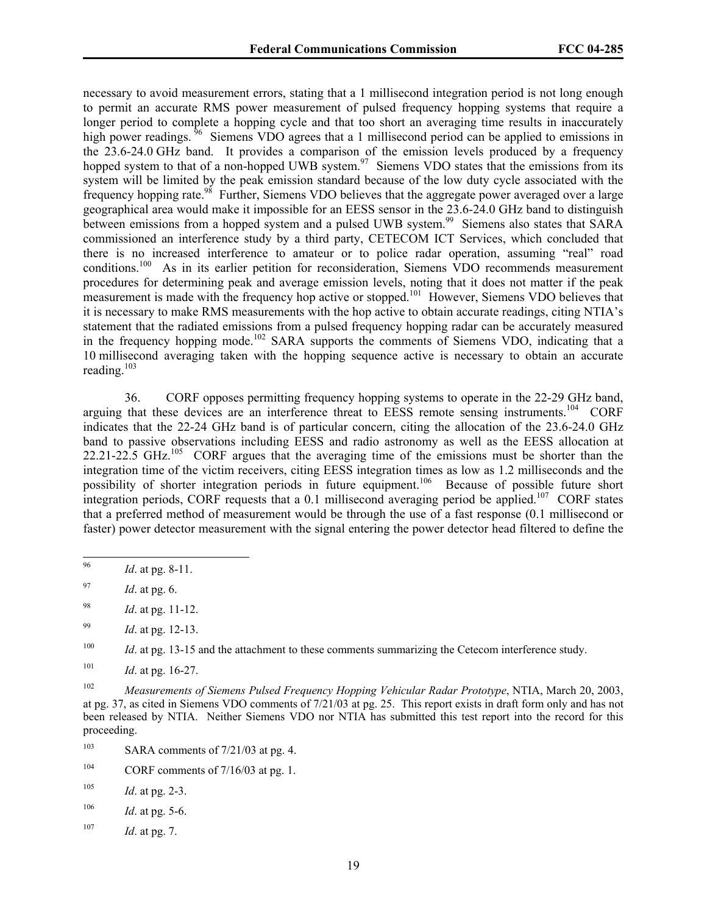necessary to avoid measurement errors, stating that a 1 millisecond integration period is not long enough to permit an accurate RMS power measurement of pulsed frequency hopping systems that require a longer period to complete a hopping cycle and that too short an averaging time results in inaccurately high power readings. <sup>96</sup> Siemens VDO agrees that a 1 millisecond period can be applied to emissions in the 23.6-24.0 GHz band. It provides a comparison of the emission levels produced by a frequency hopped system to that of a non-hopped UWB system.<sup>97</sup> Siemens VDO states that the emissions from its system will be limited by the peak emission standard because of the low duty cycle associated with the frequency hopping rate.<sup>98</sup> Further, Siemens VDO believes that the aggregate power averaged over a large geographical area would make it impossible for an EESS sensor in the 23.6-24.0 GHz band to distinguish between emissions from a hopped system and a pulsed UWB system.<sup>99</sup> Siemens also states that SARA commissioned an interference study by a third party, CETECOM ICT Services, which concluded that there is no increased interference to amateur or to police radar operation, assuming "real" road conditions.100 As in its earlier petition for reconsideration, Siemens VDO recommends measurement procedures for determining peak and average emission levels, noting that it does not matter if the peak measurement is made with the frequency hop active or stopped.<sup>101</sup> However, Siemens VDO believes that it is necessary to make RMS measurements with the hop active to obtain accurate readings, citing NTIA's statement that the radiated emissions from a pulsed frequency hopping radar can be accurately measured in the frequency hopping mode.<sup>102</sup> SARA supports the comments of Siemens VDO, indicating that a 10 millisecond averaging taken with the hopping sequence active is necessary to obtain an accurate reading. $103$ 

36. CORF opposes permitting frequency hopping systems to operate in the 22-29 GHz band, arguing that these devices are an interference threat to EESS remote sensing instruments.<sup>104</sup> CORF indicates that the 22-24 GHz band is of particular concern, citing the allocation of the 23.6-24.0 GHz band to passive observations including EESS and radio astronomy as well as the EESS allocation at 22.21-22.5 GHz.<sup>105</sup> CORF argues that the averaging time of the emissions must be shorter than the integration time of the victim receivers, citing EESS integration times as low as 1.2 milliseconds and the possibility of shorter integration periods in future equipment.106 Because of possible future short integration periods, CORF requests that a 0.1 millisecond averaging period be applied.<sup>107</sup> CORF states that a preferred method of measurement would be through the use of a fast response (0.1 millisecond or faster) power detector measurement with the signal entering the power detector head filtered to define the

- 97 *Id*. at pg. 6.
- 98 *Id*. at pg. 11-12.
- 99 *Id*. at pg. 12-13.

- <sup>103</sup> SARA comments of  $7/21/03$  at pg. 4.
- <sup>104</sup> CORF comments of  $7/16/03$  at pg. 1.

<sup>96</sup> *Id.* at pg. 8-11.

<sup>&</sup>lt;sup>100</sup> *Id.* at pg. 13-15 and the attachment to these comments summarizing the Cetecom interference study.

<sup>101</sup> *Id*. at pg. 16-27.

<sup>102</sup> *Measurements of Siemens Pulsed Frequency Hopping Vehicular Radar Prototype*, NTIA, March 20, 2003, at pg. 37, as cited in Siemens VDO comments of 7/21/03 at pg. 25. This report exists in draft form only and has not been released by NTIA. Neither Siemens VDO nor NTIA has submitted this test report into the record for this proceeding.

 $105$  *Id.* at pg. 2-3.

 $106$  *Id.* at pg. 5-6.

<sup>107</sup> *Id*. at pg. 7.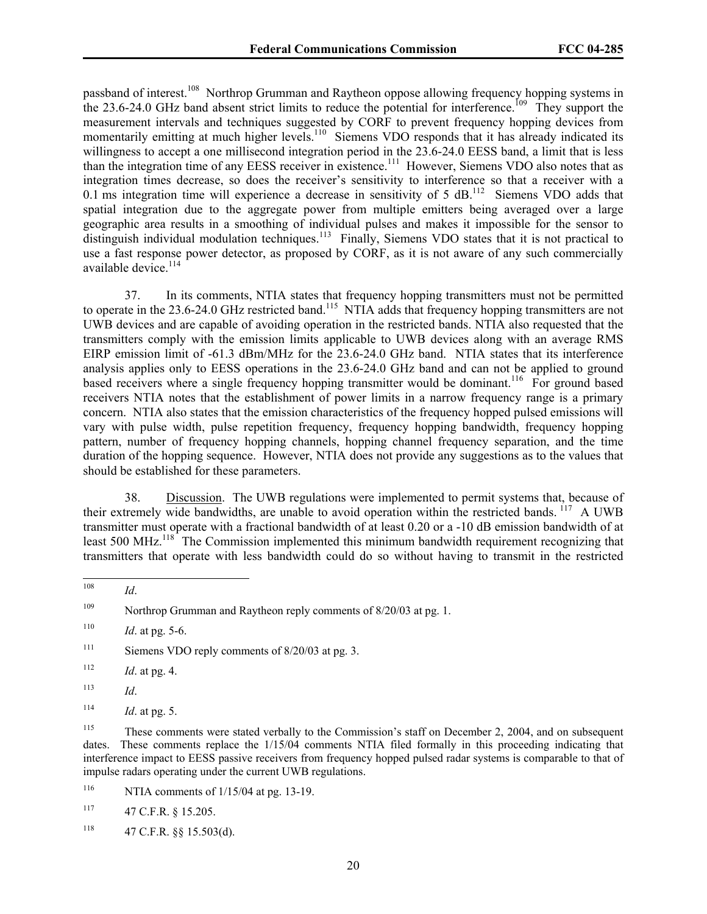passband of interest.<sup>108</sup> Northrop Grumman and Raytheon oppose allowing frequency hopping systems in the 23.6-24.0 GHz band absent strict limits to reduce the potential for interference.<sup>109</sup> They support the measurement intervals and techniques suggested by CORF to prevent frequency hopping devices from momentarily emitting at much higher levels.<sup>110</sup> Siemens VDO responds that it has already indicated its willingness to accept a one millisecond integration period in the 23.6-24.0 EESS band, a limit that is less than the integration time of any EESS receiver in existence.<sup>111</sup> However, Siemens VDO also notes that as integration times decrease, so does the receiver's sensitivity to interference so that a receiver with a 0.1 ms integration time will experience a decrease in sensitivity of 5  $dB$ <sup>112</sup> Siemens VDO adds that spatial integration due to the aggregate power from multiple emitters being averaged over a large geographic area results in a smoothing of individual pulses and makes it impossible for the sensor to distinguish individual modulation techniques.<sup>113</sup> Finally, Siemens VDO states that it is not practical to use a fast response power detector, as proposed by CORF, as it is not aware of any such commercially available device.<sup>114</sup>

37. In its comments, NTIA states that frequency hopping transmitters must not be permitted to operate in the 23.6-24.0 GHz restricted band.<sup>115</sup> NTIA adds that frequency hopping transmitters are not UWB devices and are capable of avoiding operation in the restricted bands. NTIA also requested that the transmitters comply with the emission limits applicable to UWB devices along with an average RMS EIRP emission limit of -61.3 dBm/MHz for the 23.6-24.0 GHz band. NTIA states that its interference analysis applies only to EESS operations in the 23.6-24.0 GHz band and can not be applied to ground based receivers where a single frequency hopping transmitter would be dominant.<sup>116</sup> For ground based receivers NTIA notes that the establishment of power limits in a narrow frequency range is a primary concern. NTIA also states that the emission characteristics of the frequency hopped pulsed emissions will vary with pulse width, pulse repetition frequency, frequency hopping bandwidth, frequency hopping pattern, number of frequency hopping channels, hopping channel frequency separation, and the time duration of the hopping sequence. However, NTIA does not provide any suggestions as to the values that should be established for these parameters.

38. Discussion. The UWB regulations were implemented to permit systems that, because of their extremely wide bandwidths, are unable to avoid operation within the restricted bands. <sup>117</sup> A UWB transmitter must operate with a fractional bandwidth of at least 0.20 or a -10 dB emission bandwidth of at least 500 MHz.<sup>118</sup> The Commission implemented this minimum bandwidth requirement recognizing that transmitters that operate with less bandwidth could do so without having to transmit in the restricted

<sup>116</sup> NTIA comments of  $1/15/04$  at pg. 13-19.

<sup>108</sup> 108 *Id*.

<sup>&</sup>lt;sup>109</sup> Northrop Grumman and Raytheon reply comments of 8/20/03 at pg. 1.

 $110$  *Id.* at pg. 5-6.

<sup>&</sup>lt;sup>111</sup> Siemens VDO reply comments of  $8/20/03$  at pg. 3.

 $112$  *Id.* at pg. 4.

<sup>113</sup> *Id*.

 $114$  *Id.* at pg. 5.

<sup>&</sup>lt;sup>115</sup> These comments were stated verbally to the Commission's staff on December 2, 2004, and on subsequent dates. These comments replace the 1/15/04 comments NTIA filed formally in this proceeding indicating that interference impact to EESS passive receivers from frequency hopped pulsed radar systems is comparable to that of impulse radars operating under the current UWB regulations.

<sup>117 47</sup> C.F.R. § 15.205.

 $^{118}$  47 C.F.R. §§ 15.503(d).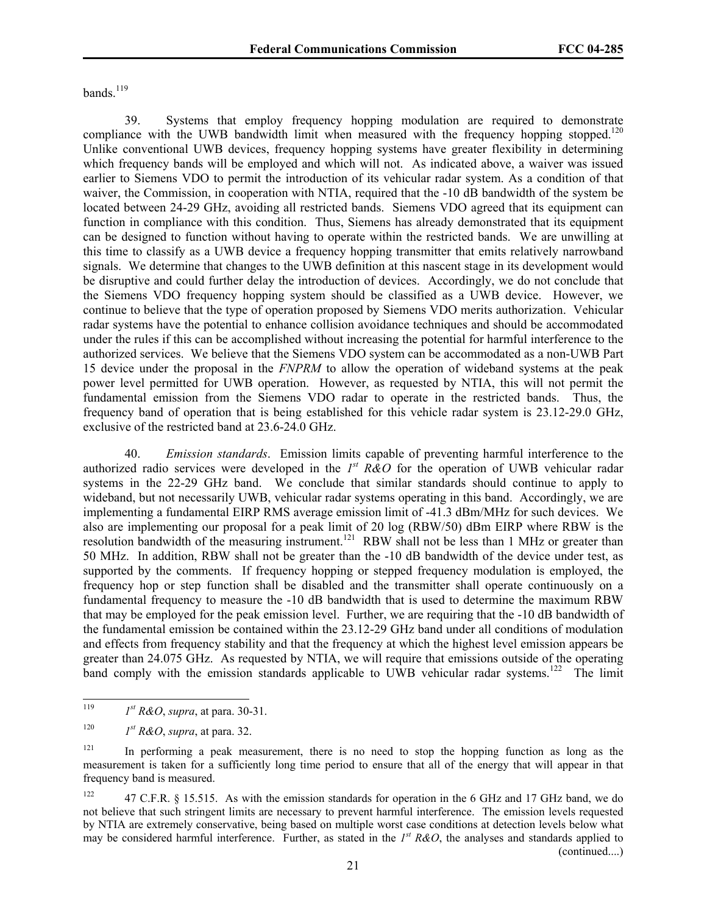bands. $119$ 

39. Systems that employ frequency hopping modulation are required to demonstrate compliance with the UWB bandwidth limit when measured with the frequency hopping stopped.<sup>120</sup> Unlike conventional UWB devices, frequency hopping systems have greater flexibility in determining which frequency bands will be employed and which will not. As indicated above, a waiver was issued earlier to Siemens VDO to permit the introduction of its vehicular radar system. As a condition of that waiver, the Commission, in cooperation with NTIA, required that the -10 dB bandwidth of the system be located between 24-29 GHz, avoiding all restricted bands. Siemens VDO agreed that its equipment can function in compliance with this condition. Thus, Siemens has already demonstrated that its equipment can be designed to function without having to operate within the restricted bands. We are unwilling at this time to classify as a UWB device a frequency hopping transmitter that emits relatively narrowband signals. We determine that changes to the UWB definition at this nascent stage in its development would be disruptive and could further delay the introduction of devices. Accordingly, we do not conclude that the Siemens VDO frequency hopping system should be classified as a UWB device. However, we continue to believe that the type of operation proposed by Siemens VDO merits authorization. Vehicular radar systems have the potential to enhance collision avoidance techniques and should be accommodated under the rules if this can be accomplished without increasing the potential for harmful interference to the authorized services. We believe that the Siemens VDO system can be accommodated as a non-UWB Part 15 device under the proposal in the *FNPRM* to allow the operation of wideband systems at the peak power level permitted for UWB operation. However, as requested by NTIA, this will not permit the fundamental emission from the Siemens VDO radar to operate in the restricted bands. Thus, the frequency band of operation that is being established for this vehicle radar system is 23.12-29.0 GHz, exclusive of the restricted band at 23.6-24.0 GHz.

40. *Emission standards*. Emission limits capable of preventing harmful interference to the authorized radio services were developed in the *1st R&O* for the operation of UWB vehicular radar systems in the 22-29 GHz band. We conclude that similar standards should continue to apply to wideband, but not necessarily UWB, vehicular radar systems operating in this band. Accordingly, we are implementing a fundamental EIRP RMS average emission limit of -41.3 dBm/MHz for such devices. We also are implementing our proposal for a peak limit of 20 log (RBW/50) dBm EIRP where RBW is the resolution bandwidth of the measuring instrument.<sup>121</sup> RBW shall not be less than 1 MHz or greater than 50 MHz. In addition, RBW shall not be greater than the -10 dB bandwidth of the device under test, as supported by the comments. If frequency hopping or stepped frequency modulation is employed, the frequency hop or step function shall be disabled and the transmitter shall operate continuously on a fundamental frequency to measure the -10 dB bandwidth that is used to determine the maximum RBW that may be employed for the peak emission level. Further, we are requiring that the -10 dB bandwidth of the fundamental emission be contained within the 23.12-29 GHz band under all conditions of modulation and effects from frequency stability and that the frequency at which the highest level emission appears be greater than 24.075 GHz. As requested by NTIA, we will require that emissions outside of the operating band comply with the emission standards applicable to UWB vehicular radar systems.<sup>122</sup> The limit

<sup>119</sup>  $I<sup>st</sup> R&O$ , *supra*, at para. 30-31.

<sup>&</sup>lt;sup>120</sup> *I<sup>st</sup> R&O*, *supra*, at para. 32.

<sup>&</sup>lt;sup>121</sup> In performing a peak measurement, there is no need to stop the hopping function as long as the measurement is taken for a sufficiently long time period to ensure that all of the energy that will appear in that frequency band is measured.

<sup>&</sup>lt;sup>122</sup> 47 C.F.R. § 15.515. As with the emission standards for operation in the 6 GHz and 17 GHz band, we do not believe that such stringent limits are necessary to prevent harmful interference. The emission levels requested by NTIA are extremely conservative, being based on multiple worst case conditions at detection levels below what may be considered harmful interference. Further, as stated in the  $I^{st}$  R&O, the analyses and standards applied to (continued....)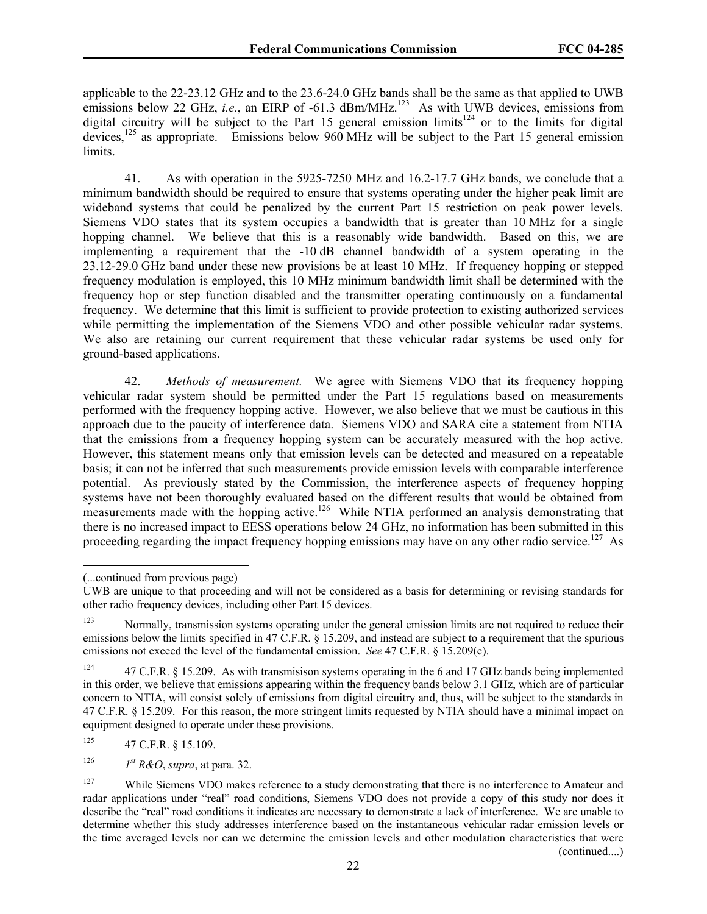applicable to the 22-23.12 GHz and to the 23.6-24.0 GHz bands shall be the same as that applied to UWB emissions below 22 GHz, *i.e.*, an EIRP of -61.3 dBm/MHz.<sup>123</sup> As with UWB devices, emissions from digital circuitry will be subject to the Part 15 general emission limits<sup>124</sup> or to the limits for digital devices,<sup>125</sup> as appropriate. Emissions below 960 MHz will be subject to the Part 15 general emission limits.

41. As with operation in the 5925-7250 MHz and 16.2-17.7 GHz bands, we conclude that a minimum bandwidth should be required to ensure that systems operating under the higher peak limit are wideband systems that could be penalized by the current Part 15 restriction on peak power levels. Siemens VDO states that its system occupies a bandwidth that is greater than 10 MHz for a single hopping channel. We believe that this is a reasonably wide bandwidth. Based on this, we are implementing a requirement that the -10 dB channel bandwidth of a system operating in the 23.12-29.0 GHz band under these new provisions be at least 10 MHz. If frequency hopping or stepped frequency modulation is employed, this 10 MHz minimum bandwidth limit shall be determined with the frequency hop or step function disabled and the transmitter operating continuously on a fundamental frequency. We determine that this limit is sufficient to provide protection to existing authorized services while permitting the implementation of the Siemens VDO and other possible vehicular radar systems. We also are retaining our current requirement that these vehicular radar systems be used only for ground-based applications.

42. *Methods of measurement.* We agree with Siemens VDO that its frequency hopping vehicular radar system should be permitted under the Part 15 regulations based on measurements performed with the frequency hopping active. However, we also believe that we must be cautious in this approach due to the paucity of interference data. Siemens VDO and SARA cite a statement from NTIA that the emissions from a frequency hopping system can be accurately measured with the hop active. However, this statement means only that emission levels can be detected and measured on a repeatable basis; it can not be inferred that such measurements provide emission levels with comparable interference potential. As previously stated by the Commission, the interference aspects of frequency hopping systems have not been thoroughly evaluated based on the different results that would be obtained from measurements made with the hopping active.<sup>126</sup> While NTIA performed an analysis demonstrating that there is no increased impact to EESS operations below 24 GHz, no information has been submitted in this proceeding regarding the impact frequency hopping emissions may have on any other radio service.<sup>127</sup> As

 $\overline{\phantom{a}}$ 

 $125$  47 C.F.R. § 15.109.

<sup>126</sup> *I<sup>st</sup> R&O*, *supra*, at para. 32.

<sup>(...</sup>continued from previous page)

UWB are unique to that proceeding and will not be considered as a basis for determining or revising standards for other radio frequency devices, including other Part 15 devices.

<sup>&</sup>lt;sup>123</sup> Normally, transmission systems operating under the general emission limits are not required to reduce their emissions below the limits specified in 47 C.F.R. § 15.209, and instead are subject to a requirement that the spurious emissions not exceed the level of the fundamental emission. *See* 47 C.F.R. § 15.209(c).

<sup>&</sup>lt;sup>124</sup> 47 C.F.R. § 15.209. As with transmisison systems operating in the 6 and 17 GHz bands being implemented in this order, we believe that emissions appearing within the frequency bands below 3.1 GHz, which are of particular concern to NTIA, will consist solely of emissions from digital circuitry and, thus, will be subject to the standards in 47 C.F.R. § 15.209. For this reason, the more stringent limits requested by NTIA should have a minimal impact on equipment designed to operate under these provisions.

<sup>&</sup>lt;sup>127</sup> While Siemens VDO makes reference to a study demonstrating that there is no interference to Amateur and radar applications under "real" road conditions, Siemens VDO does not provide a copy of this study nor does it describe the "real" road conditions it indicates are necessary to demonstrate a lack of interference. We are unable to determine whether this study addresses interference based on the instantaneous vehicular radar emission levels or the time averaged levels nor can we determine the emission levels and other modulation characteristics that were (continued....)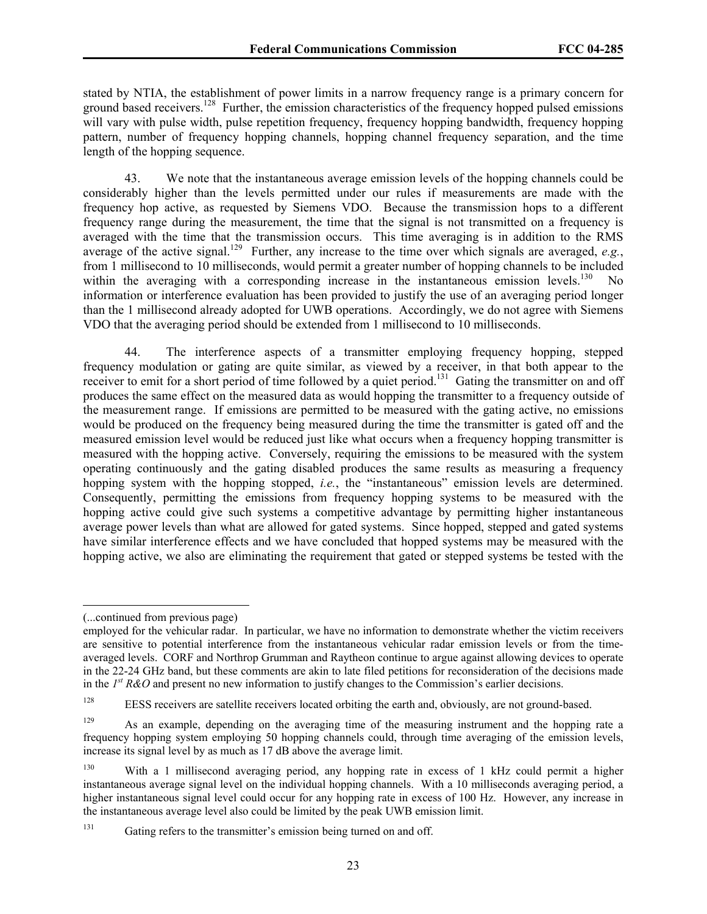stated by NTIA, the establishment of power limits in a narrow frequency range is a primary concern for ground based receivers.<sup>128</sup> Further, the emission characteristics of the frequency hopped pulsed emissions will vary with pulse width, pulse repetition frequency, frequency hopping bandwidth, frequency hopping pattern, number of frequency hopping channels, hopping channel frequency separation, and the time length of the hopping sequence.

43. We note that the instantaneous average emission levels of the hopping channels could be considerably higher than the levels permitted under our rules if measurements are made with the frequency hop active, as requested by Siemens VDO. Because the transmission hops to a different frequency range during the measurement, the time that the signal is not transmitted on a frequency is averaged with the time that the transmission occurs. This time averaging is in addition to the RMS average of the active signal.<sup>129</sup> Further, any increase to the time over which signals are averaged, *e.g.*, from 1 millisecond to 10 milliseconds, would permit a greater number of hopping channels to be included within the averaging with a corresponding increase in the instantaneous emission levels.<sup>130</sup> No information or interference evaluation has been provided to justify the use of an averaging period longer than the 1 millisecond already adopted for UWB operations. Accordingly, we do not agree with Siemens VDO that the averaging period should be extended from 1 millisecond to 10 milliseconds.

44. The interference aspects of a transmitter employing frequency hopping, stepped frequency modulation or gating are quite similar, as viewed by a receiver, in that both appear to the receiver to emit for a short period of time followed by a quiet period.<sup>131</sup> Gating the transmitter on and off produces the same effect on the measured data as would hopping the transmitter to a frequency outside of the measurement range. If emissions are permitted to be measured with the gating active, no emissions would be produced on the frequency being measured during the time the transmitter is gated off and the measured emission level would be reduced just like what occurs when a frequency hopping transmitter is measured with the hopping active. Conversely, requiring the emissions to be measured with the system operating continuously and the gating disabled produces the same results as measuring a frequency hopping system with the hopping stopped, *i.e.*, the "instantaneous" emission levels are determined. Consequently, permitting the emissions from frequency hopping systems to be measured with the hopping active could give such systems a competitive advantage by permitting higher instantaneous average power levels than what are allowed for gated systems. Since hopped, stepped and gated systems have similar interference effects and we have concluded that hopped systems may be measured with the hopping active, we also are eliminating the requirement that gated or stepped systems be tested with the

 $\overline{\phantom{a}}$ 

<sup>(...</sup>continued from previous page)

employed for the vehicular radar. In particular, we have no information to demonstrate whether the victim receivers are sensitive to potential interference from the instantaneous vehicular radar emission levels or from the timeaveraged levels. CORF and Northrop Grumman and Raytheon continue to argue against allowing devices to operate in the 22-24 GHz band, but these comments are akin to late filed petitions for reconsideration of the decisions made in the *1st R&O* and present no new information to justify changes to the Commission's earlier decisions.

<sup>&</sup>lt;sup>128</sup> EESS receivers are satellite receivers located orbiting the earth and, obviously, are not ground-based.

<sup>&</sup>lt;sup>129</sup> As an example, depending on the averaging time of the measuring instrument and the hopping rate a frequency hopping system employing 50 hopping channels could, through time averaging of the emission levels, increase its signal level by as much as 17 dB above the average limit.

<sup>&</sup>lt;sup>130</sup> With a 1 millisecond averaging period, any hopping rate in excess of 1 kHz could permit a higher instantaneous average signal level on the individual hopping channels. With a 10 milliseconds averaging period, a higher instantaneous signal level could occur for any hopping rate in excess of 100 Hz. However, any increase in the instantaneous average level also could be limited by the peak UWB emission limit.

<sup>&</sup>lt;sup>131</sup> Gating refers to the transmitter's emission being turned on and off.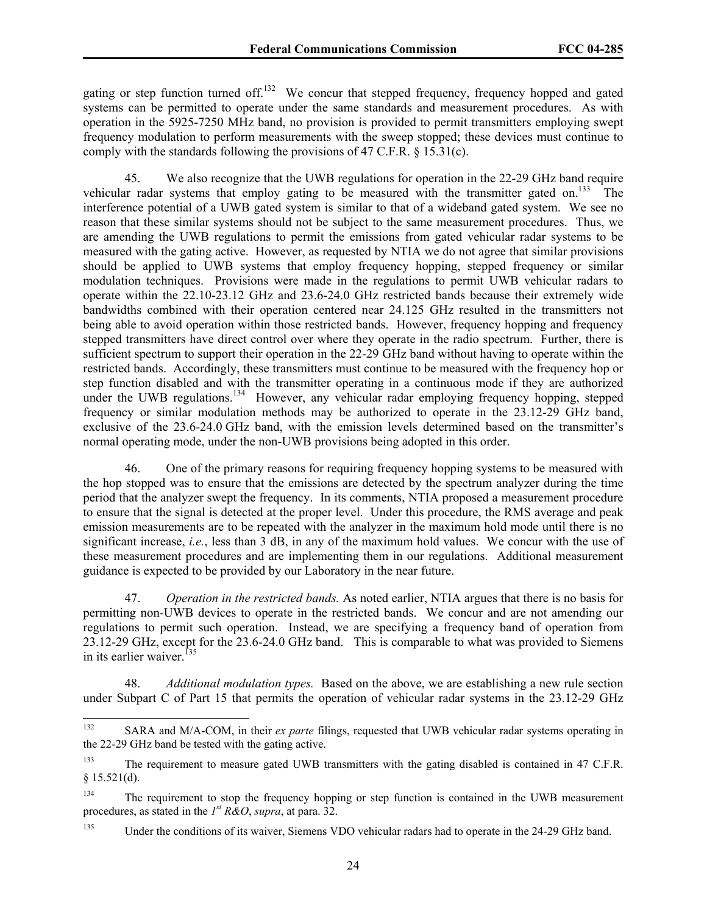gating or step function turned off.<sup>132</sup> We concur that stepped frequency, frequency hopped and gated systems can be permitted to operate under the same standards and measurement procedures. As with operation in the 5925-7250 MHz band, no provision is provided to permit transmitters employing swept frequency modulation to perform measurements with the sweep stopped; these devices must continue to comply with the standards following the provisions of 47 C.F.R. § 15.31(c).

45. We also recognize that the UWB regulations for operation in the 22-29 GHz band require vehicular radar systems that employ gating to be measured with the transmitter gated on.<sup>133</sup> The interference potential of a UWB gated system is similar to that of a wideband gated system. We see no reason that these similar systems should not be subject to the same measurement procedures. Thus, we are amending the UWB regulations to permit the emissions from gated vehicular radar systems to be measured with the gating active. However, as requested by NTIA we do not agree that similar provisions should be applied to UWB systems that employ frequency hopping, stepped frequency or similar modulation techniques. Provisions were made in the regulations to permit UWB vehicular radars to operate within the 22.10-23.12 GHz and 23.6-24.0 GHz restricted bands because their extremely wide bandwidths combined with their operation centered near 24.125 GHz resulted in the transmitters not being able to avoid operation within those restricted bands. However, frequency hopping and frequency stepped transmitters have direct control over where they operate in the radio spectrum. Further, there is sufficient spectrum to support their operation in the 22-29 GHz band without having to operate within the restricted bands. Accordingly, these transmitters must continue to be measured with the frequency hop or step function disabled and with the transmitter operating in a continuous mode if they are authorized under the UWB regulations.<sup>134</sup> However, any vehicular radar employing frequency hopping, stepped frequency or similar modulation methods may be authorized to operate in the 23.12-29 GHz band, exclusive of the 23.6-24.0 GHz band, with the emission levels determined based on the transmitter's normal operating mode, under the non-UWB provisions being adopted in this order.

46. One of the primary reasons for requiring frequency hopping systems to be measured with the hop stopped was to ensure that the emissions are detected by the spectrum analyzer during the time period that the analyzer swept the frequency. In its comments, NTIA proposed a measurement procedure to ensure that the signal is detected at the proper level. Under this procedure, the RMS average and peak emission measurements are to be repeated with the analyzer in the maximum hold mode until there is no significant increase, *i.e.*, less than 3 dB, in any of the maximum hold values. We concur with the use of these measurement procedures and are implementing them in our regulations. Additional measurement guidance is expected to be provided by our Laboratory in the near future.

47. *Operation in the restricted bands.* As noted earlier, NTIA argues that there is no basis for permitting non-UWB devices to operate in the restricted bands. We concur and are not amending our regulations to permit such operation. Instead, we are specifying a frequency band of operation from 23.12-29 GHz, except for the 23.6-24.0 GHz band. This is comparable to what was provided to Siemens in its earlier waiver.<sup> $135$ </sup>

48. *Additional modulation types.* Based on the above, we are establishing a new rule section under Subpart C of Part 15 that permits the operation of vehicular radar systems in the 23.12-29 GHz

<sup>132</sup> 132 SARA and M/A-COM, in their *ex parte* filings, requested that UWB vehicular radar systems operating in the 22-29 GHz band be tested with the gating active.

<sup>&</sup>lt;sup>133</sup> The requirement to measure gated UWB transmitters with the gating disabled is contained in 47 C.F.R.  $§ 15.521(d).$ 

<sup>&</sup>lt;sup>134</sup> The requirement to stop the frequency hopping or step function is contained in the UWB measurement procedures, as stated in the *1st R&O*, *supra*, at para. 32.

<sup>&</sup>lt;sup>135</sup> Under the conditions of its waiver, Siemens VDO vehicular radars had to operate in the 24-29 GHz band.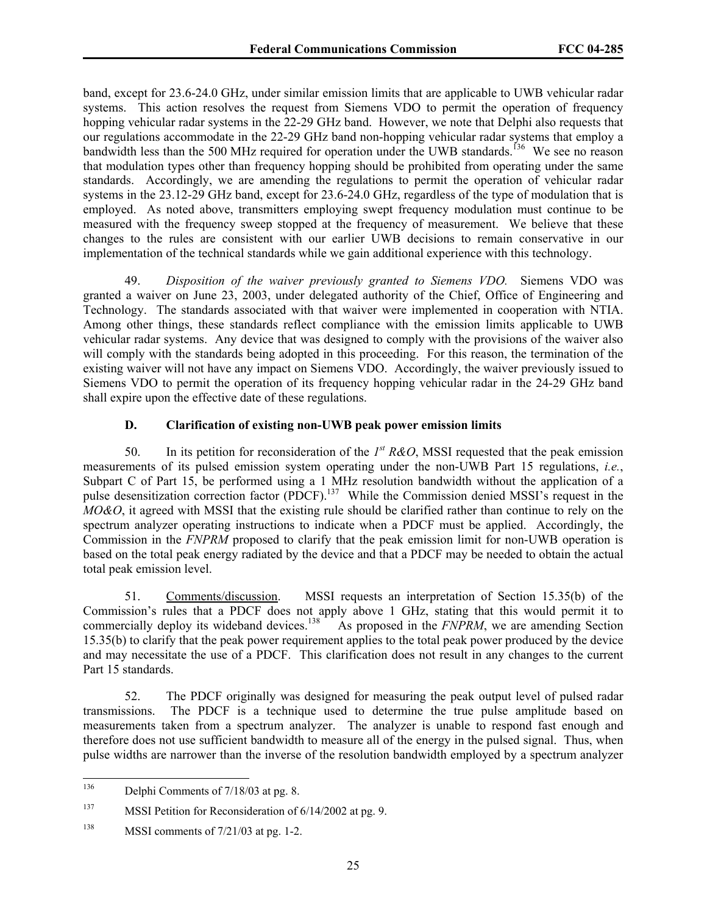band, except for 23.6-24.0 GHz, under similar emission limits that are applicable to UWB vehicular radar systems. This action resolves the request from Siemens VDO to permit the operation of frequency hopping vehicular radar systems in the 22-29 GHz band. However, we note that Delphi also requests that our regulations accommodate in the 22-29 GHz band non-hopping vehicular radar systems that employ a bandwidth less than the 500 MHz required for operation under the UWB standards.<sup>136</sup> We see no reason that modulation types other than frequency hopping should be prohibited from operating under the same standards. Accordingly, we are amending the regulations to permit the operation of vehicular radar systems in the 23.12-29 GHz band, except for 23.6-24.0 GHz, regardless of the type of modulation that is employed. As noted above, transmitters employing swept frequency modulation must continue to be measured with the frequency sweep stopped at the frequency of measurement. We believe that these changes to the rules are consistent with our earlier UWB decisions to remain conservative in our implementation of the technical standards while we gain additional experience with this technology.

49. *Disposition of the waiver previously granted to Siemens VDO.* Siemens VDO was granted a waiver on June 23, 2003, under delegated authority of the Chief, Office of Engineering and Technology. The standards associated with that waiver were implemented in cooperation with NTIA. Among other things, these standards reflect compliance with the emission limits applicable to UWB vehicular radar systems. Any device that was designed to comply with the provisions of the waiver also will comply with the standards being adopted in this proceeding. For this reason, the termination of the existing waiver will not have any impact on Siemens VDO. Accordingly, the waiver previously issued to Siemens VDO to permit the operation of its frequency hopping vehicular radar in the 24-29 GHz band shall expire upon the effective date of these regulations.

# **D. Clarification of existing non-UWB peak power emission limits**

50. In its petition for reconsideration of the *1st R&O*, MSSI requested that the peak emission measurements of its pulsed emission system operating under the non-UWB Part 15 regulations, *i.e.*, Subpart C of Part 15, be performed using a 1 MHz resolution bandwidth without the application of a pulse desensitization correction factor (PDCF).<sup>137</sup> While the Commission denied MSSI's request in the *MO&O*, it agreed with MSSI that the existing rule should be clarified rather than continue to rely on the spectrum analyzer operating instructions to indicate when a PDCF must be applied. Accordingly, the Commission in the *FNPRM* proposed to clarify that the peak emission limit for non-UWB operation is based on the total peak energy radiated by the device and that a PDCF may be needed to obtain the actual total peak emission level.

51. Comments/discussion. MSSI requests an interpretation of Section 15.35(b) of the Commission's rules that a PDCF does not apply above 1 GHz, stating that this would permit it to commercially deploy its wideband devices.<sup>138</sup> As proposed in the *FNPRM*, we are amending Section 15.35(b) to clarify that the peak power requirement applies to the total peak power produced by the device and may necessitate the use of a PDCF. This clarification does not result in any changes to the current Part 15 standards.

52. The PDCF originally was designed for measuring the peak output level of pulsed radar transmissions. The PDCF is a technique used to determine the true pulse amplitude based on measurements taken from a spectrum analyzer. The analyzer is unable to respond fast enough and therefore does not use sufficient bandwidth to measure all of the energy in the pulsed signal. Thus, when pulse widths are narrower than the inverse of the resolution bandwidth employed by a spectrum analyzer

<sup>136</sup> Delphi Comments of 7/18/03 at pg. 8.

<sup>137</sup> MSSI Petition for Reconsideration of 6/14/2002 at pg. 9.

 $^{138}$  MSSI comments of  $7/21/03$  at pg. 1-2.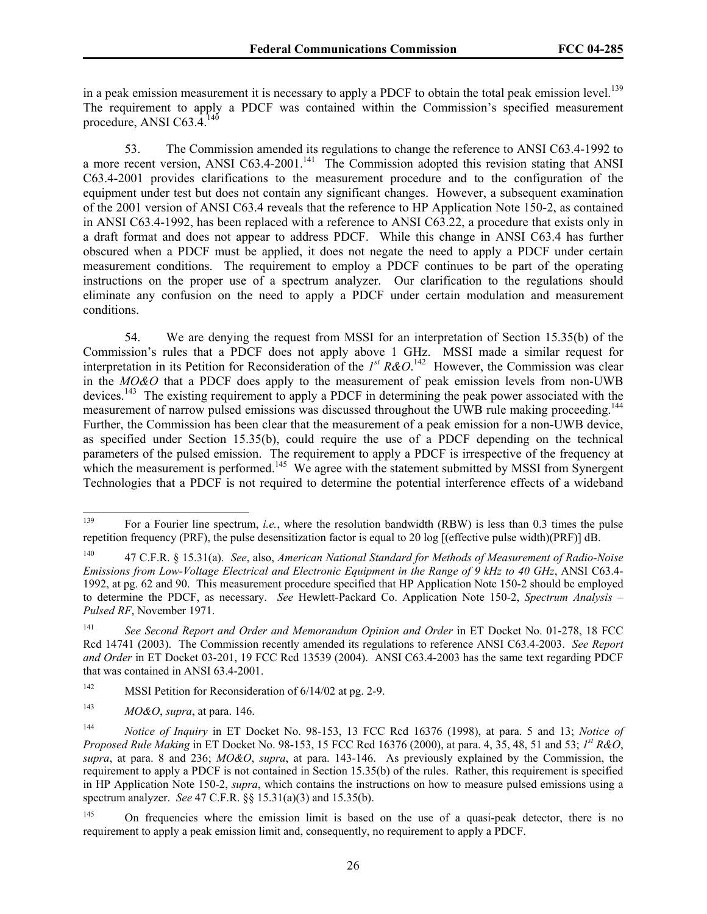in a peak emission measurement it is necessary to apply a PDCF to obtain the total peak emission level.<sup>139</sup> The requirement to apply a PDCF was contained within the Commission's specified measurement procedure, ANSI C63. $4.^{140}$ 

53. The Commission amended its regulations to change the reference to ANSI C63.4-1992 to a more recent version, ANSI C63.4-2001.<sup>141</sup> The Commission adopted this revision stating that ANSI C63.4-2001 provides clarifications to the measurement procedure and to the configuration of the equipment under test but does not contain any significant changes. However, a subsequent examination of the 2001 version of ANSI C63.4 reveals that the reference to HP Application Note 150-2, as contained in ANSI C63.4-1992, has been replaced with a reference to ANSI C63.22, a procedure that exists only in a draft format and does not appear to address PDCF. While this change in ANSI C63.4 has further obscured when a PDCF must be applied, it does not negate the need to apply a PDCF under certain measurement conditions. The requirement to employ a PDCF continues to be part of the operating instructions on the proper use of a spectrum analyzer. Our clarification to the regulations should eliminate any confusion on the need to apply a PDCF under certain modulation and measurement conditions.

54. We are denying the request from MSSI for an interpretation of Section 15.35(b) of the Commission's rules that a PDCF does not apply above 1 GHz. MSSI made a similar request for interpretation in its Petition for Reconsideration of the  $I^{st} R \& O$ .<sup>142</sup> However, the Commission was clear in the *MO&O* that a PDCF does apply to the measurement of peak emission levels from non-UWB devices.<sup>143</sup> The existing requirement to apply a PDCF in determining the peak power associated with the measurement of narrow pulsed emissions was discussed throughout the UWB rule making proceeding.<sup>144</sup> Further, the Commission has been clear that the measurement of a peak emission for a non-UWB device, as specified under Section 15.35(b), could require the use of a PDCF depending on the technical parameters of the pulsed emission. The requirement to apply a PDCF is irrespective of the frequency at which the measurement is performed.<sup>145</sup> We agree with the statement submitted by MSSI from Synergent Technologies that a PDCF is not required to determine the potential interference effects of a wideband

<sup>139</sup> 139 For a Fourier line spectrum, *i.e.*, where the resolution bandwidth (RBW) is less than 0.3 times the pulse repetition frequency (PRF), the pulse desensitization factor is equal to 20 log [(effective pulse width)(PRF)] dB.

<sup>140 47</sup> C.F.R. § 15.31(a). *See*, also, *American National Standard for Methods of Measurement of Radio-Noise Emissions from Low-Voltage Electrical and Electronic Equipment in the Range of 9 kHz to 40 GHz*, ANSI C63.4- 1992, at pg. 62 and 90. This measurement procedure specified that HP Application Note 150-2 should be employed to determine the PDCF, as necessary. *See* Hewlett-Packard Co. Application Note 150-2, *Spectrum Analysis – Pulsed RF*, November 1971.

<sup>141</sup> *See Second Report and Order and Memorandum Opinion and Order* in ET Docket No. 01-278, 18 FCC Rcd 14741 (2003). The Commission recently amended its regulations to reference ANSI C63.4-2003. *See Report and Order* in ET Docket 03-201, 19 FCC Rcd 13539 (2004). ANSI C63.4-2003 has the same text regarding PDCF that was contained in ANSI 63.4-2001.

<sup>&</sup>lt;sup>142</sup> MSSI Petition for Reconsideration of  $6/14/02$  at pg. 2-9.

<sup>143</sup> *MO&O*, *supra*, at para. 146.

<sup>144</sup> *Notice of Inquiry* in ET Docket No. 98-153, 13 FCC Rcd 16376 (1998), at para. 5 and 13; *Notice of Proposed Rule Making* in ET Docket No. 98-153, 15 FCC Rcd 16376 (2000), at para. 4, 35, 48, 51 and 53; *1st R&O*, *supra*, at para. 8 and 236; *MO&O*, *supra*, at para. 143-146. As previously explained by the Commission, the requirement to apply a PDCF is not contained in Section 15.35(b) of the rules. Rather, this requirement is specified in HP Application Note 150-2, *supra*, which contains the instructions on how to measure pulsed emissions using a spectrum analyzer. *See* 47 C.F.R. §§ 15.31(a)(3) and 15.35(b).

<sup>&</sup>lt;sup>145</sup> On frequencies where the emission limit is based on the use of a quasi-peak detector, there is no requirement to apply a peak emission limit and, consequently, no requirement to apply a PDCF.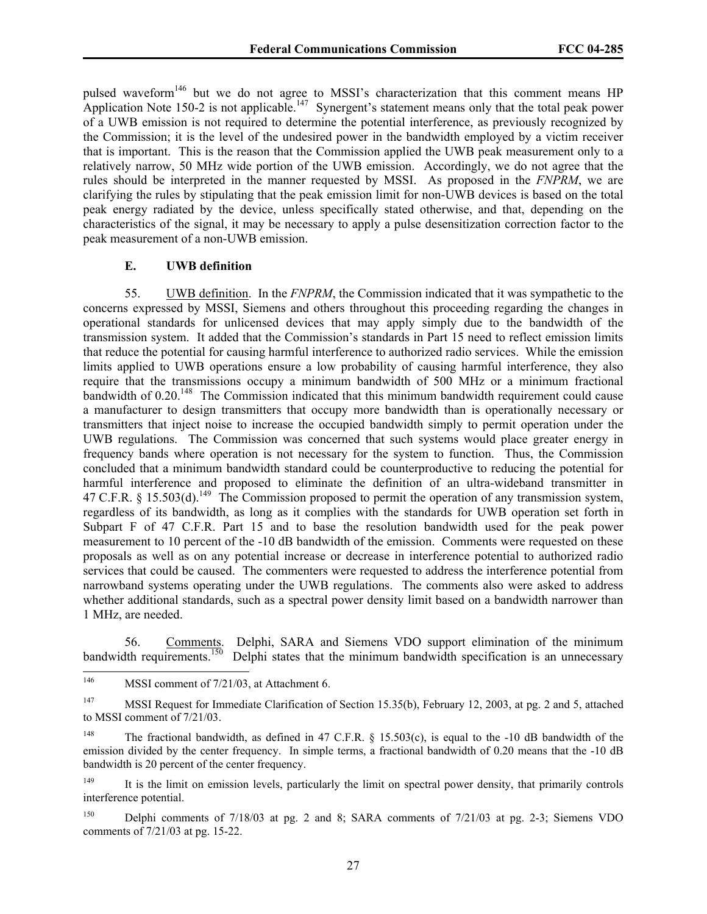pulsed waveform<sup>146</sup> but we do not agree to MSSI's characterization that this comment means HP Application Note 150-2 is not applicable.<sup>147</sup> Synergent's statement means only that the total peak power of a UWB emission is not required to determine the potential interference, as previously recognized by the Commission; it is the level of the undesired power in the bandwidth employed by a victim receiver that is important. This is the reason that the Commission applied the UWB peak measurement only to a relatively narrow, 50 MHz wide portion of the UWB emission. Accordingly, we do not agree that the rules should be interpreted in the manner requested by MSSI. As proposed in the *FNPRM*, we are clarifying the rules by stipulating that the peak emission limit for non-UWB devices is based on the total peak energy radiated by the device, unless specifically stated otherwise, and that, depending on the characteristics of the signal, it may be necessary to apply a pulse desensitization correction factor to the peak measurement of a non-UWB emission.

#### **E. UWB definition**

55. UWB definition. In the *FNPRM*, the Commission indicated that it was sympathetic to the concerns expressed by MSSI, Siemens and others throughout this proceeding regarding the changes in operational standards for unlicensed devices that may apply simply due to the bandwidth of the transmission system. It added that the Commission's standards in Part 15 need to reflect emission limits that reduce the potential for causing harmful interference to authorized radio services. While the emission limits applied to UWB operations ensure a low probability of causing harmful interference, they also require that the transmissions occupy a minimum bandwidth of 500 MHz or a minimum fractional bandwidth of  $0.20$ .<sup>148</sup> The Commission indicated that this minimum bandwidth requirement could cause a manufacturer to design transmitters that occupy more bandwidth than is operationally necessary or transmitters that inject noise to increase the occupied bandwidth simply to permit operation under the UWB regulations. The Commission was concerned that such systems would place greater energy in frequency bands where operation is not necessary for the system to function. Thus, the Commission concluded that a minimum bandwidth standard could be counterproductive to reducing the potential for harmful interference and proposed to eliminate the definition of an ultra-wideband transmitter in 47 C.F.R. § 15.503(d).<sup>149</sup> The Commission proposed to permit the operation of any transmission system, regardless of its bandwidth, as long as it complies with the standards for UWB operation set forth in Subpart F of 47 C.F.R. Part 15 and to base the resolution bandwidth used for the peak power measurement to 10 percent of the -10 dB bandwidth of the emission. Comments were requested on these proposals as well as on any potential increase or decrease in interference potential to authorized radio services that could be caused. The commenters were requested to address the interference potential from narrowband systems operating under the UWB regulations. The comments also were asked to address whether additional standards, such as a spectral power density limit based on a bandwidth narrower than 1 MHz, are needed.

56. Comments. Delphi, SARA and Siemens VDO support elimination of the minimum bandwidth requirements.<sup>150</sup> Delphi states that the minimum bandwidth specification is an unnecessary Delphi states that the minimum bandwidth specification is an unnecessary

<sup>146</sup> MSSI comment of 7/21/03, at Attachment 6.

<sup>147</sup> MSSI Request for Immediate Clarification of Section 15.35(b), February 12, 2003, at pg. 2 and 5, attached to MSSI comment of 7/21/03.

<sup>&</sup>lt;sup>148</sup> The fractional bandwidth, as defined in 47 C.F.R.  $\S$  15.503(c), is equal to the -10 dB bandwidth of the emission divided by the center frequency. In simple terms, a fractional bandwidth of 0.20 means that the -10 dB bandwidth is 20 percent of the center frequency.

<sup>&</sup>lt;sup>149</sup> It is the limit on emission levels, particularly the limit on spectral power density, that primarily controls interference potential.

<sup>150</sup> Delphi comments of 7/18/03 at pg. 2 and 8; SARA comments of 7/21/03 at pg. 2-3; Siemens VDO comments of 7/21/03 at pg. 15-22.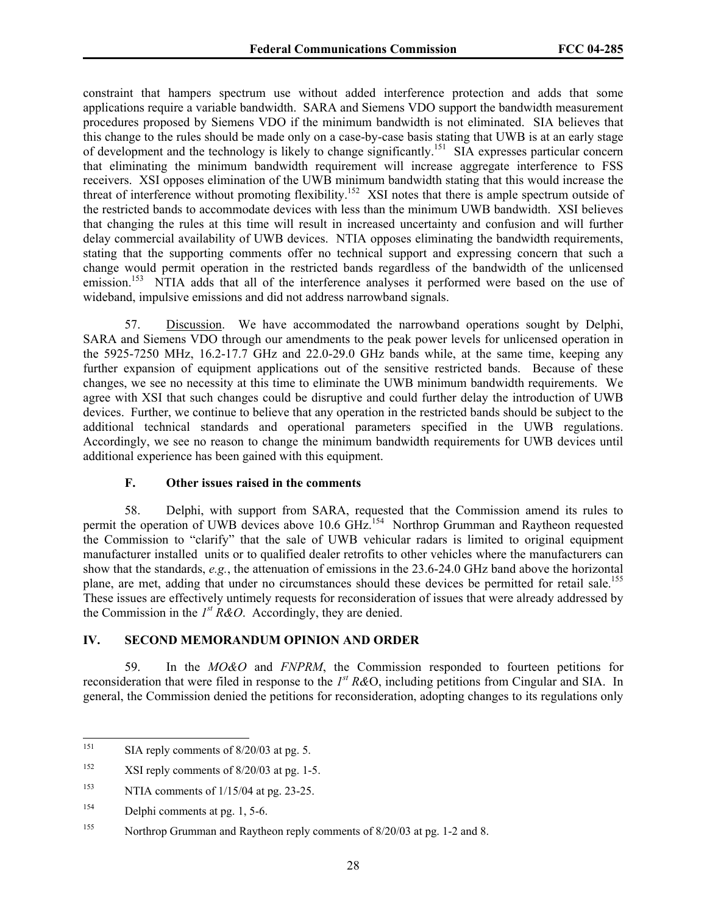constraint that hampers spectrum use without added interference protection and adds that some applications require a variable bandwidth. SARA and Siemens VDO support the bandwidth measurement procedures proposed by Siemens VDO if the minimum bandwidth is not eliminated. SIA believes that this change to the rules should be made only on a case-by-case basis stating that UWB is at an early stage of development and the technology is likely to change significantly.<sup>151</sup> SIA expresses particular concern that eliminating the minimum bandwidth requirement will increase aggregate interference to FSS receivers. XSI opposes elimination of the UWB minimum bandwidth stating that this would increase the threat of interference without promoting flexibility.<sup>152</sup> XSI notes that there is ample spectrum outside of the restricted bands to accommodate devices with less than the minimum UWB bandwidth. XSI believes that changing the rules at this time will result in increased uncertainty and confusion and will further delay commercial availability of UWB devices. NTIA opposes eliminating the bandwidth requirements, stating that the supporting comments offer no technical support and expressing concern that such a change would permit operation in the restricted bands regardless of the bandwidth of the unlicensed emission.<sup>153</sup> NTIA adds that all of the interference analyses it performed were based on the use of wideband, impulsive emissions and did not address narrowband signals.

57. Discussion. We have accommodated the narrowband operations sought by Delphi, SARA and Siemens VDO through our amendments to the peak power levels for unlicensed operation in the 5925-7250 MHz, 16.2-17.7 GHz and 22.0-29.0 GHz bands while, at the same time, keeping any further expansion of equipment applications out of the sensitive restricted bands. Because of these changes, we see no necessity at this time to eliminate the UWB minimum bandwidth requirements. We agree with XSI that such changes could be disruptive and could further delay the introduction of UWB devices. Further, we continue to believe that any operation in the restricted bands should be subject to the additional technical standards and operational parameters specified in the UWB regulations. Accordingly, we see no reason to change the minimum bandwidth requirements for UWB devices until additional experience has been gained with this equipment.

## **F. Other issues raised in the comments**

58. Delphi, with support from SARA, requested that the Commission amend its rules to permit the operation of UWB devices above 10.6 GHz.<sup>154</sup> Northrop Grumman and Raytheon requested the Commission to "clarify" that the sale of UWB vehicular radars is limited to original equipment manufacturer installed units or to qualified dealer retrofits to other vehicles where the manufacturers can show that the standards, *e.g.*, the attenuation of emissions in the 23.6-24.0 GHz band above the horizontal plane, are met, adding that under no circumstances should these devices be permitted for retail sale.<sup>155</sup> These issues are effectively untimely requests for reconsideration of issues that were already addressed by the Commission in the *1st R&O*. Accordingly, they are denied.

#### **IV. SECOND MEMORANDUM OPINION AND ORDER**

59. In the *MO&O* and *FNPRM*, the Commission responded to fourteen petitions for reconsideration that were filed in response to the *1st R&*O, including petitions from Cingular and SIA. In general, the Commission denied the petitions for reconsideration, adopting changes to its regulations only

<sup>151</sup> SIA reply comments of  $8/20/03$  at pg. 5.

<sup>&</sup>lt;sup>152</sup> XSI reply comments of  $8/20/03$  at pg. 1-5.

<sup>&</sup>lt;sup>153</sup> NTIA comments of  $1/15/04$  at pg. 23-25.

<sup>&</sup>lt;sup>154</sup> Delphi comments at pg. 1, 5-6.

<sup>&</sup>lt;sup>155</sup> Northrop Grumman and Raytheon reply comments of 8/20/03 at pg. 1-2 and 8.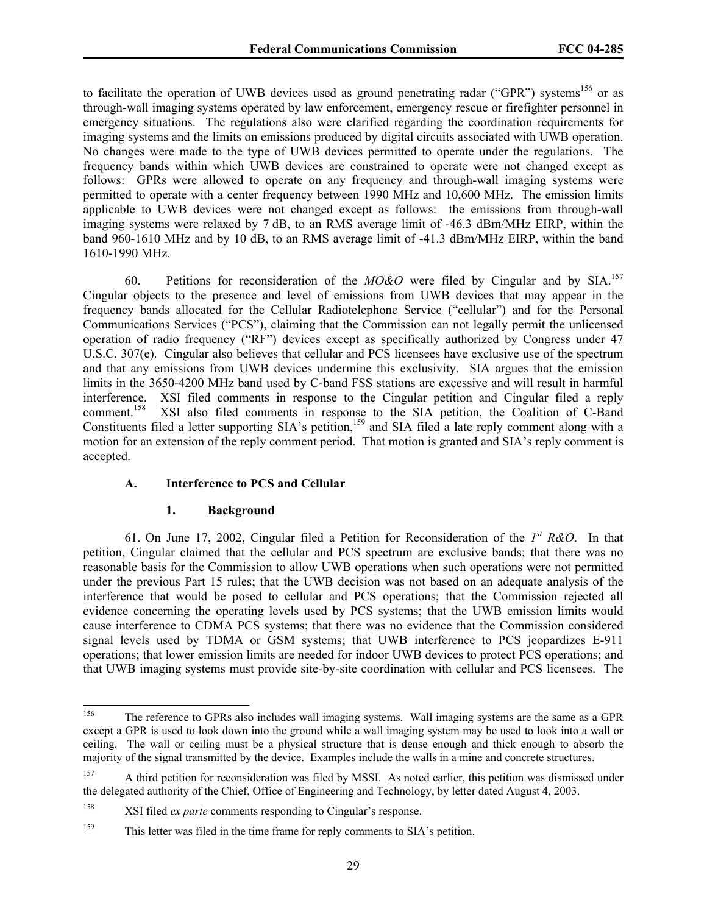to facilitate the operation of UWB devices used as ground penetrating radar ("GPR") systems<sup>156</sup> or as through-wall imaging systems operated by law enforcement, emergency rescue or firefighter personnel in emergency situations. The regulations also were clarified regarding the coordination requirements for imaging systems and the limits on emissions produced by digital circuits associated with UWB operation. No changes were made to the type of UWB devices permitted to operate under the regulations. The frequency bands within which UWB devices are constrained to operate were not changed except as follows: GPRs were allowed to operate on any frequency and through-wall imaging systems were permitted to operate with a center frequency between 1990 MHz and 10,600 MHz. The emission limits applicable to UWB devices were not changed except as follows: the emissions from through-wall imaging systems were relaxed by 7 dB, to an RMS average limit of -46.3 dBm/MHz EIRP, within the band 960-1610 MHz and by 10 dB, to an RMS average limit of -41.3 dBm/MHz EIRP, within the band 1610-1990 MHz.

60. Petitions for reconsideration of the *MO&O* were filed by Cingular and by SIA.157 Cingular objects to the presence and level of emissions from UWB devices that may appear in the frequency bands allocated for the Cellular Radiotelephone Service ("cellular") and for the Personal Communications Services ("PCS"), claiming that the Commission can not legally permit the unlicensed operation of radio frequency ("RF") devices except as specifically authorized by Congress under 47 U.S.C. 307(e). Cingular also believes that cellular and PCS licensees have exclusive use of the spectrum and that any emissions from UWB devices undermine this exclusivity. SIA argues that the emission limits in the 3650-4200 MHz band used by C-band FSS stations are excessive and will result in harmful interference. XSI filed comments in response to the Cingular petition and Cingular filed a reply comment.<sup>158</sup> XSI also filed comments in response to the SIA petition, the Coalition of C-Band XSI also filed comments in response to the SIA petition, the Coalition of C-Band Constituents filed a letter supporting SIA's petition,<sup>159</sup> and SIA filed a late reply comment along with a motion for an extension of the reply comment period. That motion is granted and SIA's reply comment is accepted.

## **A. Interference to PCS and Cellular**

#### **1. Background**

61. On June 17, 2002, Cingular filed a Petition for Reconsideration of the *1st R&O*. In that petition, Cingular claimed that the cellular and PCS spectrum are exclusive bands; that there was no reasonable basis for the Commission to allow UWB operations when such operations were not permitted under the previous Part 15 rules; that the UWB decision was not based on an adequate analysis of the interference that would be posed to cellular and PCS operations; that the Commission rejected all evidence concerning the operating levels used by PCS systems; that the UWB emission limits would cause interference to CDMA PCS systems; that there was no evidence that the Commission considered signal levels used by TDMA or GSM systems; that UWB interference to PCS jeopardizes E-911 operations; that lower emission limits are needed for indoor UWB devices to protect PCS operations; and that UWB imaging systems must provide site-by-site coordination with cellular and PCS licensees. The

<sup>156</sup> The reference to GPRs also includes wall imaging systems. Wall imaging systems are the same as a GPR except a GPR is used to look down into the ground while a wall imaging system may be used to look into a wall or ceiling. The wall or ceiling must be a physical structure that is dense enough and thick enough to absorb the majority of the signal transmitted by the device. Examples include the walls in a mine and concrete structures.

<sup>&</sup>lt;sup>157</sup> A third petition for reconsideration was filed by MSSI. As noted earlier, this petition was dismissed under the delegated authority of the Chief, Office of Engineering and Technology, by letter dated August 4, 2003.

<sup>158</sup> XSI filed *ex parte* comments responding to Cingular's response.

<sup>&</sup>lt;sup>159</sup> This letter was filed in the time frame for reply comments to SIA's petition.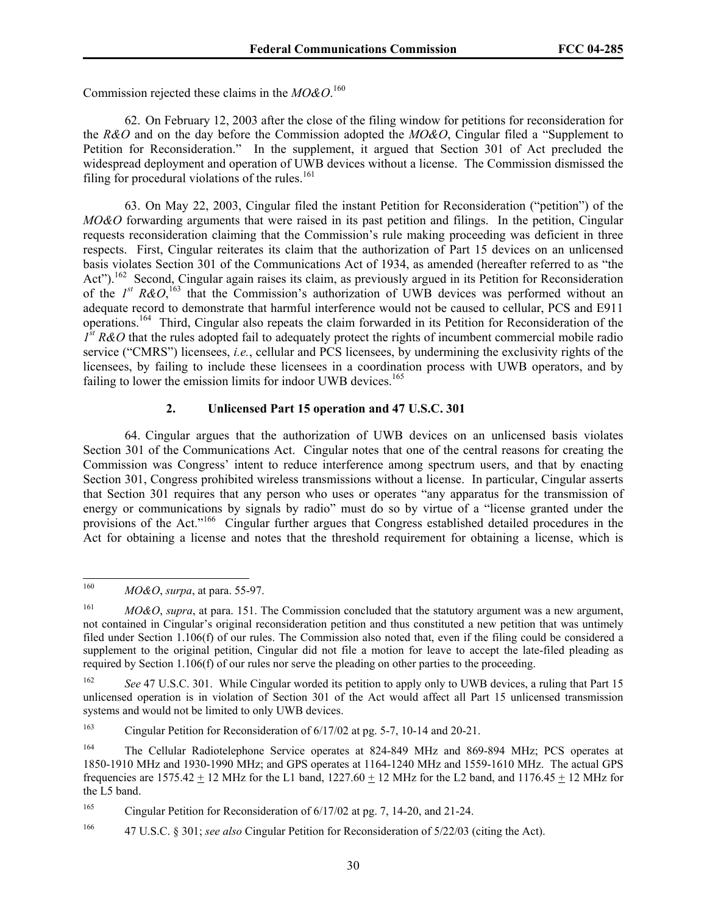Commission rejected these claims in the *MO&O*. 160

62. On February 12, 2003 after the close of the filing window for petitions for reconsideration for the *R&O* and on the day before the Commission adopted the *MO&O*, Cingular filed a "Supplement to Petition for Reconsideration." In the supplement, it argued that Section 301 of Act precluded the widespread deployment and operation of UWB devices without a license. The Commission dismissed the filing for procedural violations of the rules.<sup>161</sup>

63. On May 22, 2003, Cingular filed the instant Petition for Reconsideration ("petition") of the *MO&O* forwarding arguments that were raised in its past petition and filings. In the petition, Cingular requests reconsideration claiming that the Commission's rule making proceeding was deficient in three respects. First, Cingular reiterates its claim that the authorization of Part 15 devices on an unlicensed basis violates Section 301 of the Communications Act of 1934, as amended (hereafter referred to as "the Act").<sup>162</sup> Second, Cingular again raises its claim, as previously argued in its Petition for Reconsideration of the  $I^{st}$  R&O,<sup>163</sup> that the Commission's authorization of UWB devices was performed without an adequate record to demonstrate that harmful interference would not be caused to cellular, PCS and E911 operations.164 Third, Cingular also repeats the claim forwarded in its Petition for Reconsideration of the *1st R&O* that the rules adopted fail to adequately protect the rights of incumbent commercial mobile radio service ("CMRS") licensees, *i.e.*, cellular and PCS licensees, by undermining the exclusivity rights of the licensees, by failing to include these licensees in a coordination process with UWB operators, and by failing to lower the emission limits for indoor UWB devices.<sup>165</sup>

# **2. Unlicensed Part 15 operation and 47 U.S.C. 301**

64. Cingular argues that the authorization of UWB devices on an unlicensed basis violates Section 301 of the Communications Act. Cingular notes that one of the central reasons for creating the Commission was Congress' intent to reduce interference among spectrum users, and that by enacting Section 301, Congress prohibited wireless transmissions without a license. In particular, Cingular asserts that Section 301 requires that any person who uses or operates "any apparatus for the transmission of energy or communications by signals by radio" must do so by virtue of a "license granted under the provisions of the Act."<sup>166</sup> Cingular further argues that Congress established detailed procedures in the Act for obtaining a license and notes that the threshold requirement for obtaining a license, which is

 $\overline{a}$ 

<sup>160</sup> *MO&O*, *surpa*, at para. 55-97.

<sup>161</sup> *MO&O*, *supra*, at para. 151. The Commission concluded that the statutory argument was a new argument, not contained in Cingular's original reconsideration petition and thus constituted a new petition that was untimely filed under Section 1.106(f) of our rules. The Commission also noted that, even if the filing could be considered a supplement to the original petition, Cingular did not file a motion for leave to accept the late-filed pleading as required by Section 1.106(f) of our rules nor serve the pleading on other parties to the proceeding.

<sup>&</sup>lt;sup>162</sup> *See* 47 U.S.C. 301. While Cingular worded its petition to apply only to UWB devices, a ruling that Part 15 unlicensed operation is in violation of Section 301 of the Act would affect all Part 15 unlicensed transmission systems and would not be limited to only UWB devices.

<sup>163</sup> Cingular Petition for Reconsideration of 6/17/02 at pg. 5-7, 10-14 and 20-21.

<sup>164</sup> The Cellular Radiotelephone Service operates at 824-849 MHz and 869-894 MHz; PCS operates at 1850-1910 MHz and 1930-1990 MHz; and GPS operates at 1164-1240 MHz and 1559-1610 MHz. The actual GPS frequencies are  $1575.42 \pm 12$  MHz for the L1 band,  $1227.60 \pm 12$  MHz for the L2 band, and  $1176.45 \pm 12$  MHz for the L5 band.

<sup>&</sup>lt;sup>165</sup> Cingular Petition for Reconsideration of 6/17/02 at pg. 7, 14-20, and 21-24.

<sup>166 47</sup> U.S.C. § 301; *see also* Cingular Petition for Reconsideration of 5/22/03 (citing the Act).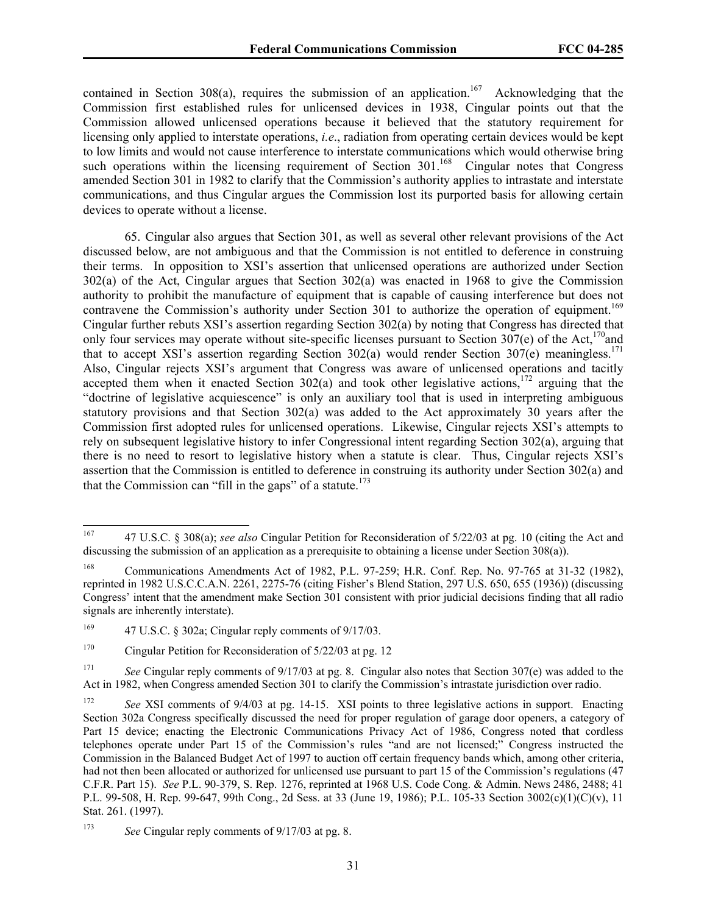contained in Section 308(a), requires the submission of an application.<sup>167</sup> Acknowledging that the Commission first established rules for unlicensed devices in 1938, Cingular points out that the Commission allowed unlicensed operations because it believed that the statutory requirement for licensing only applied to interstate operations, *i.e*., radiation from operating certain devices would be kept to low limits and would not cause interference to interstate communications which would otherwise bring such operations within the licensing requirement of Section 301.<sup>168</sup> Cingular notes that Congress amended Section 301 in 1982 to clarify that the Commission's authority applies to intrastate and interstate communications, and thus Cingular argues the Commission lost its purported basis for allowing certain devices to operate without a license.

65. Cingular also argues that Section 301, as well as several other relevant provisions of the Act discussed below, are not ambiguous and that the Commission is not entitled to deference in construing their terms. In opposition to XSI's assertion that unlicensed operations are authorized under Section 302(a) of the Act, Cingular argues that Section 302(a) was enacted in 1968 to give the Commission authority to prohibit the manufacture of equipment that is capable of causing interference but does not contravene the Commission's authority under Section 301 to authorize the operation of equipment.<sup>169</sup> Cingular further rebuts XSI's assertion regarding Section 302(a) by noting that Congress has directed that only four services may operate without site-specific licenses pursuant to Section  $307(e)$  of the Act,<sup>170</sup>and that to accept XSI's assertion regarding Section 302(a) would render Section 307(e) meaningless.<sup>171</sup> Also, Cingular rejects XSI's argument that Congress was aware of unlicensed operations and tacitly accepted them when it enacted Section  $302(a)$  and took other legislative actions,<sup>172</sup> arguing that the "doctrine of legislative acquiescence" is only an auxiliary tool that is used in interpreting ambiguous statutory provisions and that Section 302(a) was added to the Act approximately 30 years after the Commission first adopted rules for unlicensed operations. Likewise, Cingular rejects XSI's attempts to rely on subsequent legislative history to infer Congressional intent regarding Section 302(a), arguing that there is no need to resort to legislative history when a statute is clear. Thus, Cingular rejects XSI's assertion that the Commission is entitled to deference in construing its authority under Section 302(a) and that the Commission can "fill in the gaps" of a statute.<sup>173</sup>

<sup>167</sup> 167 47 U.S.C. § 308(a); *see also* Cingular Petition for Reconsideration of 5/22/03 at pg. 10 (citing the Act and discussing the submission of an application as a prerequisite to obtaining a license under Section 308(a)).

<sup>168</sup> Communications Amendments Act of 1982, P.L. 97-259; H.R. Conf. Rep. No. 97-765 at 31-32 (1982), reprinted in 1982 U.S.C.C.A.N. 2261, 2275-76 (citing Fisher's Blend Station, 297 U.S. 650, 655 (1936)) (discussing Congress' intent that the amendment make Section 301 consistent with prior judicial decisions finding that all radio signals are inherently interstate).

<sup>&</sup>lt;sup>169</sup> 47 U.S.C. § 302a; Cingular reply comments of  $9/17/03$ .

<sup>&</sup>lt;sup>170</sup> Cingular Petition for Reconsideration of 5/22/03 at pg. 12

<sup>&</sup>lt;sup>171</sup> *See* Cingular reply comments of 9/17/03 at pg. 8. Cingular also notes that Section 307(e) was added to the Act in 1982, when Congress amended Section 301 to clarify the Commission's intrastate jurisdiction over radio.

<sup>172</sup> *See* XSI comments of 9/4/03 at pg. 14-15. XSI points to three legislative actions in support. Enacting Section 302a Congress specifically discussed the need for proper regulation of garage door openers, a category of Part 15 device; enacting the Electronic Communications Privacy Act of 1986, Congress noted that cordless telephones operate under Part 15 of the Commission's rules "and are not licensed;" Congress instructed the Commission in the Balanced Budget Act of 1997 to auction off certain frequency bands which, among other criteria, had not then been allocated or authorized for unlicensed use pursuant to part 15 of the Commission's regulations (47 C.F.R. Part 15). *See* P.L. 90-379, S. Rep. 1276, reprinted at 1968 U.S. Code Cong. & Admin. News 2486, 2488; 41 P.L. 99-508, H. Rep. 99-647, 99th Cong., 2d Sess. at 33 (June 19, 1986); P.L. 105-33 Section 3002(c)(1)(C)(v), 11 Stat. 261. (1997).

<sup>173</sup> *See* Cingular reply comments of 9/17/03 at pg. 8.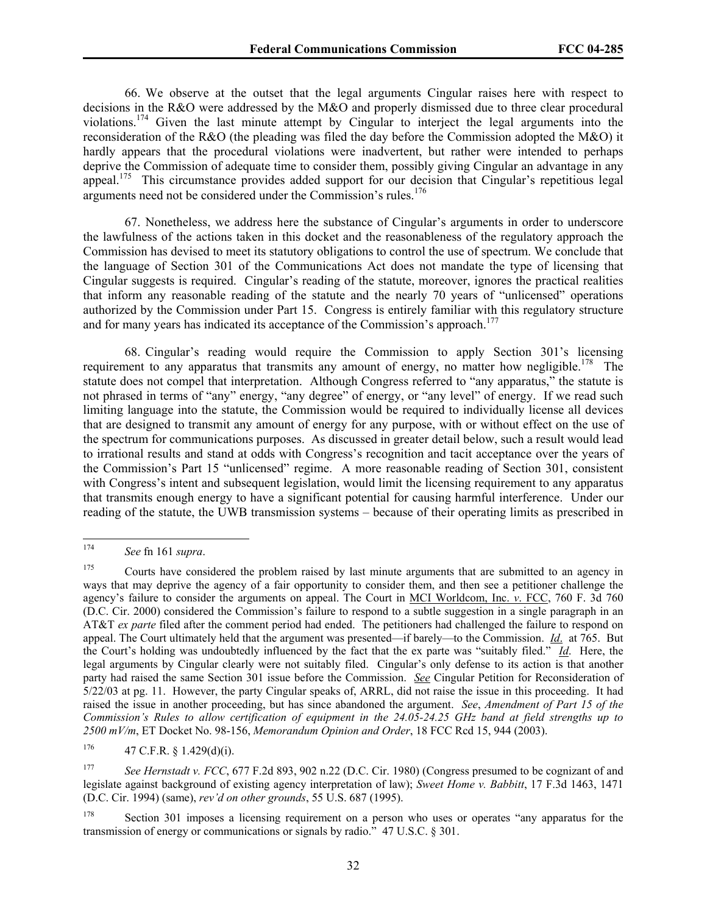66. We observe at the outset that the legal arguments Cingular raises here with respect to decisions in the R&O were addressed by the M&O and properly dismissed due to three clear procedural violations.174 Given the last minute attempt by Cingular to interject the legal arguments into the reconsideration of the R&O (the pleading was filed the day before the Commission adopted the M&O) it hardly appears that the procedural violations were inadvertent, but rather were intended to perhaps deprive the Commission of adequate time to consider them, possibly giving Cingular an advantage in any appeal.<sup>175</sup> This circumstance provides added support for our decision that Cingular's repetitious legal arguments need not be considered under the Commission's rules.<sup>176</sup>

67. Nonetheless, we address here the substance of Cingular's arguments in order to underscore the lawfulness of the actions taken in this docket and the reasonableness of the regulatory approach the Commission has devised to meet its statutory obligations to control the use of spectrum. We conclude that the language of Section 301 of the Communications Act does not mandate the type of licensing that Cingular suggests is required. Cingular's reading of the statute, moreover, ignores the practical realities that inform any reasonable reading of the statute and the nearly 70 years of "unlicensed" operations authorized by the Commission under Part 15. Congress is entirely familiar with this regulatory structure and for many years has indicated its acceptance of the Commission's approach.<sup>177</sup>

68. Cingular's reading would require the Commission to apply Section 301's licensing requirement to any apparatus that transmits any amount of energy, no matter how negligible.<sup>178</sup> The statute does not compel that interpretation. Although Congress referred to "any apparatus," the statute is not phrased in terms of "any" energy, "any degree" of energy, or "any level" of energy. If we read such limiting language into the statute, the Commission would be required to individually license all devices that are designed to transmit any amount of energy for any purpose, with or without effect on the use of the spectrum for communications purposes. As discussed in greater detail below, such a result would lead to irrational results and stand at odds with Congress's recognition and tacit acceptance over the years of the Commission's Part 15 "unlicensed" regime. A more reasonable reading of Section 301, consistent with Congress's intent and subsequent legislation, would limit the licensing requirement to any apparatus that transmits enough energy to have a significant potential for causing harmful interference. Under our reading of the statute, the UWB transmission systems – because of their operating limits as prescribed in

<sup>174</sup> 174 *See* fn 161 *supra*.

<sup>&</sup>lt;sup>175</sup> Courts have considered the problem raised by last minute arguments that are submitted to an agency in ways that may deprive the agency of a fair opportunity to consider them, and then see a petitioner challenge the agency's failure to consider the arguments on appeal. The Court in MCI Worldcom, Inc. *v*. FCC, 760 F. 3d 760 (D.C. Cir. 2000) considered the Commission's failure to respond to a subtle suggestion in a single paragraph in an AT&T *ex parte* filed after the comment period had ended. The petitioners had challenged the failure to respond on appeal. The Court ultimately held that the argument was presented—if barely—to the Commission. *Id*. at 765. But the Court's holding was undoubtedly influenced by the fact that the ex parte was "suitably filed." *Id*. Here, the legal arguments by Cingular clearly were not suitably filed. Cingular's only defense to its action is that another party had raised the same Section 301 issue before the Commission. *See* Cingular Petition for Reconsideration of 5/22/03 at pg. 11. However, the party Cingular speaks of, ARRL, did not raise the issue in this proceeding. It had raised the issue in another proceeding, but has since abandoned the argument. *See*, *Amendment of Part 15 of the Commission's Rules to allow certification of equipment in the 24.05-24.25 GHz band at field strengths up to 2500 mV/m*, ET Docket No. 98-156, *Memorandum Opinion and Order*, 18 FCC Rcd 15, 944 (2003).

 $176$  47 C.F.R. § 1.429(d)(i).

<sup>177</sup> *See Hernstadt v. FCC*, 677 F.2d 893, 902 n.22 (D.C. Cir. 1980) (Congress presumed to be cognizant of and legislate against background of existing agency interpretation of law); *Sweet Home v. Babbitt*, 17 F.3d 1463, 1471 (D.C. Cir. 1994) (same), *rev'd on other grounds*, 55 U.S. 687 (1995).

<sup>&</sup>lt;sup>178</sup> Section 301 imposes a licensing requirement on a person who uses or operates "any apparatus for the transmission of energy or communications or signals by radio." 47 U.S.C. § 301.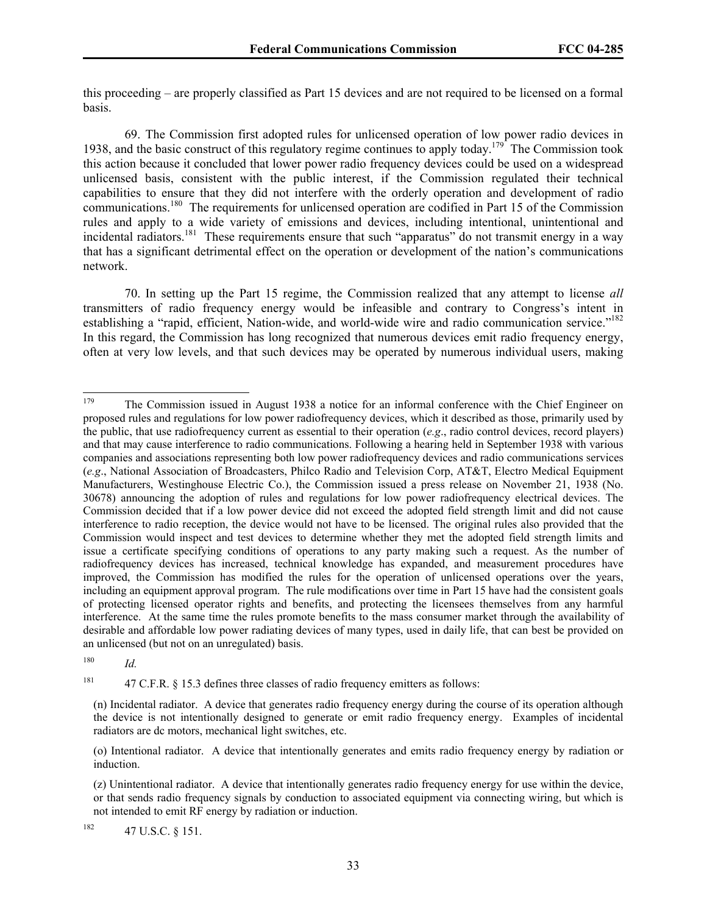this proceeding – are properly classified as Part 15 devices and are not required to be licensed on a formal basis.

69. The Commission first adopted rules for unlicensed operation of low power radio devices in 1938, and the basic construct of this regulatory regime continues to apply today.<sup>179</sup> The Commission took this action because it concluded that lower power radio frequency devices could be used on a widespread unlicensed basis, consistent with the public interest, if the Commission regulated their technical capabilities to ensure that they did not interfere with the orderly operation and development of radio communications.<sup>180</sup> The requirements for unlicensed operation are codified in Part 15 of the Commission rules and apply to a wide variety of emissions and devices, including intentional, unintentional and incidental radiators.<sup>181</sup> These requirements ensure that such "apparatus" do not transmit energy in a way that has a significant detrimental effect on the operation or development of the nation's communications network.

70. In setting up the Part 15 regime, the Commission realized that any attempt to license *all* transmitters of radio frequency energy would be infeasible and contrary to Congress's intent in establishing a "rapid, efficient, Nation-wide, and world-wide wire and radio communication service."<sup>182</sup> In this regard, the Commission has long recognized that numerous devices emit radio frequency energy, often at very low levels, and that such devices may be operated by numerous individual users, making

180 *Id.*

<sup>181</sup> 47 C.F.R. § 15.3 defines three classes of radio frequency emitters as follows:

<sup>179</sup> The Commission issued in August 1938 a notice for an informal conference with the Chief Engineer on proposed rules and regulations for low power radiofrequency devices, which it described as those, primarily used by the public, that use radiofrequency current as essential to their operation (*e.g*., radio control devices, record players) and that may cause interference to radio communications. Following a hearing held in September 1938 with various companies and associations representing both low power radiofrequency devices and radio communications services (*e.g*., National Association of Broadcasters, Philco Radio and Television Corp, AT&T, Electro Medical Equipment Manufacturers, Westinghouse Electric Co.), the Commission issued a press release on November 21, 1938 (No. 30678) announcing the adoption of rules and regulations for low power radiofrequency electrical devices. The Commission decided that if a low power device did not exceed the adopted field strength limit and did not cause interference to radio reception, the device would not have to be licensed. The original rules also provided that the Commission would inspect and test devices to determine whether they met the adopted field strength limits and issue a certificate specifying conditions of operations to any party making such a request. As the number of radiofrequency devices has increased, technical knowledge has expanded, and measurement procedures have improved, the Commission has modified the rules for the operation of unlicensed operations over the years, including an equipment approval program. The rule modifications over time in Part 15 have had the consistent goals of protecting licensed operator rights and benefits, and protecting the licensees themselves from any harmful interference. At the same time the rules promote benefits to the mass consumer market through the availability of desirable and affordable low power radiating devices of many types, used in daily life, that can best be provided on an unlicensed (but not on an unregulated) basis.

<sup>(</sup>n) Incidental radiator. A device that generates radio frequency energy during the course of its operation although the device is not intentionally designed to generate or emit radio frequency energy. Examples of incidental radiators are dc motors, mechanical light switches, etc.

<sup>(</sup>o) Intentional radiator. A device that intentionally generates and emits radio frequency energy by radiation or induction.

<sup>(</sup>z) Unintentional radiator. A device that intentionally generates radio frequency energy for use within the device, or that sends radio frequency signals by conduction to associated equipment via connecting wiring, but which is not intended to emit RF energy by radiation or induction.

 $182$  47 U.S.C. § 151.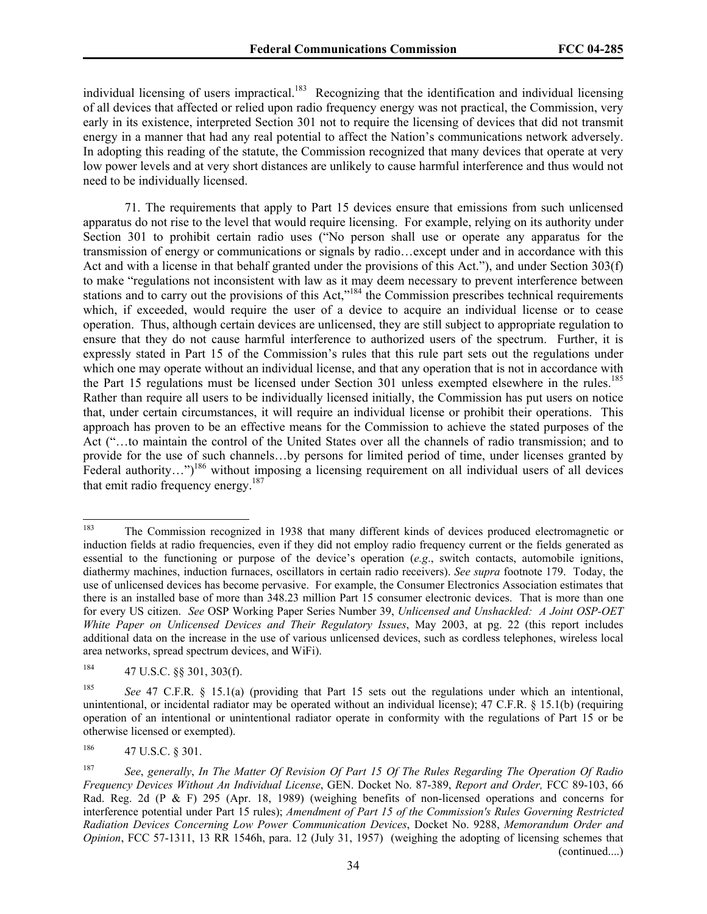individual licensing of users impractical.<sup>183</sup> Recognizing that the identification and individual licensing of all devices that affected or relied upon radio frequency energy was not practical, the Commission, very early in its existence, interpreted Section 301 not to require the licensing of devices that did not transmit energy in a manner that had any real potential to affect the Nation's communications network adversely. In adopting this reading of the statute, the Commission recognized that many devices that operate at very low power levels and at very short distances are unlikely to cause harmful interference and thus would not need to be individually licensed.

71. The requirements that apply to Part 15 devices ensure that emissions from such unlicensed apparatus do not rise to the level that would require licensing. For example, relying on its authority under Section 301 to prohibit certain radio uses ("No person shall use or operate any apparatus for the transmission of energy or communications or signals by radio…except under and in accordance with this Act and with a license in that behalf granted under the provisions of this Act."), and under Section 303(f) to make "regulations not inconsistent with law as it may deem necessary to prevent interference between stations and to carry out the provisions of this Act,<sup> $184$ </sup> the Commission prescribes technical requirements which, if exceeded, would require the user of a device to acquire an individual license or to cease operation. Thus, although certain devices are unlicensed, they are still subject to appropriate regulation to ensure that they do not cause harmful interference to authorized users of the spectrum. Further, it is expressly stated in Part 15 of the Commission's rules that this rule part sets out the regulations under which one may operate without an individual license, and that any operation that is not in accordance with the Part 15 regulations must be licensed under Section 301 unless exempted elsewhere in the rules.<sup>185</sup> Rather than require all users to be individually licensed initially, the Commission has put users on notice that, under certain circumstances, it will require an individual license or prohibit their operations. This approach has proven to be an effective means for the Commission to achieve the stated purposes of the Act ("…to maintain the control of the United States over all the channels of radio transmission; and to provide for the use of such channels…by persons for limited period of time, under licenses granted by Federal authority...")<sup>186</sup> without imposing a licensing requirement on all individual users of all devices that emit radio frequency energy.<sup>187</sup>

<sup>183</sup> 183 The Commission recognized in 1938 that many different kinds of devices produced electromagnetic or induction fields at radio frequencies, even if they did not employ radio frequency current or the fields generated as essential to the functioning or purpose of the device's operation (*e.g*., switch contacts, automobile ignitions, diathermy machines, induction furnaces, oscillators in certain radio receivers). *See supra* footnote 179. Today, the use of unlicensed devices has become pervasive. For example, the Consumer Electronics Association estimates that there is an installed base of more than 348.23 million Part 15 consumer electronic devices. That is more than one for every US citizen. *See* OSP Working Paper Series Number 39, *Unlicensed and Unshackled: A Joint OSP-OET White Paper on Unlicensed Devices and Their Regulatory Issues*, May 2003, at pg. 22 (this report includes additional data on the increase in the use of various unlicensed devices, such as cordless telephones, wireless local area networks, spread spectrum devices, and WiFi).

 $184$  47 U.S.C. §§ 301, 303(f).

<sup>185</sup> *See* 47 C.F.R. § 15.1(a) (providing that Part 15 sets out the regulations under which an intentional, unintentional, or incidental radiator may be operated without an individual license); 47 C.F.R. § 15.1(b) (requiring operation of an intentional or unintentional radiator operate in conformity with the regulations of Part 15 or be otherwise licensed or exempted).

<sup>186 47</sup> U.S.C. § 301.

<sup>187</sup> *See*, *generally*, *In The Matter Of Revision Of Part 15 Of The Rules Regarding The Operation Of Radio Frequency Devices Without An Individual License*, GEN. Docket No. 87-389, *Report and Order,* FCC 89-103, 66 Rad. Reg. 2d (P & F) 295 (Apr. 18, 1989) (weighing benefits of non-licensed operations and concerns for interference potential under Part 15 rules); *Amendment of Part 15 of the Commission's Rules Governing Restricted Radiation Devices Concerning Low Power Communication Devices*, Docket No. 9288, *Memorandum Order and Opinion*, FCC 57-1311, 13 RR 1546h, para. 12 (July 31, 1957) (weighing the adopting of licensing schemes that (continued....)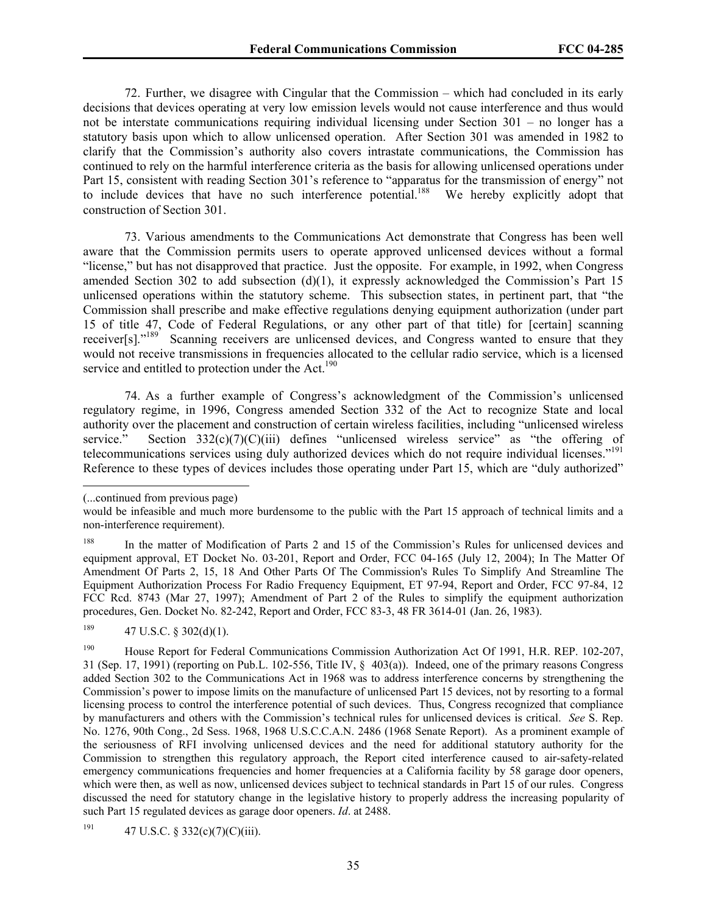72. Further, we disagree with Cingular that the Commission – which had concluded in its early decisions that devices operating at very low emission levels would not cause interference and thus would not be interstate communications requiring individual licensing under Section 301 – no longer has a statutory basis upon which to allow unlicensed operation. After Section 301 was amended in 1982 to clarify that the Commission's authority also covers intrastate communications, the Commission has continued to rely on the harmful interference criteria as the basis for allowing unlicensed operations under Part 15, consistent with reading Section 301's reference to "apparatus for the transmission of energy" not to include devices that have no such interference potential.<sup>188</sup> We hereby explicitly adopt that construction of Section 301.

73. Various amendments to the Communications Act demonstrate that Congress has been well aware that the Commission permits users to operate approved unlicensed devices without a formal "license," but has not disapproved that practice. Just the opposite. For example, in 1992, when Congress amended Section 302 to add subsection (d)(1), it expressly acknowledged the Commission's Part 15 unlicensed operations within the statutory scheme. This subsection states, in pertinent part, that "the Commission shall prescribe and make effective regulations denying equipment authorization (under part 15 of title 47, Code of Federal Regulations, or any other part of that title) for [certain] scanning receiver[s]."189 Scanning receivers are unlicensed devices, and Congress wanted to ensure that they would not receive transmissions in frequencies allocated to the cellular radio service, which is a licensed service and entitled to protection under the Act.<sup>190</sup>

74. As a further example of Congress's acknowledgment of the Commission's unlicensed regulatory regime, in 1996, Congress amended Section 332 of the Act to recognize State and local authority over the placement and construction of certain wireless facilities, including "unlicensed wireless service." Section  $332(c)(7)(C)(iii)$  defines "unlicensed wireless service" as "the offering of telecommunications services using duly authorized devices which do not require individual licenses."191 Reference to these types of devices includes those operating under Part 15, which are "duly authorized"

 $\overline{\phantom{a}}$ 

<sup>(...</sup>continued from previous page)

would be infeasible and much more burdensome to the public with the Part 15 approach of technical limits and a non-interference requirement).

<sup>&</sup>lt;sup>188</sup> In the matter of Modification of Parts 2 and 15 of the Commission's Rules for unlicensed devices and equipment approval, ET Docket No. 03-201, Report and Order, FCC 04-165 (July 12, 2004); In The Matter Of Amendment Of Parts 2, 15, 18 And Other Parts Of The Commission's Rules To Simplify And Streamline The Equipment Authorization Process For Radio Frequency Equipment, ET 97-94, Report and Order, FCC 97-84, 12 FCC Rcd. 8743 (Mar 27, 1997); Amendment of Part 2 of the Rules to simplify the equipment authorization procedures, Gen. Docket No. 82-242, Report and Order, FCC 83-3, 48 FR 3614-01 (Jan. 26, 1983).

 $189$  47 U.S.C. § 302(d)(1).

<sup>190</sup> House Report for Federal Communications Commission Authorization Act Of 1991, H.R. REP. 102-207, 31 (Sep. 17, 1991) (reporting on Pub.L. 102-556, Title IV, § 403(a)). Indeed, one of the primary reasons Congress added Section 302 to the Communications Act in 1968 was to address interference concerns by strengthening the Commission's power to impose limits on the manufacture of unlicensed Part 15 devices, not by resorting to a formal licensing process to control the interference potential of such devices. Thus, Congress recognized that compliance by manufacturers and others with the Commission's technical rules for unlicensed devices is critical. *See* S. Rep. No. 1276, 90th Cong., 2d Sess. 1968, 1968 U.S.C.C.A.N. 2486 (1968 Senate Report). As a prominent example of the seriousness of RFI involving unlicensed devices and the need for additional statutory authority for the Commission to strengthen this regulatory approach, the Report cited interference caused to air-safety-related emergency communications frequencies and homer frequencies at a California facility by 58 garage door openers, which were then, as well as now, unlicensed devices subject to technical standards in Part 15 of our rules. Congress discussed the need for statutory change in the legislative history to properly address the increasing popularity of such Part 15 regulated devices as garage door openers. *Id*. at 2488.

<sup>191 47</sup> U.S.C. § 332(c)(7)(C)(iii).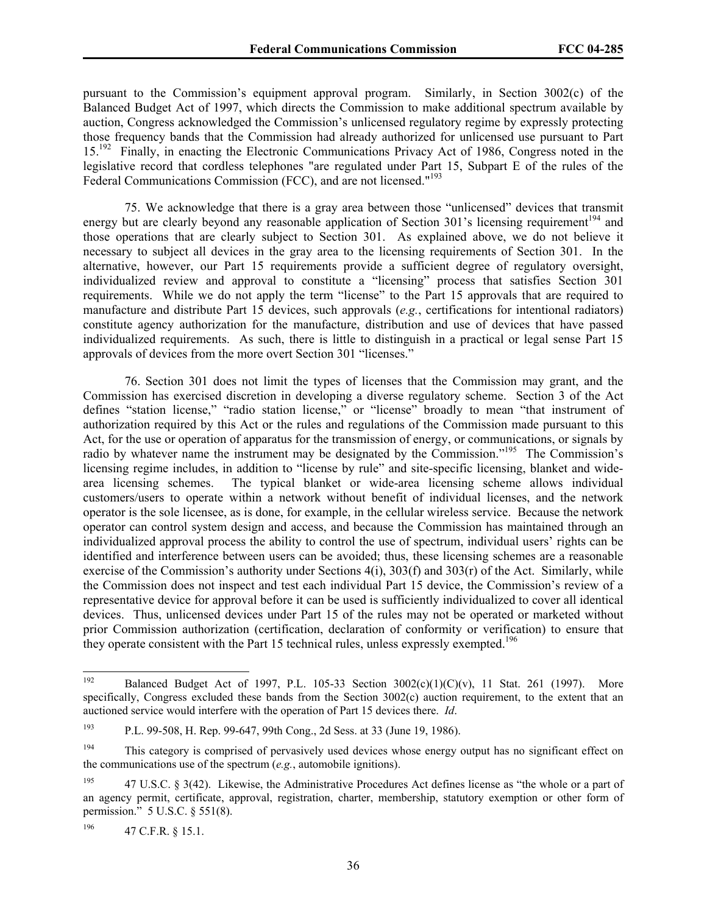pursuant to the Commission's equipment approval program. Similarly, in Section 3002(c) of the Balanced Budget Act of 1997, which directs the Commission to make additional spectrum available by auction, Congress acknowledged the Commission's unlicensed regulatory regime by expressly protecting those frequency bands that the Commission had already authorized for unlicensed use pursuant to Part 15.192 Finally, in enacting the Electronic Communications Privacy Act of 1986, Congress noted in the legislative record that cordless telephones "are regulated under Part 15, Subpart E of the rules of the Federal Communications Commission (FCC), and are not licensed."<sup>193</sup>

75. We acknowledge that there is a gray area between those "unlicensed" devices that transmit energy but are clearly beyond any reasonable application of Section 301's licensing requirement<sup>194</sup> and those operations that are clearly subject to Section 301. As explained above, we do not believe it necessary to subject all devices in the gray area to the licensing requirements of Section 301. In the alternative, however, our Part 15 requirements provide a sufficient degree of regulatory oversight, individualized review and approval to constitute a "licensing" process that satisfies Section 301 requirements. While we do not apply the term "license" to the Part 15 approvals that are required to manufacture and distribute Part 15 devices, such approvals (*e.g.*, certifications for intentional radiators) constitute agency authorization for the manufacture, distribution and use of devices that have passed individualized requirements. As such, there is little to distinguish in a practical or legal sense Part 15 approvals of devices from the more overt Section 301 "licenses."

76. Section 301 does not limit the types of licenses that the Commission may grant, and the Commission has exercised discretion in developing a diverse regulatory scheme. Section 3 of the Act defines "station license," "radio station license," or "license" broadly to mean "that instrument of authorization required by this Act or the rules and regulations of the Commission made pursuant to this Act, for the use or operation of apparatus for the transmission of energy, or communications, or signals by radio by whatever name the instrument may be designated by the Commission."<sup>195</sup> The Commission's licensing regime includes, in addition to "license by rule" and site-specific licensing, blanket and widearea licensing schemes. The typical blanket or wide-area licensing scheme allows individual customers/users to operate within a network without benefit of individual licenses, and the network operator is the sole licensee, as is done, for example, in the cellular wireless service. Because the network operator can control system design and access, and because the Commission has maintained through an individualized approval process the ability to control the use of spectrum, individual users' rights can be identified and interference between users can be avoided; thus, these licensing schemes are a reasonable exercise of the Commission's authority under Sections 4(i), 303(f) and 303(r) of the Act. Similarly, while the Commission does not inspect and test each individual Part 15 device, the Commission's review of a representative device for approval before it can be used is sufficiently individualized to cover all identical devices. Thus, unlicensed devices under Part 15 of the rules may not be operated or marketed without prior Commission authorization (certification, declaration of conformity or verification) to ensure that they operate consistent with the Part 15 technical rules, unless expressly exempted.<sup>196</sup>

196 47 C.F.R. § 15.1.

<sup>192</sup> Balanced Budget Act of 1997, P.L. 105-33 Section 3002(c)(1)(C)(v), 11 Stat. 261 (1997). More specifically, Congress excluded these bands from the Section 3002(c) auction requirement, to the extent that an auctioned service would interfere with the operation of Part 15 devices there. *Id*.

<sup>193</sup> P.L. 99-508, H. Rep. 99-647, 99th Cong., 2d Sess. at 33 (June 19, 1986).

<sup>&</sup>lt;sup>194</sup> This category is comprised of pervasively used devices whose energy output has no significant effect on the communications use of the spectrum (*e.g.*, automobile ignitions).

<sup>&</sup>lt;sup>195</sup> 47 U.S.C. § 3(42). Likewise, the Administrative Procedures Act defines license as "the whole or a part of an agency permit, certificate, approval, registration, charter, membership, statutory exemption or other form of permission." 5 U.S.C. § 551(8).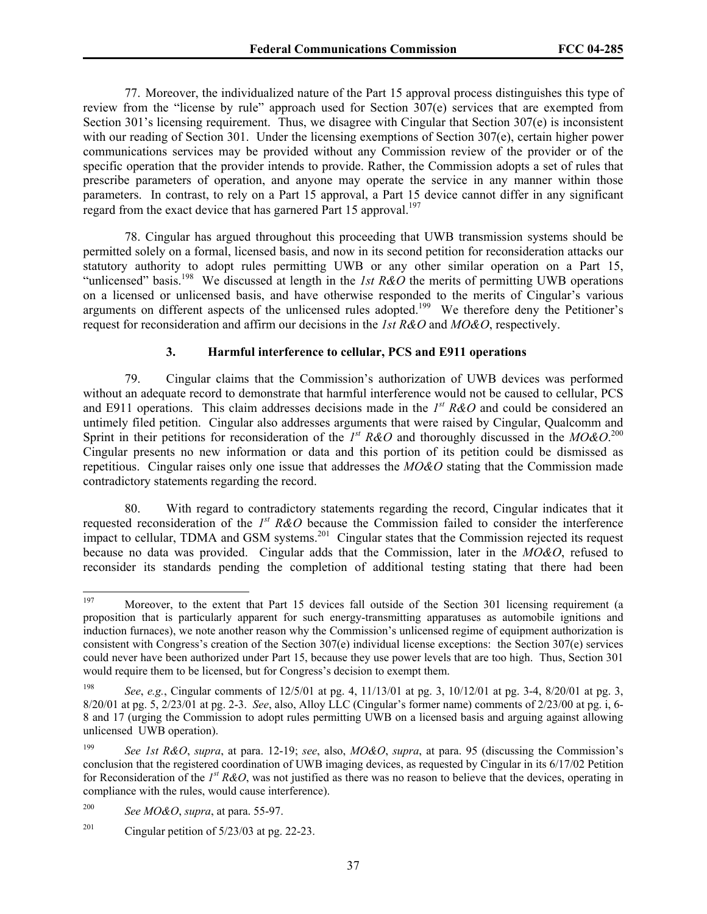77. Moreover, the individualized nature of the Part 15 approval process distinguishes this type of review from the "license by rule" approach used for Section 307(e) services that are exempted from Section 301's licensing requirement. Thus, we disagree with Cingular that Section 307(e) is inconsistent with our reading of Section 301. Under the licensing exemptions of Section 307(e), certain higher power communications services may be provided without any Commission review of the provider or of the specific operation that the provider intends to provide. Rather, the Commission adopts a set of rules that prescribe parameters of operation, and anyone may operate the service in any manner within those parameters. In contrast, to rely on a Part 15 approval, a Part 15 device cannot differ in any significant regard from the exact device that has garnered Part 15 approval.<sup>197</sup>

78. Cingular has argued throughout this proceeding that UWB transmission systems should be permitted solely on a formal, licensed basis, and now in its second petition for reconsideration attacks our statutory authority to adopt rules permitting UWB or any other similar operation on a Part 15, "unlicensed" basis.<sup>198</sup> We discussed at length in the *1st R&O* the merits of permitting UWB operations on a licensed or unlicensed basis, and have otherwise responded to the merits of Cingular's various arguments on different aspects of the unlicensed rules adopted.<sup>199</sup> We therefore deny the Petitioner's request for reconsideration and affirm our decisions in the *1st R&O* and *MO&O*, respectively.

## **3. Harmful interference to cellular, PCS and E911 operations**

79. Cingular claims that the Commission's authorization of UWB devices was performed without an adequate record to demonstrate that harmful interference would not be caused to cellular, PCS and E911 operations. This claim addresses decisions made in the *1st R&O* and could be considered an untimely filed petition. Cingular also addresses arguments that were raised by Cingular, Qualcomm and Sprint in their petitions for reconsideration of the  $I^{st}$  R&O and thoroughly discussed in the *MO&O*.<sup>200</sup> Cingular presents no new information or data and this portion of its petition could be dismissed as repetitious. Cingular raises only one issue that addresses the *MO&O* stating that the Commission made contradictory statements regarding the record.

80. With regard to contradictory statements regarding the record, Cingular indicates that it requested reconsideration of the *1st R&O* because the Commission failed to consider the interference impact to cellular, TDMA and GSM systems.<sup>201</sup> Cingular states that the Commission rejected its request because no data was provided. Cingular adds that the Commission, later in the *MO&O*, refused to reconsider its standards pending the completion of additional testing stating that there had been

<sup>197</sup> Moreover, to the extent that Part 15 devices fall outside of the Section 301 licensing requirement (a proposition that is particularly apparent for such energy-transmitting apparatuses as automobile ignitions and induction furnaces), we note another reason why the Commission's unlicensed regime of equipment authorization is consistent with Congress's creation of the Section 307(e) individual license exceptions: the Section 307(e) services could never have been authorized under Part 15, because they use power levels that are too high. Thus, Section 301 would require them to be licensed, but for Congress's decision to exempt them.

<sup>198</sup> *See*, *e.g.*, Cingular comments of 12/5/01 at pg. 4, 11/13/01 at pg. 3, 10/12/01 at pg. 3-4, 8/20/01 at pg. 3, 8/20/01 at pg. 5, 2/23/01 at pg. 2-3. *See*, also, Alloy LLC (Cingular's former name) comments of 2/23/00 at pg. i, 6- 8 and 17 (urging the Commission to adopt rules permitting UWB on a licensed basis and arguing against allowing unlicensed UWB operation).

<sup>199</sup> *See 1st R&O*, *supra*, at para. 12-19; *see*, also, *MO&O*, *supra*, at para. 95 (discussing the Commission's conclusion that the registered coordination of UWB imaging devices, as requested by Cingular in its 6/17/02 Petition for Reconsideration of the *1st R&O*, was not justified as there was no reason to believe that the devices, operating in compliance with the rules, would cause interference).

<sup>200</sup> *See MO&O*, *supra*, at para. 55-97.

<sup>&</sup>lt;sup>201</sup> Cingular petition of  $5/23/03$  at pg. 22-23.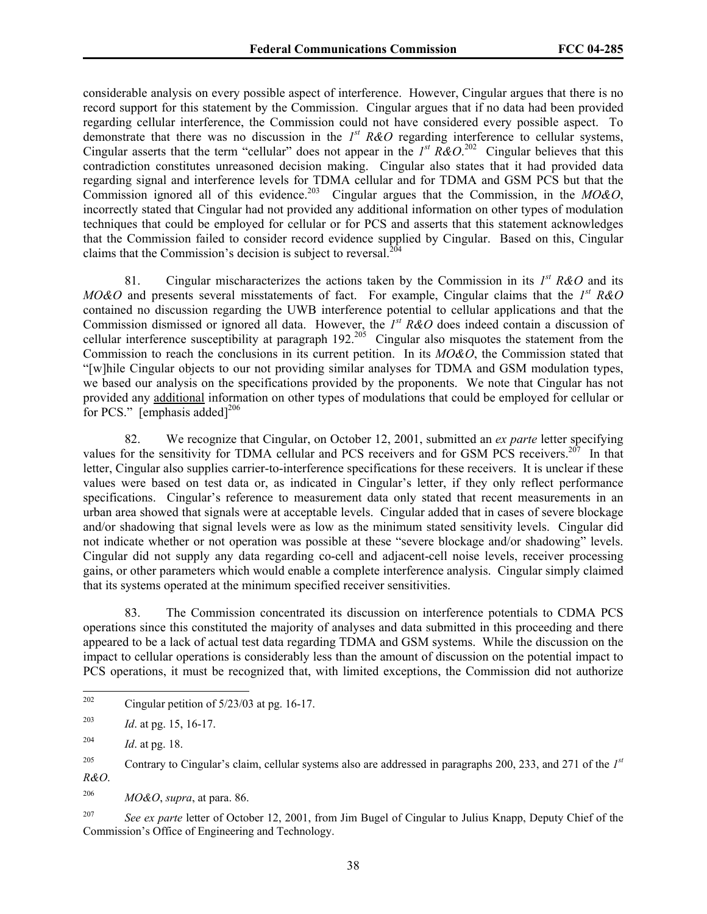considerable analysis on every possible aspect of interference. However, Cingular argues that there is no record support for this statement by the Commission. Cingular argues that if no data had been provided regarding cellular interference, the Commission could not have considered every possible aspect. To demonstrate that there was no discussion in the *1st R&O* regarding interference to cellular systems, Cingular asserts that the term "cellular" does not appear in the  $I<sup>st</sup> R&O.<sup>202</sup>$  Cingular believes that this contradiction constitutes unreasoned decision making. Cingular also states that it had provided data regarding signal and interference levels for TDMA cellular and for TDMA and GSM PCS but that the Commission ignored all of this evidence.<sup>203</sup> Cingular argues that the Commission, in the *MO&O*, incorrectly stated that Cingular had not provided any additional information on other types of modulation techniques that could be employed for cellular or for PCS and asserts that this statement acknowledges that the Commission failed to consider record evidence supplied by Cingular. Based on this, Cingular claims that the Commission's decision is subject to reversal.<sup>20</sup>

81. Cingular mischaracterizes the actions taken by the Commission in its *1st R&O* and its *MO&O* and presents several misstatements of fact. For example, Cingular claims that the *1st R&O* contained no discussion regarding the UWB interference potential to cellular applications and that the Commission dismissed or ignored all data. However, the *1st R&O* does indeed contain a discussion of cellular interference susceptibility at paragraph 192.<sup>205</sup> Cingular also misquotes the statement from the Commission to reach the conclusions in its current petition. In its *MO&O*, the Commission stated that "[w]hile Cingular objects to our not providing similar analyses for TDMA and GSM modulation types, we based our analysis on the specifications provided by the proponents. We note that Cingular has not provided any additional information on other types of modulations that could be employed for cellular or for PCS." [emphasis added] $^{206}$ 

82. We recognize that Cingular, on October 12, 2001, submitted an *ex parte* letter specifying values for the sensitivity for TDMA cellular and PCS receivers and for GSM PCS receivers.<sup>207</sup> In that letter, Cingular also supplies carrier-to-interference specifications for these receivers. It is unclear if these values were based on test data or, as indicated in Cingular's letter, if they only reflect performance specifications. Cingular's reference to measurement data only stated that recent measurements in an urban area showed that signals were at acceptable levels. Cingular added that in cases of severe blockage and/or shadowing that signal levels were as low as the minimum stated sensitivity levels. Cingular did not indicate whether or not operation was possible at these "severe blockage and/or shadowing" levels. Cingular did not supply any data regarding co-cell and adjacent-cell noise levels, receiver processing gains, or other parameters which would enable a complete interference analysis. Cingular simply claimed that its systems operated at the minimum specified receiver sensitivities.

83. The Commission concentrated its discussion on interference potentials to CDMA PCS operations since this constituted the majority of analyses and data submitted in this proceeding and there appeared to be a lack of actual test data regarding TDMA and GSM systems. While the discussion on the impact to cellular operations is considerably less than the amount of discussion on the potential impact to PCS operations, it must be recognized that, with limited exceptions, the Commission did not authorize

206 *MO&O*, *supra*, at para. 86.

<sup>202</sup> Cingular petition of  $5/23/03$  at pg. 16-17.

<sup>203</sup> *Id*. at pg. 15, 16-17.

<sup>204</sup> *Id*. at pg. 18.

<sup>205</sup> Contrary to Cingular's claim, cellular systems also are addressed in paragraphs 200, 233, and 271 of the *1st R&O*.

<sup>&</sup>lt;sup>207</sup> See ex parte letter of October 12, 2001, from Jim Bugel of Cingular to Julius Knapp, Deputy Chief of the Commission's Office of Engineering and Technology.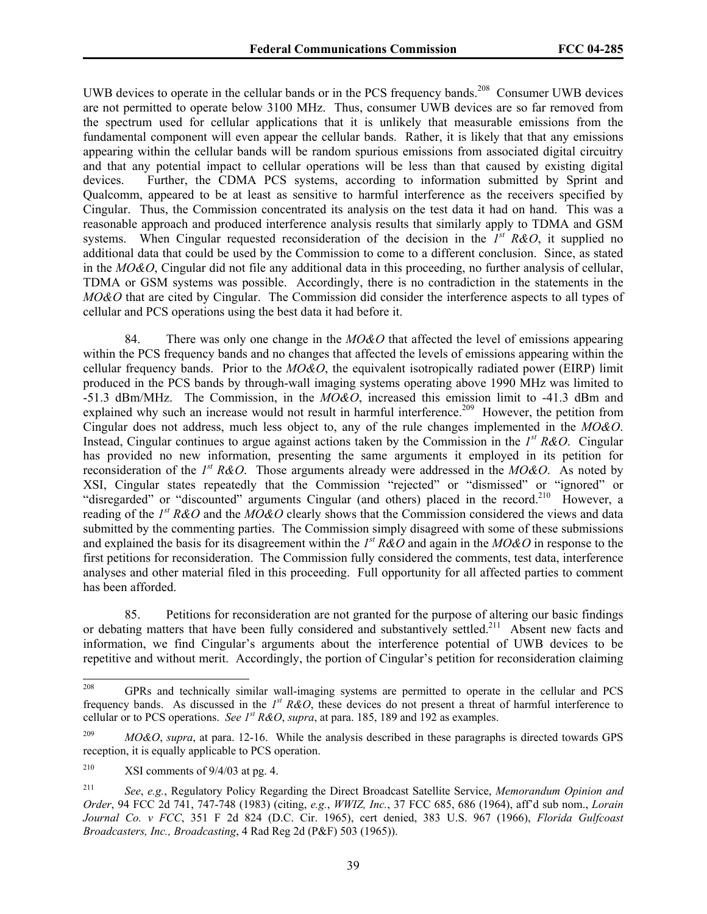UWB devices to operate in the cellular bands or in the PCS frequency bands.<sup>208</sup> Consumer UWB devices are not permitted to operate below 3100 MHz. Thus, consumer UWB devices are so far removed from the spectrum used for cellular applications that it is unlikely that measurable emissions from the fundamental component will even appear the cellular bands. Rather, it is likely that that any emissions appearing within the cellular bands will be random spurious emissions from associated digital circuitry and that any potential impact to cellular operations will be less than that caused by existing digital devices. Further, the CDMA PCS systems, according to information submitted by Sprint and Qualcomm, appeared to be at least as sensitive to harmful interference as the receivers specified by Cingular. Thus, the Commission concentrated its analysis on the test data it had on hand. This was a reasonable approach and produced interference analysis results that similarly apply to TDMA and GSM systems. When Cingular requested reconsideration of the decision in the *1st R&O*, it supplied no additional data that could be used by the Commission to come to a different conclusion. Since, as stated in the *MO&O*, Cingular did not file any additional data in this proceeding, no further analysis of cellular, TDMA or GSM systems was possible. Accordingly, there is no contradiction in the statements in the *MO&O* that are cited by Cingular. The Commission did consider the interference aspects to all types of cellular and PCS operations using the best data it had before it.

84. There was only one change in the *MO&O* that affected the level of emissions appearing within the PCS frequency bands and no changes that affected the levels of emissions appearing within the cellular frequency bands. Prior to the *MO&O*, the equivalent isotropically radiated power (EIRP) limit produced in the PCS bands by through-wall imaging systems operating above 1990 MHz was limited to -51.3 dBm/MHz. The Commission, in the *MO&O*, increased this emission limit to -41.3 dBm and explained why such an increase would not result in harmful interference.<sup>209</sup> However, the petition from Cingular does not address, much less object to, any of the rule changes implemented in the *MO&O*. Instead, Cingular continues to argue against actions taken by the Commission in the *1st R&O*. Cingular has provided no new information, presenting the same arguments it employed in its petition for reconsideration of the *1st R&O*. Those arguments already were addressed in the *MO&O*. As noted by XSI, Cingular states repeatedly that the Commission "rejected" or "dismissed" or "ignored" or "disregarded" or "discounted" arguments Cingular (and others) placed in the record.<sup>210</sup> However, a reading of the *1st R&O* and the *MO&O* clearly shows that the Commission considered the views and data submitted by the commenting parties. The Commission simply disagreed with some of these submissions and explained the basis for its disagreement within the *1st R&O* and again in the *MO&O* in response to the first petitions for reconsideration. The Commission fully considered the comments, test data, interference analyses and other material filed in this proceeding. Full opportunity for all affected parties to comment has been afforded.

85. Petitions for reconsideration are not granted for the purpose of altering our basic findings or debating matters that have been fully considered and substantively settled.<sup>211</sup> Absent new facts and information, we find Cingular's arguments about the interference potential of UWB devices to be repetitive and without merit. Accordingly, the portion of Cingular's petition for reconsideration claiming

<sup>208</sup> 208 GPRs and technically similar wall-imaging systems are permitted to operate in the cellular and PCS frequency bands. As discussed in the *1st R&O*, these devices do not present a threat of harmful interference to cellular or to PCS operations. *See 1st R&O*, *supra*, at para. 185, 189 and 192 as examples.

<sup>209</sup> *MO&O*, *supra*, at para. 12-16. While the analysis described in these paragraphs is directed towards GPS reception, it is equally applicable to PCS operation.

<sup>&</sup>lt;sup>210</sup> XSI comments of  $9/4/03$  at pg. 4.

<sup>211</sup> *See*, *e.g.*, Regulatory Policy Regarding the Direct Broadcast Satellite Service, *Memorandum Opinion and Order*, 94 FCC 2d 741, 747-748 (1983) (citing, *e.g.*, *WWIZ, Inc.*, 37 FCC 685, 686 (1964), aff'd sub nom., *Lorain Journal Co. v FCC*, 351 F 2d 824 (D.C. Cir. 1965), cert denied, 383 U.S. 967 (1966), *Florida Gulfcoast Broadcasters, Inc., Broadcasting*, 4 Rad Reg 2d (P&F) 503 (1965)).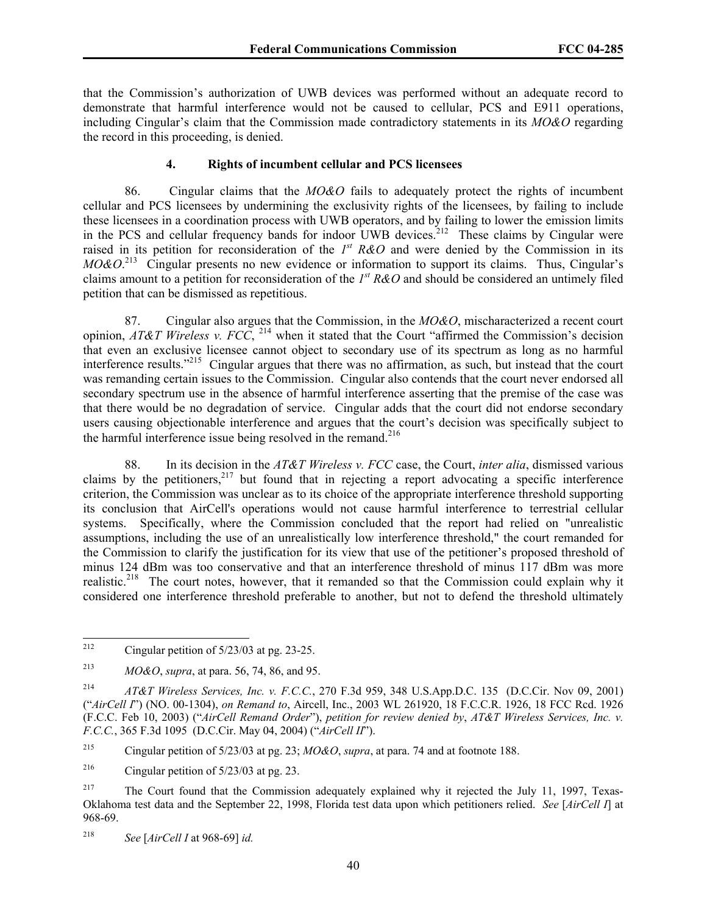that the Commission's authorization of UWB devices was performed without an adequate record to demonstrate that harmful interference would not be caused to cellular, PCS and E911 operations, including Cingular's claim that the Commission made contradictory statements in its *MO&O* regarding the record in this proceeding, is denied.

#### **4. Rights of incumbent cellular and PCS licensees**

86. Cingular claims that the *MO&O* fails to adequately protect the rights of incumbent cellular and PCS licensees by undermining the exclusivity rights of the licensees, by failing to include these licensees in a coordination process with UWB operators, and by failing to lower the emission limits in the PCS and cellular frequency bands for indoor UWB devices.<sup>212</sup> These claims by Cingular were raised in its petition for reconsideration of the  $I<sup>st</sup> R&O$  and were denied by the Commission in its *MO&O*. 213 Cingular presents no new evidence or information to support its claims. Thus, Cingular's claims amount to a petition for reconsideration of the *1st R&O* and should be considered an untimely filed petition that can be dismissed as repetitious.

87. Cingular also argues that the Commission, in the *MO&O*, mischaracterized a recent court opinion, *AT&T Wireless v. FCC*, 214 when it stated that the Court "affirmed the Commission's decision that even an exclusive licensee cannot object to secondary use of its spectrum as long as no harmful interference results."215 Cingular argues that there was no affirmation, as such, but instead that the court was remanding certain issues to the Commission. Cingular also contends that the court never endorsed all secondary spectrum use in the absence of harmful interference asserting that the premise of the case was that there would be no degradation of service. Cingular adds that the court did not endorse secondary users causing objectionable interference and argues that the court's decision was specifically subject to the harmful interference issue being resolved in the remand.<sup>216</sup>

88. In its decision in the *AT&T Wireless v. FCC* case, the Court, *inter alia*, dismissed various claims by the petitioners,<sup>217</sup> but found that in rejecting a report advocating a specific interference criterion, the Commission was unclear as to its choice of the appropriate interference threshold supporting its conclusion that AirCell's operations would not cause harmful interference to terrestrial cellular systems. Specifically, where the Commission concluded that the report had relied on "unrealistic assumptions, including the use of an unrealistically low interference threshold," the court remanded for the Commission to clarify the justification for its view that use of the petitioner's proposed threshold of minus 124 dBm was too conservative and that an interference threshold of minus 117 dBm was more realistic.<sup>218</sup> The court notes, however, that it remanded so that the Commission could explain why it considered one interference threshold preferable to another, but not to defend the threshold ultimately

215 Cingular petition of 5/23/03 at pg. 23; *MO&O*, *supra*, at para. 74 and at footnote 188.

<sup>212</sup> Cingular petition of  $5/23/03$  at pg. 23-25.

<sup>213</sup> *MO&O*, *supra*, at para. 56, 74, 86, and 95.

<sup>214</sup> *AT&T Wireless Services, Inc. v. F.C.C.*, 270 F.3d 959, 348 U.S.App.D.C. 135 (D.C.Cir. Nov 09, 2001) ("*AirCell I*") (NO. 00-1304), *on Remand to*, Aircell, Inc., 2003 WL 261920, 18 F.C.C.R. 1926, 18 FCC Rcd. 1926 (F.C.C. Feb 10, 2003) ("*AirCell Remand Order*"), *petition for review denied by*, *AT&T Wireless Services, Inc. v. F.C.C.*, 365 F.3d 1095 (D.C.Cir. May 04, 2004) ("*AirCell II*").

<sup>&</sup>lt;sup>216</sup> Cingular petition of  $5/23/03$  at pg. 23.

<sup>&</sup>lt;sup>217</sup> The Court found that the Commission adequately explained why it rejected the July 11, 1997, Texas-Oklahoma test data and the September 22, 1998, Florida test data upon which petitioners relied. *See* [*AirCell I*] at 968-69.

<sup>218</sup> *See* [*AirCell I* at 968-69] *id.*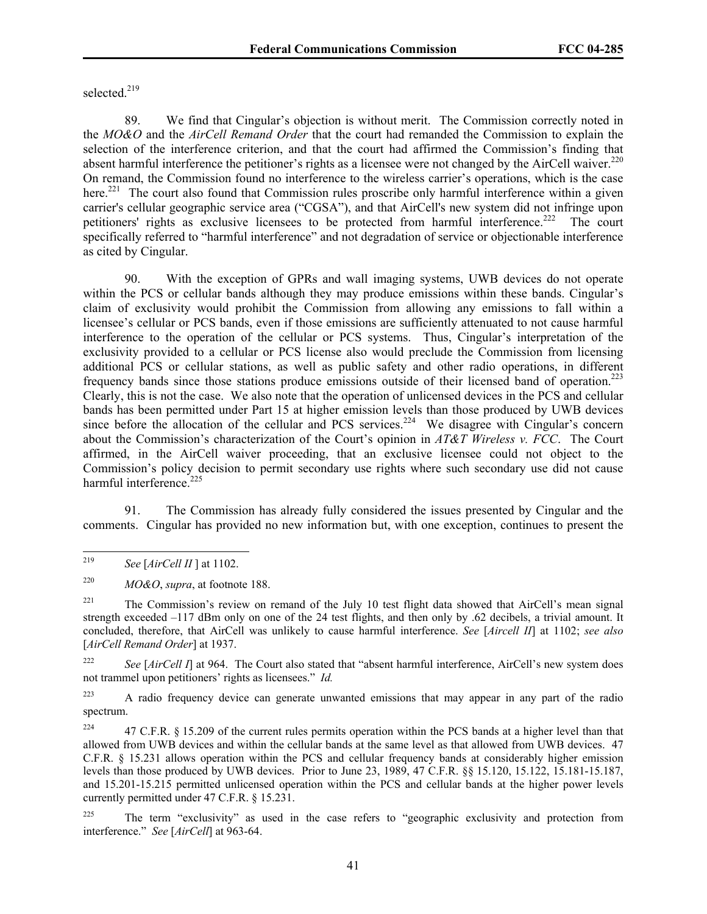selected.<sup>219</sup>

89. We find that Cingular's objection is without merit. The Commission correctly noted in the *MO&O* and the *AirCell Remand Order* that the court had remanded the Commission to explain the selection of the interference criterion, and that the court had affirmed the Commission's finding that absent harmful interference the petitioner's rights as a licensee were not changed by the AirCell waiver.<sup>220</sup> On remand, the Commission found no interference to the wireless carrier's operations, which is the case here.<sup>221</sup> The court also found that Commission rules proscribe only harmful interference within a given carrier's cellular geographic service area ("CGSA"), and that AirCell's new system did not infringe upon petitioners' rights as exclusive licensees to be protected from harmful interference.<sup>222</sup> The court specifically referred to "harmful interference" and not degradation of service or objectionable interference as cited by Cingular.

90. With the exception of GPRs and wall imaging systems, UWB devices do not operate within the PCS or cellular bands although they may produce emissions within these bands. Cingular's claim of exclusivity would prohibit the Commission from allowing any emissions to fall within a licensee's cellular or PCS bands, even if those emissions are sufficiently attenuated to not cause harmful interference to the operation of the cellular or PCS systems. Thus, Cingular's interpretation of the exclusivity provided to a cellular or PCS license also would preclude the Commission from licensing additional PCS or cellular stations, as well as public safety and other radio operations, in different frequency bands since those stations produce emissions outside of their licensed band of operation.223 Clearly, this is not the case. We also note that the operation of unlicensed devices in the PCS and cellular bands has been permitted under Part 15 at higher emission levels than those produced by UWB devices since before the allocation of the cellular and PCS services.<sup>224</sup> We disagree with Cingular's concern about the Commission's characterization of the Court's opinion in *AT&T Wireless v. FCC*. The Court affirmed, in the AirCell waiver proceeding, that an exclusive licensee could not object to the Commission's policy decision to permit secondary use rights where such secondary use did not cause harmful interference.<sup>225</sup>

91. The Commission has already fully considered the issues presented by Cingular and the comments. Cingular has provided no new information but, with one exception, continues to present the

<sup>219</sup> 219 *See* [*AirCell II* ] at 1102.

<sup>220</sup> *MO&O*, *supra*, at footnote 188.

<sup>&</sup>lt;sup>221</sup> The Commission's review on remand of the July 10 test flight data showed that AirCell's mean signal strength exceeded –117 dBm only on one of the 24 test flights, and then only by .62 decibels, a trivial amount. It concluded, therefore, that AirCell was unlikely to cause harmful interference. *See* [*Aircell II*] at 1102; *see also*  [*AirCell Remand Order*] at 1937.

<sup>&</sup>lt;sup>222</sup> *See* [*AirCell I*] at 964. The Court also stated that "absent harmful interference, AirCell's new system does not trammel upon petitioners' rights as licensees." *Id.*

<sup>&</sup>lt;sup>223</sup> A radio frequency device can generate unwanted emissions that may appear in any part of the radio spectrum.

<sup>&</sup>lt;sup>224</sup> 47 C.F.R. § 15.209 of the current rules permits operation within the PCS bands at a higher level than that allowed from UWB devices and within the cellular bands at the same level as that allowed from UWB devices. 47 C.F.R. § 15.231 allows operation within the PCS and cellular frequency bands at considerably higher emission levels than those produced by UWB devices. Prior to June 23, 1989, 47 C.F.R. §§ 15.120, 15.122, 15.181-15.187, and 15.201-15.215 permitted unlicensed operation within the PCS and cellular bands at the higher power levels currently permitted under 47 C.F.R. § 15.231.

<sup>&</sup>lt;sup>225</sup> The term "exclusivity" as used in the case refers to "geographic exclusivity and protection from interference." *See* [*AirCell*] at 963-64.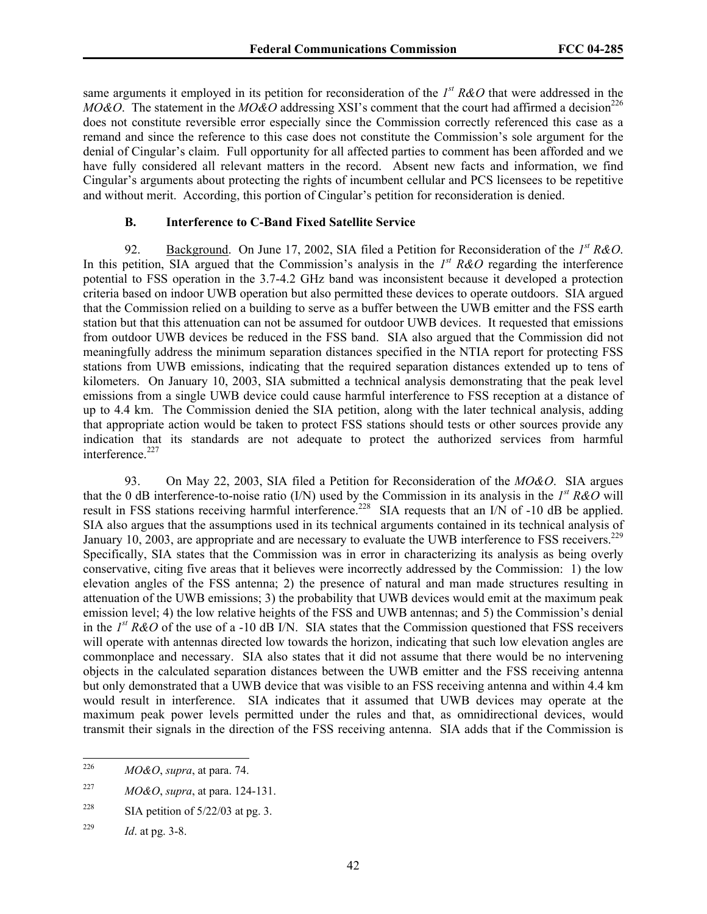same arguments it employed in its petition for reconsideration of the *1st R&O* that were addressed in the *MO&O*. The statement in the *MO&O* addressing XSI's comment that the court had affirmed a decision<sup>226</sup> does not constitute reversible error especially since the Commission correctly referenced this case as a remand and since the reference to this case does not constitute the Commission's sole argument for the denial of Cingular's claim. Full opportunity for all affected parties to comment has been afforded and we have fully considered all relevant matters in the record. Absent new facts and information, we find Cingular's arguments about protecting the rights of incumbent cellular and PCS licensees to be repetitive and without merit. According, this portion of Cingular's petition for reconsideration is denied.

## **B. Interference to C-Band Fixed Satellite Service**

92. Background. On June 17, 2002, SIA filed a Petition for Reconsideration of the *1st R&O*. In this petition, SIA argued that the Commission's analysis in the  $I<sup>st</sup> R&O$  regarding the interference potential to FSS operation in the 3.7-4.2 GHz band was inconsistent because it developed a protection criteria based on indoor UWB operation but also permitted these devices to operate outdoors. SIA argued that the Commission relied on a building to serve as a buffer between the UWB emitter and the FSS earth station but that this attenuation can not be assumed for outdoor UWB devices. It requested that emissions from outdoor UWB devices be reduced in the FSS band. SIA also argued that the Commission did not meaningfully address the minimum separation distances specified in the NTIA report for protecting FSS stations from UWB emissions, indicating that the required separation distances extended up to tens of kilometers. On January 10, 2003, SIA submitted a technical analysis demonstrating that the peak level emissions from a single UWB device could cause harmful interference to FSS reception at a distance of up to 4.4 km. The Commission denied the SIA petition, along with the later technical analysis, adding that appropriate action would be taken to protect FSS stations should tests or other sources provide any indication that its standards are not adequate to protect the authorized services from harmful interference.<sup>227</sup>

93. On May 22, 2003, SIA filed a Petition for Reconsideration of the *MO&O*. SIA argues that the 0 dB interference-to-noise ratio (I/N) used by the Commission in its analysis in the *1st R&O* will result in FSS stations receiving harmful interference.<sup>228</sup> SIA requests that an I/N of -10 dB be applied. SIA also argues that the assumptions used in its technical arguments contained in its technical analysis of January 10, 2003, are appropriate and are necessary to evaluate the UWB interference to FSS receivers.<sup>229</sup> Specifically, SIA states that the Commission was in error in characterizing its analysis as being overly conservative, citing five areas that it believes were incorrectly addressed by the Commission: 1) the low elevation angles of the FSS antenna; 2) the presence of natural and man made structures resulting in attenuation of the UWB emissions; 3) the probability that UWB devices would emit at the maximum peak emission level; 4) the low relative heights of the FSS and UWB antennas; and 5) the Commission's denial in the *I*<sup>st</sup> R&O of the use of a -10 dB I/N. SIA states that the Commission questioned that FSS receivers will operate with antennas directed low towards the horizon, indicating that such low elevation angles are commonplace and necessary. SIA also states that it did not assume that there would be no intervening objects in the calculated separation distances between the UWB emitter and the FSS receiving antenna but only demonstrated that a UWB device that was visible to an FSS receiving antenna and within 4.4 km would result in interference. SIA indicates that it assumed that UWB devices may operate at the maximum peak power levels permitted under the rules and that, as omnidirectional devices, would transmit their signals in the direction of the FSS receiving antenna. SIA adds that if the Commission is

<sup>226</sup> 226 *MO&O*, *supra*, at para. 74.

<sup>227</sup> *MO&O*, *supra*, at para. 124-131.

<sup>&</sup>lt;sup>228</sup> SIA petition of  $5/22/03$  at pg. 3.

<sup>229</sup> *Id*. at pg. 3-8.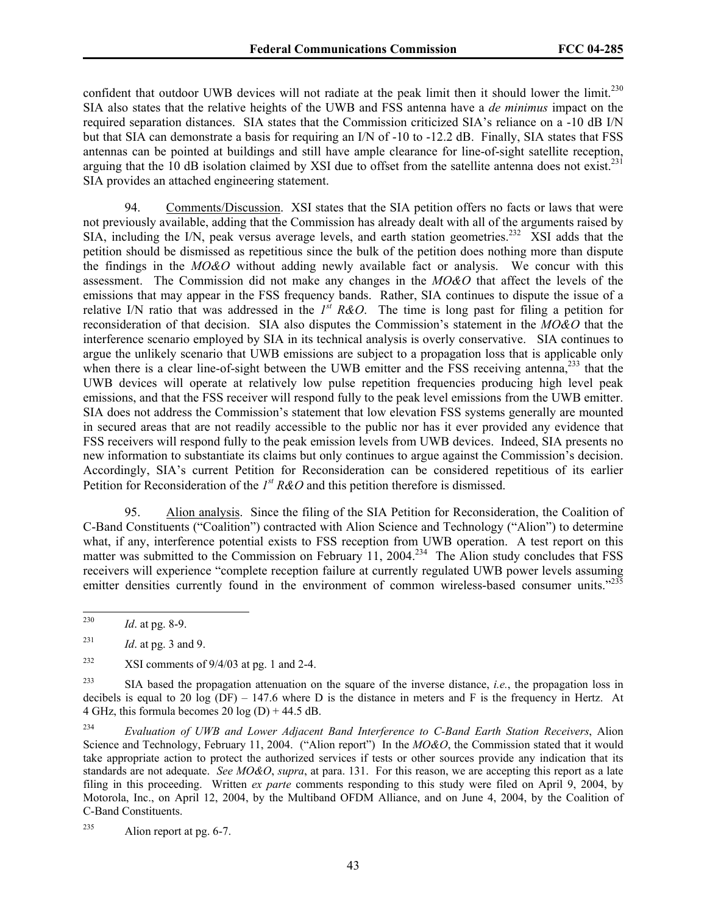confident that outdoor UWB devices will not radiate at the peak limit then it should lower the limit.<sup>230</sup> SIA also states that the relative heights of the UWB and FSS antenna have a *de minimus* impact on the required separation distances. SIA states that the Commission criticized SIA's reliance on a -10 dB I/N but that SIA can demonstrate a basis for requiring an I/N of -10 to -12.2 dB. Finally, SIA states that FSS antennas can be pointed at buildings and still have ample clearance for line-of-sight satellite reception, arguing that the 10 dB isolation claimed by XSI due to offset from the satellite antenna does not exist.<sup>231</sup> SIA provides an attached engineering statement.

94. Comments/Discussion. XSI states that the SIA petition offers no facts or laws that were not previously available, adding that the Commission has already dealt with all of the arguments raised by SIA, including the I/N, peak versus average levels, and earth station geometries.<sup>232</sup> XSI adds that the petition should be dismissed as repetitious since the bulk of the petition does nothing more than dispute the findings in the *MO&O* without adding newly available fact or analysis. We concur with this assessment. The Commission did not make any changes in the *MO&O* that affect the levels of the emissions that may appear in the FSS frequency bands. Rather, SIA continues to dispute the issue of a relative I/N ratio that was addressed in the  $I^{st} R\&O$ . The time is long past for filing a petition for reconsideration of that decision. SIA also disputes the Commission's statement in the *MO&O* that the interference scenario employed by SIA in its technical analysis is overly conservative. SIA continues to argue the unlikely scenario that UWB emissions are subject to a propagation loss that is applicable only when there is a clear line-of-sight between the UWB emitter and the FSS receiving antenna,<sup>233</sup> that the UWB devices will operate at relatively low pulse repetition frequencies producing high level peak emissions, and that the FSS receiver will respond fully to the peak level emissions from the UWB emitter. SIA does not address the Commission's statement that low elevation FSS systems generally are mounted in secured areas that are not readily accessible to the public nor has it ever provided any evidence that FSS receivers will respond fully to the peak emission levels from UWB devices. Indeed, SIA presents no new information to substantiate its claims but only continues to argue against the Commission's decision. Accordingly, SIA's current Petition for Reconsideration can be considered repetitious of its earlier Petition for Reconsideration of the  $I<sup>st</sup> R&O$  and this petition therefore is dismissed.

95. Alion analysis. Since the filing of the SIA Petition for Reconsideration, the Coalition of C-Band Constituents ("Coalition") contracted with Alion Science and Technology ("Alion") to determine what, if any, interference potential exists to FSS reception from UWB operation. A test report on this matter was submitted to the Commission on February 11, 2004.<sup>234</sup> The Alion study concludes that FSS receivers will experience "complete reception failure at currently regulated UWB power levels assuming emitter densities currently found in the environment of common wireless-based consumer units."235

<sup>230</sup> *Id.* at pg. 8-9.

 $1d$ . at pg. 3 and 9.

<sup>&</sup>lt;sup>232</sup> XSI comments of  $9/4/03$  at pg. 1 and 2-4.

<sup>233</sup> SIA based the propagation attenuation on the square of the inverse distance, *i.e.*, the propagation loss in decibels is equal to 20 log (DF) – 147.6 where D is the distance in meters and F is the frequency in Hertz. At 4 GHz, this formula becomes 20 log  $(D) + 44.5$  dB.

<sup>234</sup> *Evaluation of UWB and Lower Adjacent Band Interference to C-Band Earth Station Receivers*, Alion Science and Technology, February 11, 2004. ("Alion report") In the *MO&O*, the Commission stated that it would take appropriate action to protect the authorized services if tests or other sources provide any indication that its standards are not adequate. *See MO&O*, *supra*, at para. 131. For this reason, we are accepting this report as a late filing in this proceeding. Written *ex parte* comments responding to this study were filed on April 9, 2004, by Motorola, Inc., on April 12, 2004, by the Multiband OFDM Alliance, and on June 4, 2004, by the Coalition of C-Band Constituents.

<sup>235</sup> Alion report at pg. 6-7.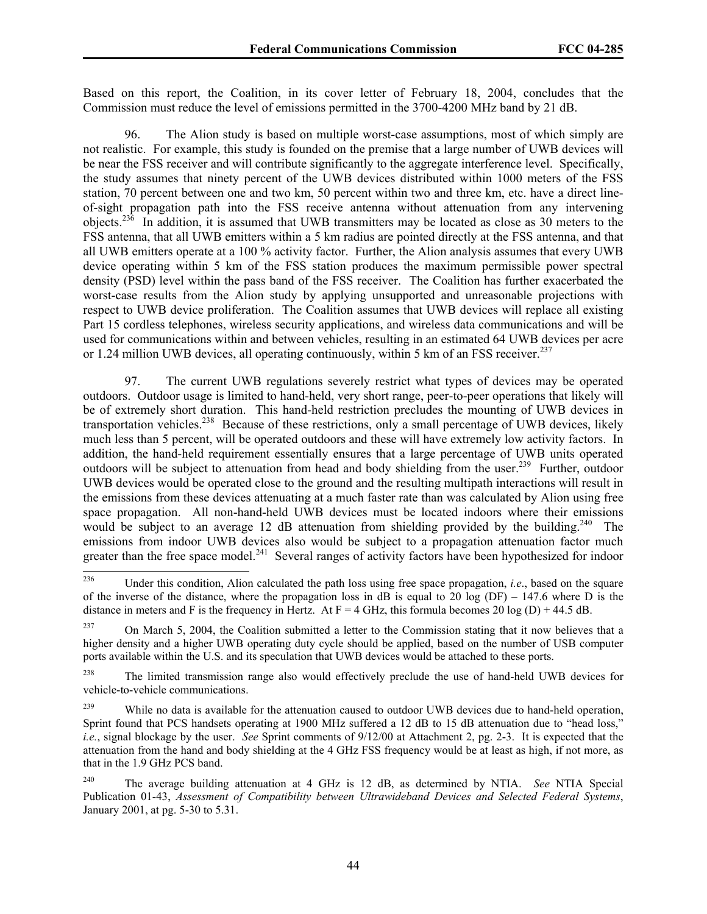Based on this report, the Coalition, in its cover letter of February 18, 2004, concludes that the Commission must reduce the level of emissions permitted in the 3700-4200 MHz band by 21 dB.

96. The Alion study is based on multiple worst-case assumptions, most of which simply are not realistic. For example, this study is founded on the premise that a large number of UWB devices will be near the FSS receiver and will contribute significantly to the aggregate interference level. Specifically, the study assumes that ninety percent of the UWB devices distributed within 1000 meters of the FSS station, 70 percent between one and two km, 50 percent within two and three km, etc. have a direct lineof-sight propagation path into the FSS receive antenna without attenuation from any intervening objects.236 In addition, it is assumed that UWB transmitters may be located as close as 30 meters to the FSS antenna, that all UWB emitters within a 5 km radius are pointed directly at the FSS antenna, and that all UWB emitters operate at a 100 % activity factor. Further, the Alion analysis assumes that every UWB device operating within 5 km of the FSS station produces the maximum permissible power spectral density (PSD) level within the pass band of the FSS receiver. The Coalition has further exacerbated the worst-case results from the Alion study by applying unsupported and unreasonable projections with respect to UWB device proliferation. The Coalition assumes that UWB devices will replace all existing Part 15 cordless telephones, wireless security applications, and wireless data communications and will be used for communications within and between vehicles, resulting in an estimated 64 UWB devices per acre or 1.24 million UWB devices, all operating continuously, within 5 km of an FSS receiver.<sup>237</sup>

97. The current UWB regulations severely restrict what types of devices may be operated outdoors. Outdoor usage is limited to hand-held, very short range, peer-to-peer operations that likely will be of extremely short duration. This hand-held restriction precludes the mounting of UWB devices in transportation vehicles.<sup>238</sup> Because of these restrictions, only a small percentage of UWB devices, likely much less than 5 percent, will be operated outdoors and these will have extremely low activity factors. In addition, the hand-held requirement essentially ensures that a large percentage of UWB units operated outdoors will be subject to attenuation from head and body shielding from the user.<sup>239</sup> Further, outdoor UWB devices would be operated close to the ground and the resulting multipath interactions will result in the emissions from these devices attenuating at a much faster rate than was calculated by Alion using free space propagation. All non-hand-held UWB devices must be located indoors where their emissions would be subject to an average 12 dB attenuation from shielding provided by the building.<sup>240</sup> The emissions from indoor UWB devices also would be subject to a propagation attenuation factor much greater than the free space model.<sup>241</sup> Several ranges of activity factors have been hypothesized for indoor

<sup>238</sup> The limited transmission range also would effectively preclude the use of hand-held UWB devices for vehicle-to-vehicle communications.

<sup>236</sup> 236 Under this condition, Alion calculated the path loss using free space propagation, *i.e*., based on the square of the inverse of the distance, where the propagation loss in dB is equal to 20 log (DF) – 147.6 where D is the distance in meters and F is the frequency in Hertz. At  $F = 4$  GHz, this formula becomes 20 log (D) + 44.5 dB.

<sup>&</sup>lt;sup>237</sup> On March 5, 2004, the Coalition submitted a letter to the Commission stating that it now believes that a higher density and a higher UWB operating duty cycle should be applied, based on the number of USB computer ports available within the U.S. and its speculation that UWB devices would be attached to these ports.

<sup>&</sup>lt;sup>239</sup> While no data is available for the attenuation caused to outdoor UWB devices due to hand-held operation, Sprint found that PCS handsets operating at 1900 MHz suffered a 12 dB to 15 dB attenuation due to "head loss," *i.e.*, signal blockage by the user. *See* Sprint comments of 9/12/00 at Attachment 2, pg. 2-3. It is expected that the attenuation from the hand and body shielding at the 4 GHz FSS frequency would be at least as high, if not more, as that in the 1.9 GHz PCS band.

<sup>240</sup> The average building attenuation at 4 GHz is 12 dB, as determined by NTIA. *See* NTIA Special Publication 01-43, *Assessment of Compatibility between Ultrawideband Devices and Selected Federal Systems*, January 2001, at pg. 5-30 to 5.31.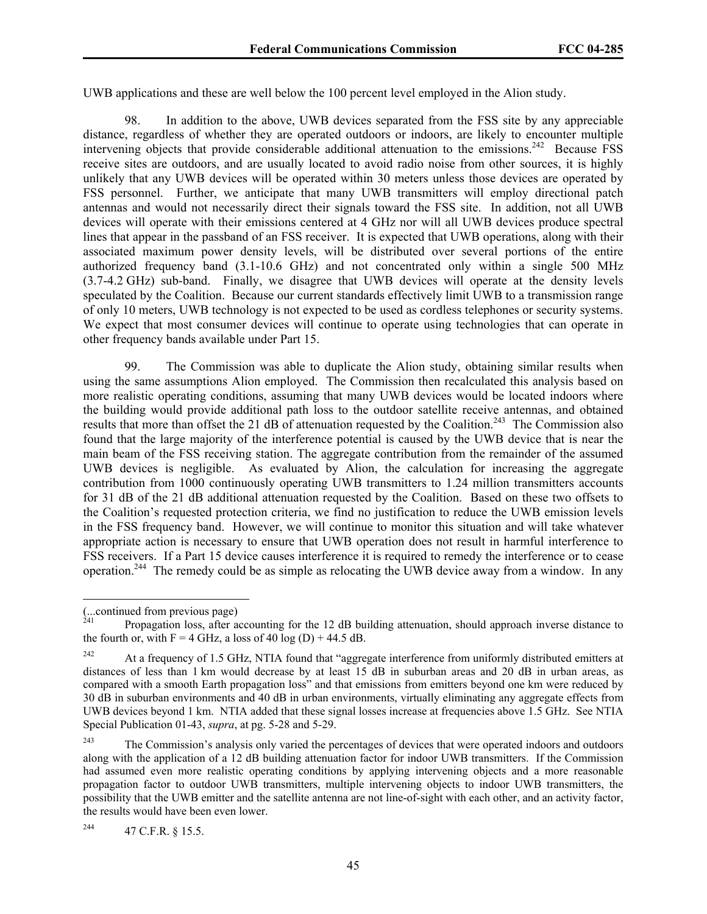UWB applications and these are well below the 100 percent level employed in the Alion study.

98. In addition to the above, UWB devices separated from the FSS site by any appreciable distance, regardless of whether they are operated outdoors or indoors, are likely to encounter multiple intervening objects that provide considerable additional attenuation to the emissions.<sup>242</sup> Because FSS receive sites are outdoors, and are usually located to avoid radio noise from other sources, it is highly unlikely that any UWB devices will be operated within 30 meters unless those devices are operated by FSS personnel. Further, we anticipate that many UWB transmitters will employ directional patch antennas and would not necessarily direct their signals toward the FSS site. In addition, not all UWB devices will operate with their emissions centered at 4 GHz nor will all UWB devices produce spectral lines that appear in the passband of an FSS receiver. It is expected that UWB operations, along with their associated maximum power density levels, will be distributed over several portions of the entire authorized frequency band (3.1-10.6 GHz) and not concentrated only within a single 500 MHz (3.7-4.2 GHz) sub-band. Finally, we disagree that UWB devices will operate at the density levels speculated by the Coalition. Because our current standards effectively limit UWB to a transmission range of only 10 meters, UWB technology is not expected to be used as cordless telephones or security systems. We expect that most consumer devices will continue to operate using technologies that can operate in other frequency bands available under Part 15.

99. The Commission was able to duplicate the Alion study, obtaining similar results when using the same assumptions Alion employed. The Commission then recalculated this analysis based on more realistic operating conditions, assuming that many UWB devices would be located indoors where the building would provide additional path loss to the outdoor satellite receive antennas, and obtained results that more than offset the 21 dB of attenuation requested by the Coalition.<sup>243</sup> The Commission also found that the large majority of the interference potential is caused by the UWB device that is near the main beam of the FSS receiving station. The aggregate contribution from the remainder of the assumed UWB devices is negligible. As evaluated by Alion, the calculation for increasing the aggregate contribution from 1000 continuously operating UWB transmitters to 1.24 million transmitters accounts for 31 dB of the 21 dB additional attenuation requested by the Coalition. Based on these two offsets to the Coalition's requested protection criteria, we find no justification to reduce the UWB emission levels in the FSS frequency band. However, we will continue to monitor this situation and will take whatever appropriate action is necessary to ensure that UWB operation does not result in harmful interference to FSS receivers. If a Part 15 device causes interference it is required to remedy the interference or to cease operation.244 The remedy could be as simple as relocating the UWB device away from a window. In any

 $\overline{a}$ 

<sup>(...</sup>continued from previous page)

<sup>241</sup> Propagation loss, after accounting for the 12 dB building attenuation, should approach inverse distance to the fourth or, with  $F = 4$  GHz, a loss of 40 log (D) + 44.5 dB.

<sup>&</sup>lt;sup>242</sup> At a frequency of 1.5 GHz, NTIA found that "aggregate interference from uniformly distributed emitters at distances of less than 1 km would decrease by at least 15 dB in suburban areas and 20 dB in urban areas, as compared with a smooth Earth propagation loss" and that emissions from emitters beyond one km were reduced by 30 dB in suburban environments and 40 dB in urban environments, virtually eliminating any aggregate effects from UWB devices beyond 1 km. NTIA added that these signal losses increase at frequencies above 1.5 GHz. See NTIA Special Publication 01-43, *supra*, at pg. 5-28 and 5-29.

<sup>&</sup>lt;sup>243</sup> The Commission's analysis only varied the percentages of devices that were operated indoors and outdoors along with the application of a 12 dB building attenuation factor for indoor UWB transmitters. If the Commission had assumed even more realistic operating conditions by applying intervening objects and a more reasonable propagation factor to outdoor UWB transmitters, multiple intervening objects to indoor UWB transmitters, the possibility that the UWB emitter and the satellite antenna are not line-of-sight with each other, and an activity factor, the results would have been even lower.

<sup>244 47</sup> C.F.R. § 15.5.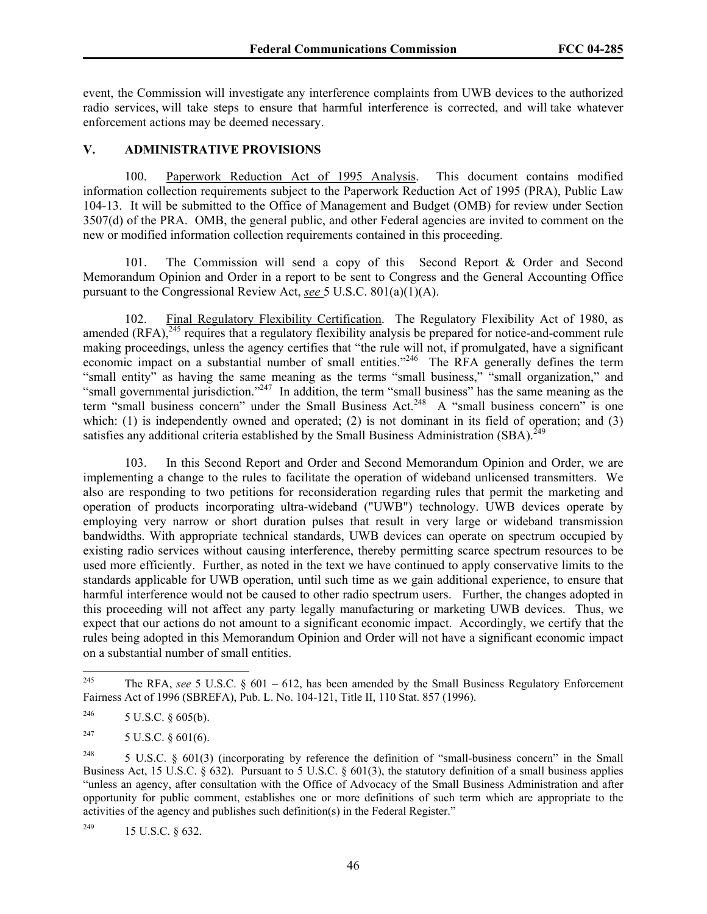event, the Commission will investigate any interference complaints from UWB devices to the authorized radio services, will take steps to ensure that harmful interference is corrected, and will take whatever enforcement actions may be deemed necessary.

#### **V. ADMINISTRATIVE PROVISIONS**

100. Paperwork Reduction Act of 1995 Analysis. This document contains modified information collection requirements subject to the Paperwork Reduction Act of 1995 (PRA), Public Law 104-13. It will be submitted to the Office of Management and Budget (OMB) for review under Section 3507(d) of the PRA. OMB, the general public, and other Federal agencies are invited to comment on the new or modified information collection requirements contained in this proceeding.

101. The Commission will send a copy of this Second Report & Order and Second Memorandum Opinion and Order in a report to be sent to Congress and the General Accounting Office pursuant to the Congressional Review Act, *see* 5 U.S.C. 801(a)(1)(A).

102. Final Regulatory Flexibility Certification. The Regulatory Flexibility Act of 1980, as amended  $(RFA)$ ,  $245$  requires that a regulatory flexibility analysis be prepared for notice-and-comment rule making proceedings, unless the agency certifies that "the rule will not, if promulgated, have a significant economic impact on a substantial number of small entities."<sup>246</sup> The RFA generally defines the term "small entity" as having the same meaning as the terms "small business," "small organization," and "small governmental jurisdiction."<sup>247</sup> In addition, the term "small business" has the same meaning as the term "small business concern" under the Small Business Act.<sup>248</sup> A "small business concern" is one which: (1) is independently owned and operated; (2) is not dominant in its field of operation; and (3) satisfies any additional criteria established by the Small Business Administration  $(SBA)^{249}$ 

103. In this Second Report and Order and Second Memorandum Opinion and Order, we are implementing a change to the rules to facilitate the operation of wideband unlicensed transmitters. We also are responding to two petitions for reconsideration regarding rules that permit the marketing and operation of products incorporating ultra-wideband ("UWB") technology. UWB devices operate by employing very narrow or short duration pulses that result in very large or wideband transmission bandwidths. With appropriate technical standards, UWB devices can operate on spectrum occupied by existing radio services without causing interference, thereby permitting scarce spectrum resources to be used more efficiently. Further, as noted in the text we have continued to apply conservative limits to the standards applicable for UWB operation, until such time as we gain additional experience, to ensure that harmful interference would not be caused to other radio spectrum users. Further, the changes adopted in this proceeding will not affect any party legally manufacturing or marketing UWB devices. Thus, we expect that our actions do not amount to a significant economic impact. Accordingly, we certify that the rules being adopted in this Memorandum Opinion and Order will not have a significant economic impact on a substantial number of small entities.

<sup>245</sup> 245 The RFA, *see* 5 U.S.C. § 601 – 612, has been amended by the Small Business Regulatory Enforcement Fairness Act of 1996 (SBREFA), Pub. L. No. 104-121, Title II, 110 Stat. 857 (1996).

<sup>&</sup>lt;sup>246</sup> 5 U.S.C. § 605(b).

<sup>&</sup>lt;sup>247</sup> 5 U.S.C. § 601(6).

<sup>&</sup>lt;sup>248</sup> 5 U.S.C. § 601(3) (incorporating by reference the definition of "small-business concern" in the Small Business Act, 15 U.S.C. § 632). Pursuant to 5 U.S.C. § 601(3), the statutory definition of a small business applies "unless an agency, after consultation with the Office of Advocacy of the Small Business Administration and after opportunity for public comment, establishes one or more definitions of such term which are appropriate to the activities of the agency and publishes such definition(s) in the Federal Register."

<sup>249 15</sup> U.S.C. § 632.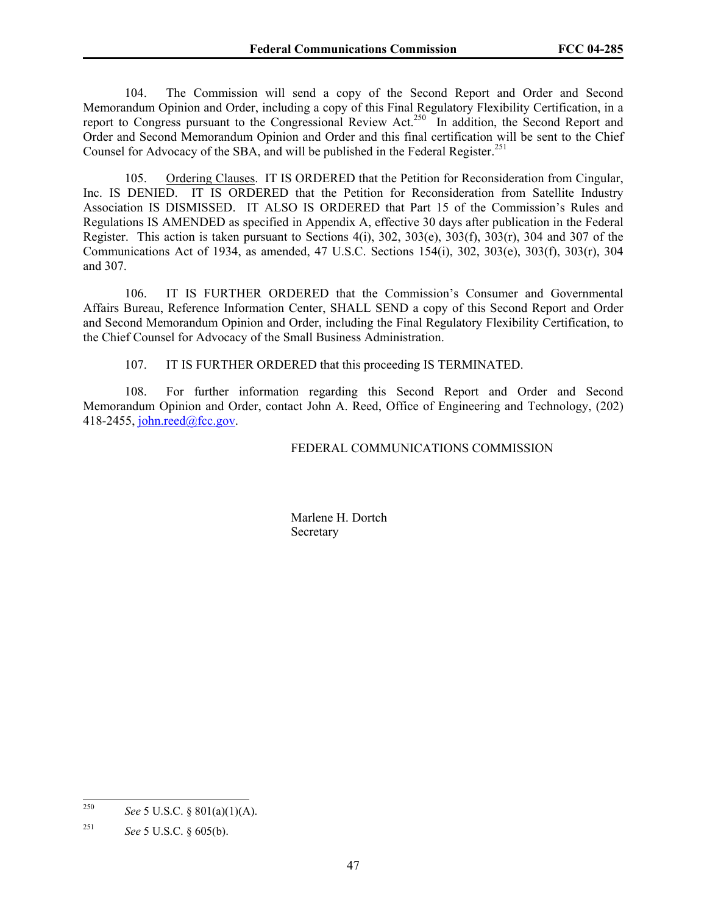104. The Commission will send a copy of the Second Report and Order and Second Memorandum Opinion and Order, including a copy of this Final Regulatory Flexibility Certification, in a report to Congress pursuant to the Congressional Review Act.<sup>250</sup> In addition, the Second Report and Order and Second Memorandum Opinion and Order and this final certification will be sent to the Chief Counsel for Advocacy of the SBA, and will be published in the Federal Register.<sup>251</sup>

105. Ordering Clauses. IT IS ORDERED that the Petition for Reconsideration from Cingular, Inc. IS DENIED. IT IS ORDERED that the Petition for Reconsideration from Satellite Industry Association IS DISMISSED. IT ALSO IS ORDERED that Part 15 of the Commission's Rules and Regulations IS AMENDED as specified in Appendix A, effective 30 days after publication in the Federal Register. This action is taken pursuant to Sections 4(i), 302, 303(e), 303(f), 303(r), 304 and 307 of the Communications Act of 1934, as amended, 47 U.S.C. Sections 154(i), 302, 303(e), 303(f), 303(r), 304 and 307.

106. IT IS FURTHER ORDERED that the Commission's Consumer and Governmental Affairs Bureau, Reference Information Center, SHALL SEND a copy of this Second Report and Order and Second Memorandum Opinion and Order, including the Final Regulatory Flexibility Certification, to the Chief Counsel for Advocacy of the Small Business Administration.

107. IT IS FURTHER ORDERED that this proceeding IS TERMINATED.

108. For further information regarding this Second Report and Order and Second Memorandum Opinion and Order, contact John A. Reed, Office of Engineering and Technology, (202) 418-2455, john.reed@fcc.gov.

#### FEDERAL COMMUNICATIONS COMMISSION

 Marlene H. Dortch **Secretary** 

<sup>250</sup> *See* 5 U.S.C. § 801(a)(1)(A).

<sup>251</sup> *See* 5 U.S.C. § 605(b).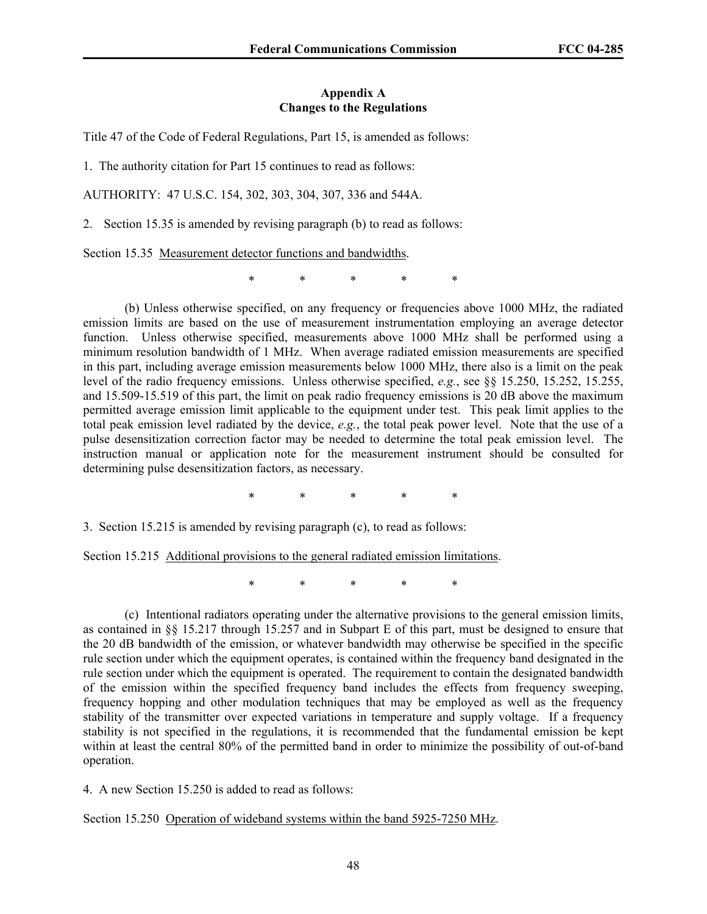#### **Appendix A Changes to the Regulations**

Title 47 of the Code of Federal Regulations, Part 15, is amended as follows:

1. The authority citation for Part 15 continues to read as follows:

AUTHORITY: 47 U.S.C. 154, 302, 303, 304, 307, 336 and 544A.

2. Section 15.35 is amended by revising paragraph (b) to read as follows:

Section 15.35 Measurement detector functions and bandwidths.

\* \* \* \* \*

 (b) Unless otherwise specified, on any frequency or frequencies above 1000 MHz, the radiated emission limits are based on the use of measurement instrumentation employing an average detector function. Unless otherwise specified, measurements above 1000 MHz shall be performed using a minimum resolution bandwidth of 1 MHz. When average radiated emission measurements are specified in this part, including average emission measurements below 1000 MHz, there also is a limit on the peak level of the radio frequency emissions. Unless otherwise specified, *e.g.*, see §§ 15.250, 15.252, 15.255, and 15.509-15.519 of this part, the limit on peak radio frequency emissions is 20 dB above the maximum permitted average emission limit applicable to the equipment under test. This peak limit applies to the total peak emission level radiated by the device, *e.g.*, the total peak power level. Note that the use of a pulse desensitization correction factor may be needed to determine the total peak emission level. The instruction manual or application note for the measurement instrument should be consulted for determining pulse desensitization factors, as necessary.

\* \* \* \* \*

3. Section 15.215 is amended by revising paragraph (c), to read as follows:

Section 15.215 Additional provisions to the general radiated emission limitations.

\* \* \* \* \*

(c) Intentional radiators operating under the alternative provisions to the general emission limits, as contained in §§ 15.217 through 15.257 and in Subpart E of this part, must be designed to ensure that the 20 dB bandwidth of the emission, or whatever bandwidth may otherwise be specified in the specific rule section under which the equipment operates, is contained within the frequency band designated in the rule section under which the equipment is operated. The requirement to contain the designated bandwidth of the emission within the specified frequency band includes the effects from frequency sweeping, frequency hopping and other modulation techniques that may be employed as well as the frequency stability of the transmitter over expected variations in temperature and supply voltage. If a frequency stability is not specified in the regulations, it is recommended that the fundamental emission be kept within at least the central 80% of the permitted band in order to minimize the possibility of out-of-band operation.

4. A new Section 15.250 is added to read as follows:

Section 15.250 Operation of wideband systems within the band 5925-7250 MHz.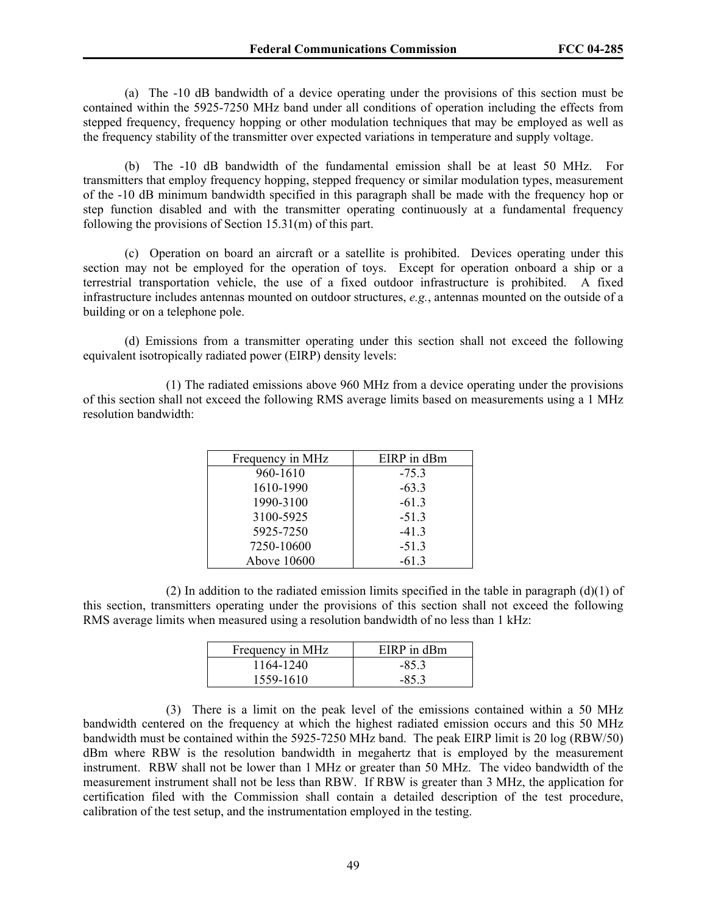(a) The -10 dB bandwidth of a device operating under the provisions of this section must be contained within the 5925-7250 MHz band under all conditions of operation including the effects from stepped frequency, frequency hopping or other modulation techniques that may be employed as well as the frequency stability of the transmitter over expected variations in temperature and supply voltage.

 (b) The -10 dB bandwidth of the fundamental emission shall be at least 50 MHz. For transmitters that employ frequency hopping, stepped frequency or similar modulation types, measurement of the -10 dB minimum bandwidth specified in this paragraph shall be made with the frequency hop or step function disabled and with the transmitter operating continuously at a fundamental frequency following the provisions of Section 15.31(m) of this part.

 (c) Operation on board an aircraft or a satellite is prohibited. Devices operating under this section may not be employed for the operation of toys. Except for operation onboard a ship or a terrestrial transportation vehicle, the use of a fixed outdoor infrastructure is prohibited. A fixed infrastructure includes antennas mounted on outdoor structures, *e.g.*, antennas mounted on the outside of a building or on a telephone pole.

 (d) Emissions from a transmitter operating under this section shall not exceed the following equivalent isotropically radiated power (EIRP) density levels:

 (1) The radiated emissions above 960 MHz from a device operating under the provisions of this section shall not exceed the following RMS average limits based on measurements using a 1 MHz resolution bandwidth:

| Frequency in MHz | EIRP in dBm |
|------------------|-------------|
| 960-1610         | $-75.3$     |
| 1610-1990        | $-63.3$     |
| 1990-3100        | $-61.3$     |
| 3100-5925        | $-51.3$     |
| 5925-7250        | $-41.3$     |
| 7250-10600       | $-51.3$     |
| Above 10600      | $-61.3$     |

(2) In addition to the radiated emission limits specified in the table in paragraph  $(d)(1)$  of this section, transmitters operating under the provisions of this section shall not exceed the following RMS average limits when measured using a resolution bandwidth of no less than 1 kHz:

| Frequency in MHz | EIRP in dBm |
|------------------|-------------|
| 1164-1240        | $-853$      |
| 1559-1610        | $-853$      |

 (3) There is a limit on the peak level of the emissions contained within a 50 MHz bandwidth centered on the frequency at which the highest radiated emission occurs and this 50 MHz bandwidth must be contained within the 5925-7250 MHz band. The peak EIRP limit is 20 log (RBW/50) dBm where RBW is the resolution bandwidth in megahertz that is employed by the measurement instrument. RBW shall not be lower than 1 MHz or greater than 50 MHz. The video bandwidth of the measurement instrument shall not be less than RBW. If RBW is greater than 3 MHz, the application for certification filed with the Commission shall contain a detailed description of the test procedure, calibration of the test setup, and the instrumentation employed in the testing.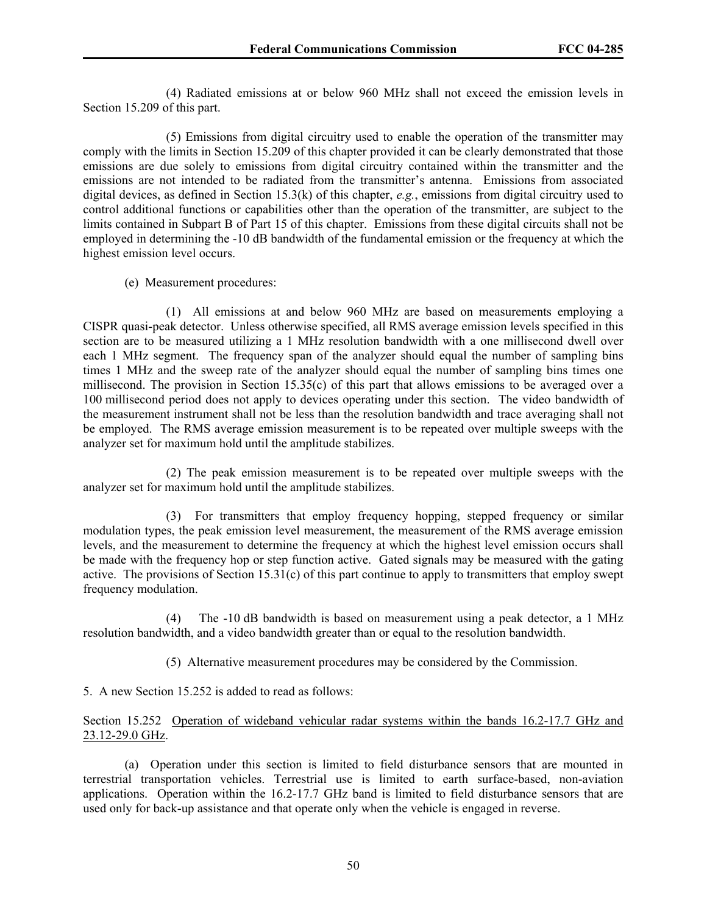(4) Radiated emissions at or below 960 MHz shall not exceed the emission levels in Section 15.209 of this part.

 (5) Emissions from digital circuitry used to enable the operation of the transmitter may comply with the limits in Section 15.209 of this chapter provided it can be clearly demonstrated that those emissions are due solely to emissions from digital circuitry contained within the transmitter and the emissions are not intended to be radiated from the transmitter's antenna. Emissions from associated digital devices, as defined in Section 15.3(k) of this chapter, *e.g.*, emissions from digital circuitry used to control additional functions or capabilities other than the operation of the transmitter, are subject to the limits contained in Subpart B of Part 15 of this chapter. Emissions from these digital circuits shall not be employed in determining the -10 dB bandwidth of the fundamental emission or the frequency at which the highest emission level occurs.

(e) Measurement procedures:

 (1) All emissions at and below 960 MHz are based on measurements employing a CISPR quasi-peak detector. Unless otherwise specified, all RMS average emission levels specified in this section are to be measured utilizing a 1 MHz resolution bandwidth with a one millisecond dwell over each 1 MHz segment. The frequency span of the analyzer should equal the number of sampling bins times 1 MHz and the sweep rate of the analyzer should equal the number of sampling bins times one millisecond. The provision in Section 15.35(c) of this part that allows emissions to be averaged over a 100 millisecond period does not apply to devices operating under this section. The video bandwidth of the measurement instrument shall not be less than the resolution bandwidth and trace averaging shall not be employed. The RMS average emission measurement is to be repeated over multiple sweeps with the analyzer set for maximum hold until the amplitude stabilizes.

 (2) The peak emission measurement is to be repeated over multiple sweeps with the analyzer set for maximum hold until the amplitude stabilizes.

 (3) For transmitters that employ frequency hopping, stepped frequency or similar modulation types, the peak emission level measurement, the measurement of the RMS average emission levels, and the measurement to determine the frequency at which the highest level emission occurs shall be made with the frequency hop or step function active. Gated signals may be measured with the gating active. The provisions of Section 15.31(c) of this part continue to apply to transmitters that employ swept frequency modulation.

 (4) The -10 dB bandwidth is based on measurement using a peak detector, a 1 MHz resolution bandwidth, and a video bandwidth greater than or equal to the resolution bandwidth.

(5) Alternative measurement procedures may be considered by the Commission.

5. A new Section 15.252 is added to read as follows:

# Section 15.252 Operation of wideband vehicular radar systems within the bands 16.2-17.7 GHz and 23.12-29.0 GHz.

 (a) Operation under this section is limited to field disturbance sensors that are mounted in terrestrial transportation vehicles. Terrestrial use is limited to earth surface-based, non-aviation applications. Operation within the 16.2-17.7 GHz band is limited to field disturbance sensors that are used only for back-up assistance and that operate only when the vehicle is engaged in reverse.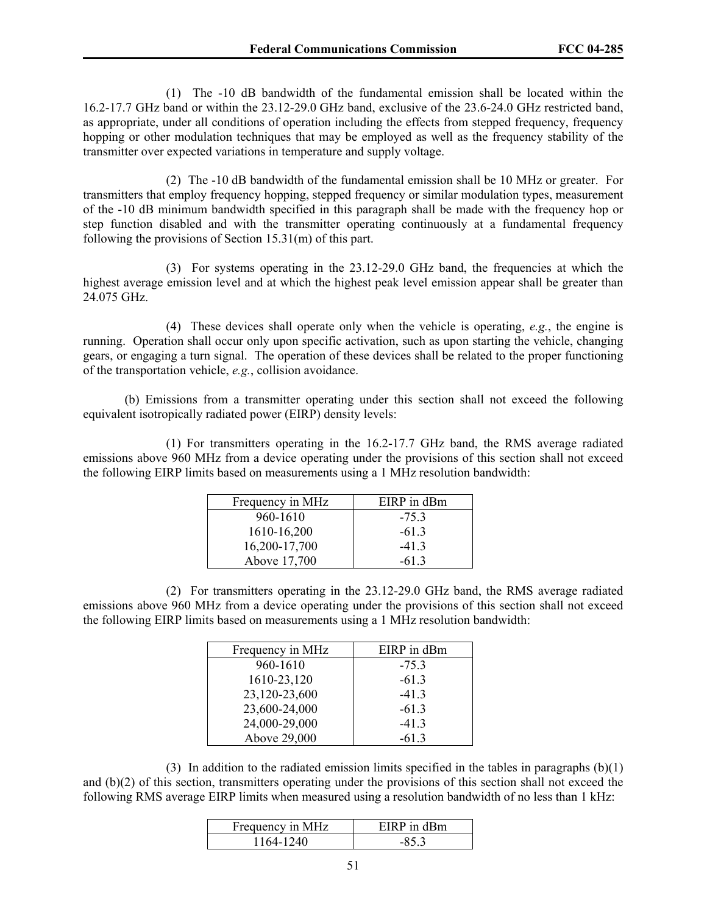(1) The -10 dB bandwidth of the fundamental emission shall be located within the 16.2-17.7 GHz band or within the 23.12-29.0 GHz band, exclusive of the 23.6-24.0 GHz restricted band, as appropriate, under all conditions of operation including the effects from stepped frequency, frequency hopping or other modulation techniques that may be employed as well as the frequency stability of the transmitter over expected variations in temperature and supply voltage.

 (2) The -10 dB bandwidth of the fundamental emission shall be 10 MHz or greater. For transmitters that employ frequency hopping, stepped frequency or similar modulation types, measurement of the -10 dB minimum bandwidth specified in this paragraph shall be made with the frequency hop or step function disabled and with the transmitter operating continuously at a fundamental frequency following the provisions of Section 15.31(m) of this part.

(3) For systems operating in the 23.12-29.0 GHz band, the frequencies at which the highest average emission level and at which the highest peak level emission appear shall be greater than 24.075 GHz.

 (4) These devices shall operate only when the vehicle is operating, *e.g.*, the engine is running. Operation shall occur only upon specific activation, such as upon starting the vehicle, changing gears, or engaging a turn signal. The operation of these devices shall be related to the proper functioning of the transportation vehicle, *e.g.*, collision avoidance.

 (b) Emissions from a transmitter operating under this section shall not exceed the following equivalent isotropically radiated power (EIRP) density levels:

 (1) For transmitters operating in the 16.2-17.7 GHz band, the RMS average radiated emissions above 960 MHz from a device operating under the provisions of this section shall not exceed the following EIRP limits based on measurements using a 1 MHz resolution bandwidth:

| Frequency in MHz | EIRP in dBm |
|------------------|-------------|
| 960-1610         | $-75.3$     |
| 1610-16,200      | $-613$      |
| 16,200-17,700    | $-413$      |
| Above 17,700     | $-613$      |

 (2) For transmitters operating in the 23.12-29.0 GHz band, the RMS average radiated emissions above 960 MHz from a device operating under the provisions of this section shall not exceed the following EIRP limits based on measurements using a 1 MHz resolution bandwidth:

| Frequency in MHz | EIRP in dBm |
|------------------|-------------|
| 960-1610         | $-75.3$     |
| 1610-23,120      | $-61.3$     |
| 23,120-23,600    | $-41.3$     |
| 23,600-24,000    | $-61.3$     |
| 24,000-29,000    | $-41.3$     |
| Above 29,000     | $-613$      |

 (3) In addition to the radiated emission limits specified in the tables in paragraphs (b)(1) and (b)(2) of this section, transmitters operating under the provisions of this section shall not exceed the following RMS average EIRP limits when measured using a resolution bandwidth of no less than 1 kHz:

| Frequency in MHz | EIRP in dBm |
|------------------|-------------|
| 1164-1240        |             |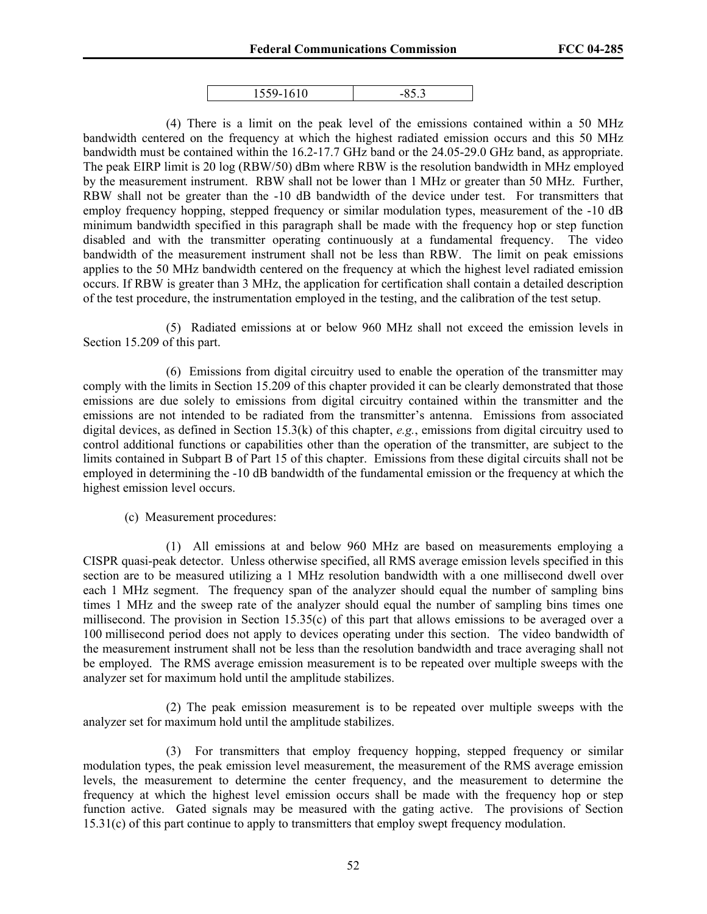| 1/10<br>$\sim$ $\sim$ | ۰ |
|-----------------------|---|

 (4) There is a limit on the peak level of the emissions contained within a 50 MHz bandwidth centered on the frequency at which the highest radiated emission occurs and this 50 MHz bandwidth must be contained within the 16.2-17.7 GHz band or the 24.05-29.0 GHz band, as appropriate. The peak EIRP limit is 20 log (RBW/50) dBm where RBW is the resolution bandwidth in MHz employed by the measurement instrument. RBW shall not be lower than 1 MHz or greater than 50 MHz. Further, RBW shall not be greater than the -10 dB bandwidth of the device under test. For transmitters that employ frequency hopping, stepped frequency or similar modulation types, measurement of the -10 dB minimum bandwidth specified in this paragraph shall be made with the frequency hop or step function disabled and with the transmitter operating continuously at a fundamental frequency. The video bandwidth of the measurement instrument shall not be less than RBW. The limit on peak emissions applies to the 50 MHz bandwidth centered on the frequency at which the highest level radiated emission occurs. If RBW is greater than 3 MHz, the application for certification shall contain a detailed description of the test procedure, the instrumentation employed in the testing, and the calibration of the test setup.

(5) Radiated emissions at or below 960 MHz shall not exceed the emission levels in Section 15.209 of this part.

(6) Emissions from digital circuitry used to enable the operation of the transmitter may comply with the limits in Section 15.209 of this chapter provided it can be clearly demonstrated that those emissions are due solely to emissions from digital circuitry contained within the transmitter and the emissions are not intended to be radiated from the transmitter's antenna. Emissions from associated digital devices, as defined in Section 15.3(k) of this chapter, *e.g.*, emissions from digital circuitry used to control additional functions or capabilities other than the operation of the transmitter, are subject to the limits contained in Subpart B of Part 15 of this chapter. Emissions from these digital circuits shall not be employed in determining the -10 dB bandwidth of the fundamental emission or the frequency at which the highest emission level occurs.

(c) Measurement procedures:

 (1) All emissions at and below 960 MHz are based on measurements employing a CISPR quasi-peak detector. Unless otherwise specified, all RMS average emission levels specified in this section are to be measured utilizing a 1 MHz resolution bandwidth with a one millisecond dwell over each 1 MHz segment. The frequency span of the analyzer should equal the number of sampling bins times 1 MHz and the sweep rate of the analyzer should equal the number of sampling bins times one millisecond. The provision in Section 15.35(c) of this part that allows emissions to be averaged over a 100 millisecond period does not apply to devices operating under this section. The video bandwidth of the measurement instrument shall not be less than the resolution bandwidth and trace averaging shall not be employed. The RMS average emission measurement is to be repeated over multiple sweeps with the analyzer set for maximum hold until the amplitude stabilizes.

 (2) The peak emission measurement is to be repeated over multiple sweeps with the analyzer set for maximum hold until the amplitude stabilizes.

 (3) For transmitters that employ frequency hopping, stepped frequency or similar modulation types, the peak emission level measurement, the measurement of the RMS average emission levels, the measurement to determine the center frequency, and the measurement to determine the frequency at which the highest level emission occurs shall be made with the frequency hop or step function active. Gated signals may be measured with the gating active. The provisions of Section 15.31(c) of this part continue to apply to transmitters that employ swept frequency modulation.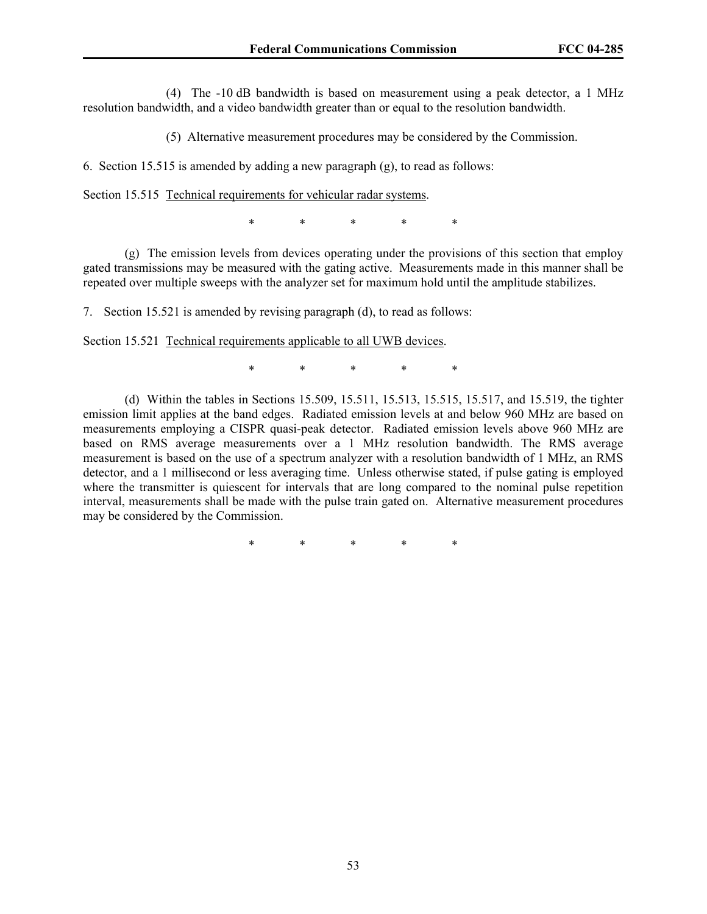(4) The -10 dB bandwidth is based on measurement using a peak detector, a 1 MHz resolution bandwidth, and a video bandwidth greater than or equal to the resolution bandwidth.

(5) Alternative measurement procedures may be considered by the Commission.

6. Section 15.515 is amended by adding a new paragraph (g), to read as follows:

Section 15.515 Technical requirements for vehicular radar systems.

\* \* \* \* \*

 (g) The emission levels from devices operating under the provisions of this section that employ gated transmissions may be measured with the gating active. Measurements made in this manner shall be repeated over multiple sweeps with the analyzer set for maximum hold until the amplitude stabilizes.

7. Section 15.521 is amended by revising paragraph (d), to read as follows:

Section 15.521 Technical requirements applicable to all UWB devices.

\* \* \* \* \*

 (d) Within the tables in Sections 15.509, 15.511, 15.513, 15.515, 15.517, and 15.519, the tighter emission limit applies at the band edges. Radiated emission levels at and below 960 MHz are based on measurements employing a CISPR quasi-peak detector. Radiated emission levels above 960 MHz are based on RMS average measurements over a 1 MHz resolution bandwidth. The RMS average measurement is based on the use of a spectrum analyzer with a resolution bandwidth of 1 MHz, an RMS detector, and a 1 millisecond or less averaging time. Unless otherwise stated, if pulse gating is employed where the transmitter is quiescent for intervals that are long compared to the nominal pulse repetition interval, measurements shall be made with the pulse train gated on. Alternative measurement procedures may be considered by the Commission.

\* \* \* \* \*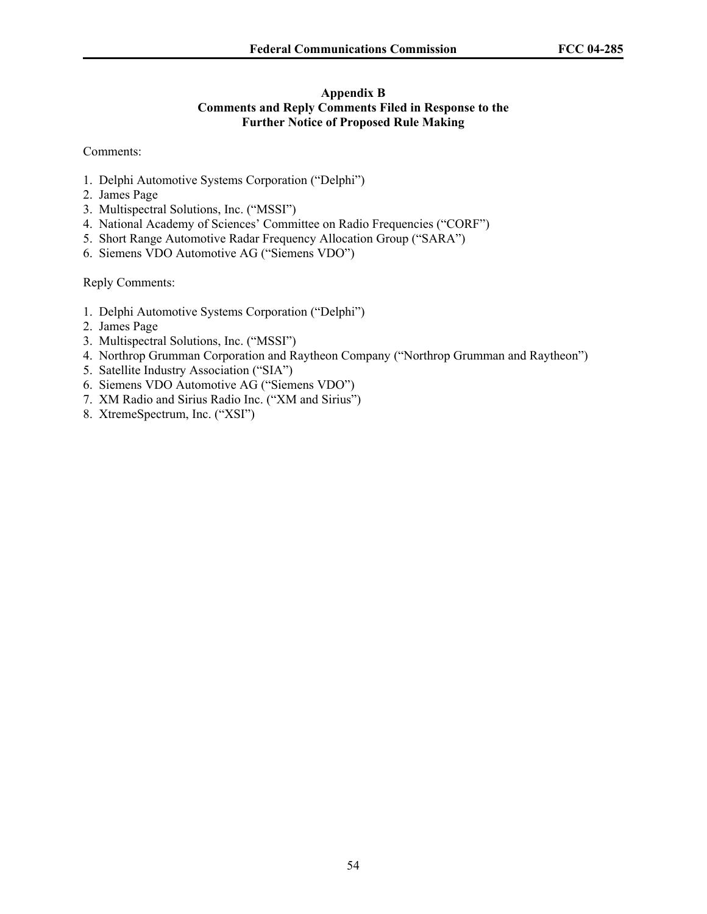# **Appendix B Comments and Reply Comments Filed in Response to the Further Notice of Proposed Rule Making**

## Comments:

- 1. Delphi Automotive Systems Corporation ("Delphi")
- 2. James Page
- 3. Multispectral Solutions, Inc. ("MSSI")
- 4. National Academy of Sciences' Committee on Radio Frequencies ("CORF")
- 5. Short Range Automotive Radar Frequency Allocation Group ("SARA")
- 6. Siemens VDO Automotive AG ("Siemens VDO")

Reply Comments:

- 1. Delphi Automotive Systems Corporation ("Delphi")
- 2. James Page
- 3. Multispectral Solutions, Inc. ("MSSI")
- 4. Northrop Grumman Corporation and Raytheon Company ("Northrop Grumman and Raytheon")
- 5. Satellite Industry Association ("SIA")
- 6. Siemens VDO Automotive AG ("Siemens VDO")
- 7. XM Radio and Sirius Radio Inc. ("XM and Sirius")
- 8. XtremeSpectrum, Inc. ("XSI")